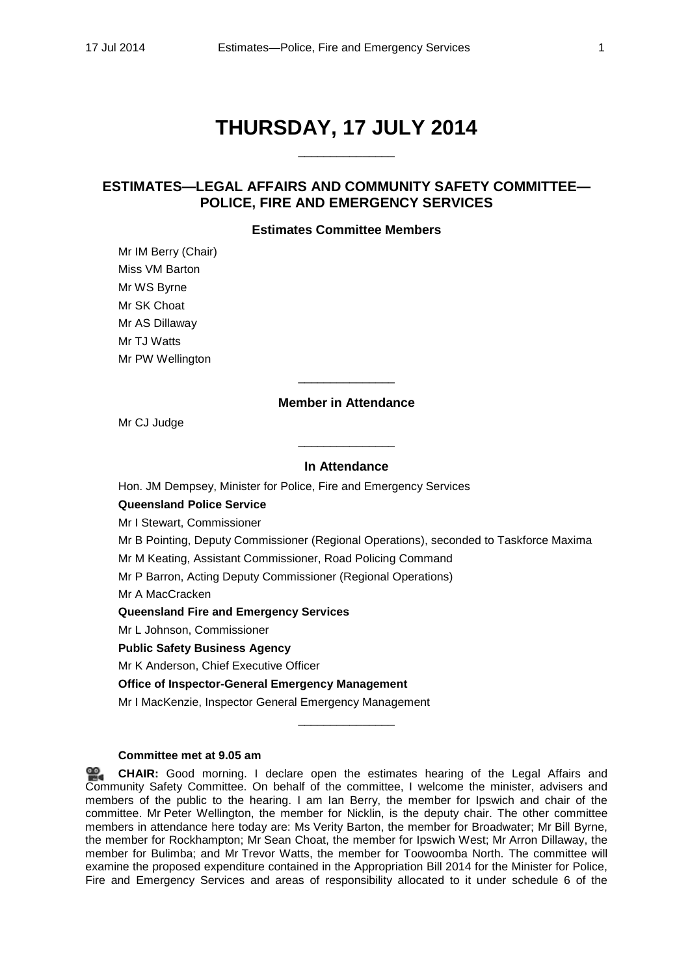# **THURSDAY, 17 JULY 2014**

\_\_\_\_\_\_\_\_\_\_\_\_\_\_\_

# **ESTIMATES—LEGAL AFFAIRS AND COMMUNITY SAFETY COMMITTEE— POLICE, FIRE AND EMERGENCY SERVICES**

# **Estimates Committee Members**

Mr IM Berry (Chair) Miss VM Barton Mr WS Byrne Mr SK Choat Mr AS Dillaway Mr TJ Watts Mr PW Wellington

# **Member in Attendance**

\_\_\_\_\_\_\_\_\_\_\_\_\_\_\_

Mr CJ Judge

# **In Attendance**

\_\_\_\_\_\_\_\_\_\_\_\_\_\_\_

Hon. JM Dempsey, Minister for Police, Fire and Emergency Services

# **Queensland Police Service**

Mr I Stewart, Commissioner

Mr B Pointing, Deputy Commissioner (Regional Operations), seconded to Taskforce Maxima

Mr M Keating, Assistant Commissioner, Road Policing Command

Mr P Barron, Acting Deputy Commissioner (Regional Operations)

Mr A MacCracken

# **Queensland Fire and Emergency Services**

Mr L Johnson, Commissioner

# **Public Safety Business Agency**

Mr K Anderson, Chief Executive Officer

**Office of Inspector-General Emergency Management**

Mr I MacKenzie, Inspector General Emergency Management

# **Committee met at 9.05 am**

≌. **[CHAIR:](http://www.parliament.qld.gov.au/docs/find.aspx?id=0MbaLACSC20140717_090511)** Good morning. I declare open the estimates hearing of the Legal Affairs and Community Safety Committee. On behalf of the committee, I welcome the minister, advisers and members of the public to the hearing. I am Ian Berry, the member for Ipswich and chair of the committee. Mr Peter Wellington, the member for Nicklin, is the deputy chair. The other committee members in attendance here today are: Ms Verity Barton, the member for Broadwater; Mr Bill Byrne, the member for Rockhampton; Mr Sean Choat, the member for Ipswich West; Mr Arron Dillaway, the member for Bulimba; and Mr Trevor Watts, the member for Toowoomba North. The committee will examine the proposed expenditure contained in the Appropriation Bill 2014 for the Minister for Police, Fire and Emergency Services and areas of responsibility allocated to it under schedule 6 of the

\_\_\_\_\_\_\_\_\_\_\_\_\_\_\_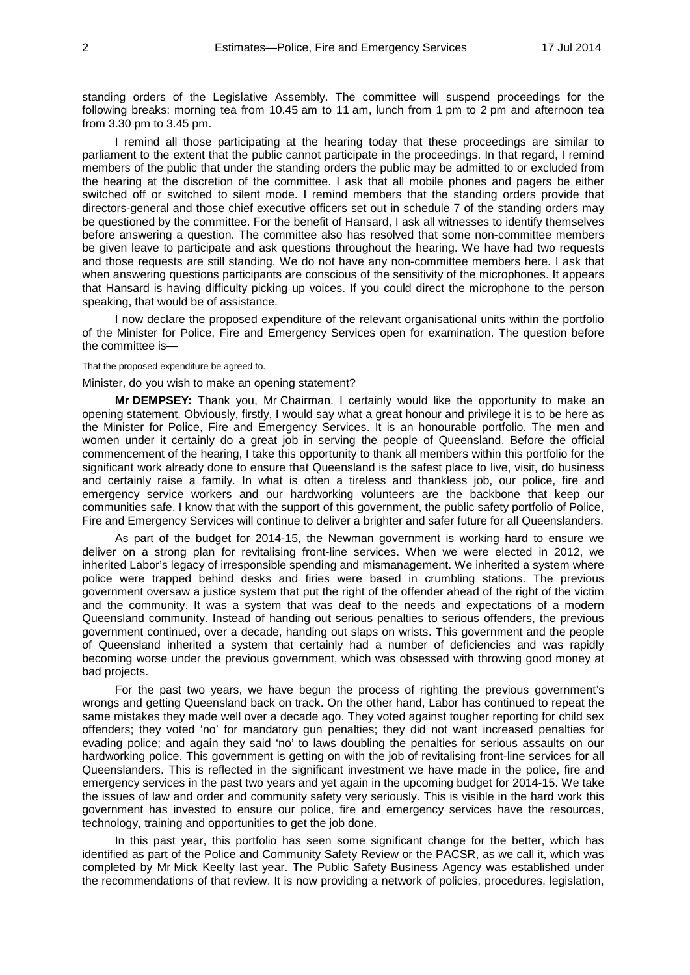standing orders of the Legislative Assembly. The committee will suspend proceedings for the following breaks: morning tea from 10.45 am to 11 am, lunch from 1 pm to 2 pm and afternoon tea from 3.30 pm to 3.45 pm.

I remind all those participating at the hearing today that these proceedings are similar to parliament to the extent that the public cannot participate in the proceedings. In that regard, I remind members of the public that under the standing orders the public may be admitted to or excluded from the hearing at the discretion of the committee. I ask that all mobile phones and pagers be either switched off or switched to silent mode. I remind members that the standing orders provide that directors-general and those chief executive officers set out in schedule 7 of the standing orders may be questioned by the committee. For the benefit of Hansard, I ask all witnesses to identify themselves before answering a question. The committee also has resolved that some non-committee members be given leave to participate and ask questions throughout the hearing. We have had two requests and those requests are still standing. We do not have any non-committee members here. I ask that when answering questions participants are conscious of the sensitivity of the microphones. It appears that Hansard is having difficulty picking up voices. If you could direct the microphone to the person speaking, that would be of assistance.

I now declare the proposed expenditure of the relevant organisational units within the portfolio of the Minister for Police, Fire and Emergency Services open for examination. The question before the committee is—

#### That the proposed expenditure be agreed to.

#### Minister, do you wish to make an opening statement?

**Mr DEMPSEY:** Thank you, Mr Chairman. I certainly would like the opportunity to make an opening statement. Obviously, firstly, I would say what a great honour and privilege it is to be here as the Minister for Police, Fire and Emergency Services. It is an honourable portfolio. The men and women under it certainly do a great job in serving the people of Queensland. Before the official commencement of the hearing, I take this opportunity to thank all members within this portfolio for the significant work already done to ensure that Queensland is the safest place to live, visit, do business and certainly raise a family. In what is often a tireless and thankless job, our police, fire and emergency service workers and our hardworking volunteers are the backbone that keep our communities safe. I know that with the support of this government, the public safety portfolio of Police, Fire and Emergency Services will continue to deliver a brighter and safer future for all Queenslanders.

As part of the budget for 2014-15, the Newman government is working hard to ensure we deliver on a strong plan for revitalising front-line services. When we were elected in 2012, we inherited Labor's legacy of irresponsible spending and mismanagement. We inherited a system where police were trapped behind desks and firies were based in crumbling stations. The previous government oversaw a justice system that put the right of the offender ahead of the right of the victim and the community. It was a system that was deaf to the needs and expectations of a modern Queensland community. Instead of handing out serious penalties to serious offenders, the previous government continued, over a decade, handing out slaps on wrists. This government and the people of Queensland inherited a system that certainly had a number of deficiencies and was rapidly becoming worse under the previous government, which was obsessed with throwing good money at bad projects.

For the past two years, we have begun the process of righting the previous government's wrongs and getting Queensland back on track. On the other hand, Labor has continued to repeat the same mistakes they made well over a decade ago. They voted against tougher reporting for child sex offenders; they voted 'no' for mandatory gun penalties; they did not want increased penalties for evading police; and again they said 'no' to laws doubling the penalties for serious assaults on our hardworking police. This government is getting on with the job of revitalising front-line services for all Queenslanders. This is reflected in the significant investment we have made in the police, fire and emergency services in the past two years and yet again in the upcoming budget for 2014-15. We take the issues of law and order and community safety very seriously. This is visible in the hard work this government has invested to ensure our police, fire and emergency services have the resources, technology, training and opportunities to get the job done.

In this past year, this portfolio has seen some significant change for the better, which has identified as part of the Police and Community Safety Review or the PACSR, as we call it, which was completed by Mr Mick Keelty last year. The Public Safety Business Agency was established under the recommendations of that review. It is now providing a network of policies, procedures, legislation,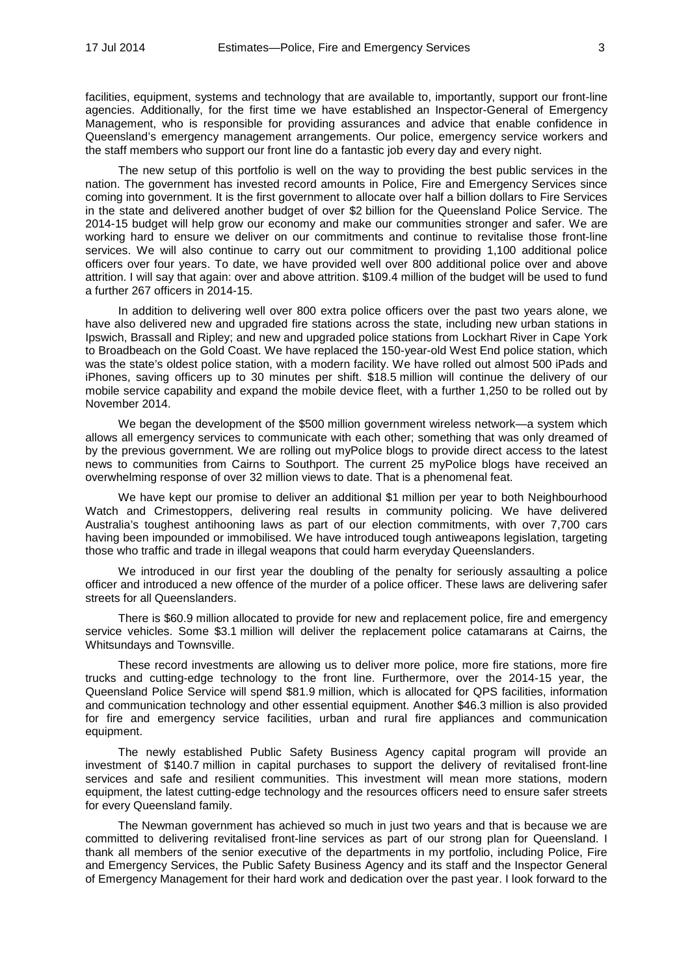facilities, equipment, systems and technology that are available to, importantly, support our front-line agencies. Additionally, for the first time we have established an Inspector-General of Emergency Management, who is responsible for providing assurances and advice that enable confidence in Queensland's emergency management arrangements. Our police, emergency service workers and the staff members who support our front line do a fantastic job every day and every night.

The new setup of this portfolio is well on the way to providing the best public services in the nation. The government has invested record amounts in Police, Fire and Emergency Services since coming into government. It is the first government to allocate over half a billion dollars to Fire Services in the state and delivered another budget of over \$2 billion for the Queensland Police Service. The 2014-15 budget will help grow our economy and make our communities stronger and safer. We are working hard to ensure we deliver on our commitments and continue to revitalise those front-line services. We will also continue to carry out our commitment to providing 1,100 additional police officers over four years. To date, we have provided well over 800 additional police over and above attrition. I will say that again: over and above attrition. \$109.4 million of the budget will be used to fund a further 267 officers in 2014-15.

In addition to delivering well over 800 extra police officers over the past two years alone, we have also delivered new and upgraded fire stations across the state, including new urban stations in Ipswich, Brassall and Ripley; and new and upgraded police stations from Lockhart River in Cape York to Broadbeach on the Gold Coast. We have replaced the 150-year-old West End police station, which was the state's oldest police station, with a modern facility. We have rolled out almost 500 iPads and iPhones, saving officers up to 30 minutes per shift. \$18.5 million will continue the delivery of our mobile service capability and expand the mobile device fleet, with a further 1,250 to be rolled out by November 2014.

We began the development of the \$500 million government wireless network—a system which allows all emergency services to communicate with each other; something that was only dreamed of by the previous government. We are rolling out myPolice blogs to provide direct access to the latest news to communities from Cairns to Southport. The current 25 myPolice blogs have received an overwhelming response of over 32 million views to date. That is a phenomenal feat.

We have kept our promise to deliver an additional \$1 million per year to both Neighbourhood Watch and Crimestoppers, delivering real results in community policing. We have delivered Australia's toughest antihooning laws as part of our election commitments, with over 7,700 cars having been impounded or immobilised. We have introduced tough antiweapons legislation, targeting those who traffic and trade in illegal weapons that could harm everyday Queenslanders.

We introduced in our first year the doubling of the penalty for seriously assaulting a police officer and introduced a new offence of the murder of a police officer. These laws are delivering safer streets for all Queenslanders.

There is \$60.9 million allocated to provide for new and replacement police, fire and emergency service vehicles. Some \$3.1 million will deliver the replacement police catamarans at Cairns, the Whitsundays and Townsville.

These record investments are allowing us to deliver more police, more fire stations, more fire trucks and cutting-edge technology to the front line. Furthermore, over the 2014-15 year, the Queensland Police Service will spend \$81.9 million, which is allocated for QPS facilities, information and communication technology and other essential equipment. Another \$46.3 million is also provided for fire and emergency service facilities, urban and rural fire appliances and communication equipment.

The newly established Public Safety Business Agency capital program will provide an investment of \$140.7 million in capital purchases to support the delivery of revitalised front-line services and safe and resilient communities. This investment will mean more stations, modern equipment, the latest cutting-edge technology and the resources officers need to ensure safer streets for every Queensland family.

The Newman government has achieved so much in just two years and that is because we are committed to delivering revitalised front-line services as part of our strong plan for Queensland. I thank all members of the senior executive of the departments in my portfolio, including Police, Fire and Emergency Services, the Public Safety Business Agency and its staff and the Inspector General of Emergency Management for their hard work and dedication over the past year. I look forward to the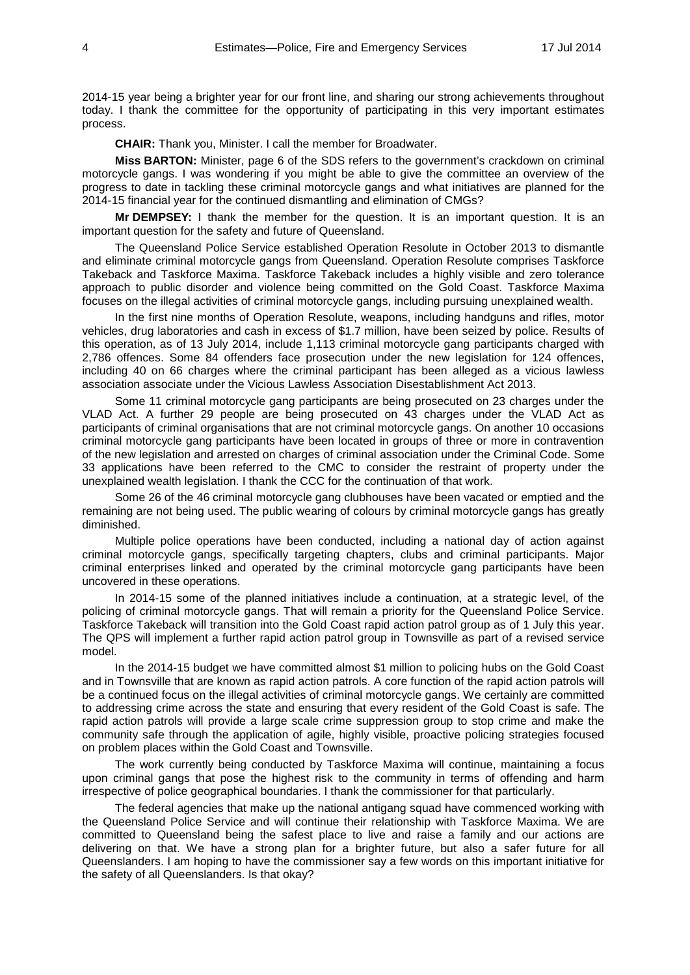2014-15 year being a brighter year for our front line, and sharing our strong achievements throughout today. I thank the committee for the opportunity of participating in this very important estimates process.

**CHAIR:** Thank you, Minister. I call the member for Broadwater.

**Miss BARTON:** Minister, page 6 of the SDS refers to the government's crackdown on criminal motorcycle gangs. I was wondering if you might be able to give the committee an overview of the progress to date in tackling these criminal motorcycle gangs and what initiatives are planned for the 2014-15 financial year for the continued dismantling and elimination of CMGs?

**Mr DEMPSEY:** I thank the member for the question. It is an important question. It is an important question for the safety and future of Queensland.

The Queensland Police Service established Operation Resolute in October 2013 to dismantle and eliminate criminal motorcycle gangs from Queensland. Operation Resolute comprises Taskforce Takeback and Taskforce Maxima. Taskforce Takeback includes a highly visible and zero tolerance approach to public disorder and violence being committed on the Gold Coast. Taskforce Maxima focuses on the illegal activities of criminal motorcycle gangs, including pursuing unexplained wealth.

In the first nine months of Operation Resolute, weapons, including handguns and rifles, motor vehicles, drug laboratories and cash in excess of \$1.7 million, have been seized by police. Results of this operation, as of 13 July 2014, include 1,113 criminal motorcycle gang participants charged with 2,786 offences. Some 84 offenders face prosecution under the new legislation for 124 offences, including 40 on 66 charges where the criminal participant has been alleged as a vicious lawless association associate under the Vicious Lawless Association Disestablishment Act 2013.

Some 11 criminal motorcycle gang participants are being prosecuted on 23 charges under the VLAD Act. A further 29 people are being prosecuted on 43 charges under the VLAD Act as participants of criminal organisations that are not criminal motorcycle gangs. On another 10 occasions criminal motorcycle gang participants have been located in groups of three or more in contravention of the new legislation and arrested on charges of criminal association under the Criminal Code. Some 33 applications have been referred to the CMC to consider the restraint of property under the unexplained wealth legislation. I thank the CCC for the continuation of that work.

Some 26 of the 46 criminal motorcycle gang clubhouses have been vacated or emptied and the remaining are not being used. The public wearing of colours by criminal motorcycle gangs has greatly diminished.

Multiple police operations have been conducted, including a national day of action against criminal motorcycle gangs, specifically targeting chapters, clubs and criminal participants. Major criminal enterprises linked and operated by the criminal motorcycle gang participants have been uncovered in these operations.

In 2014-15 some of the planned initiatives include a continuation, at a strategic level, of the policing of criminal motorcycle gangs. That will remain a priority for the Queensland Police Service. Taskforce Takeback will transition into the Gold Coast rapid action patrol group as of 1 July this year. The QPS will implement a further rapid action patrol group in Townsville as part of a revised service model.

In the 2014-15 budget we have committed almost \$1 million to policing hubs on the Gold Coast and in Townsville that are known as rapid action patrols. A core function of the rapid action patrols will be a continued focus on the illegal activities of criminal motorcycle gangs. We certainly are committed to addressing crime across the state and ensuring that every resident of the Gold Coast is safe. The rapid action patrols will provide a large scale crime suppression group to stop crime and make the community safe through the application of agile, highly visible, proactive policing strategies focused on problem places within the Gold Coast and Townsville.

The work currently being conducted by Taskforce Maxima will continue, maintaining a focus upon criminal gangs that pose the highest risk to the community in terms of offending and harm irrespective of police geographical boundaries. I thank the commissioner for that particularly.

The federal agencies that make up the national antigang squad have commenced working with the Queensland Police Service and will continue their relationship with Taskforce Maxima. We are committed to Queensland being the safest place to live and raise a family and our actions are delivering on that. We have a strong plan for a brighter future, but also a safer future for all Queenslanders. I am hoping to have the commissioner say a few words on this important initiative for the safety of all Queenslanders. Is that okay?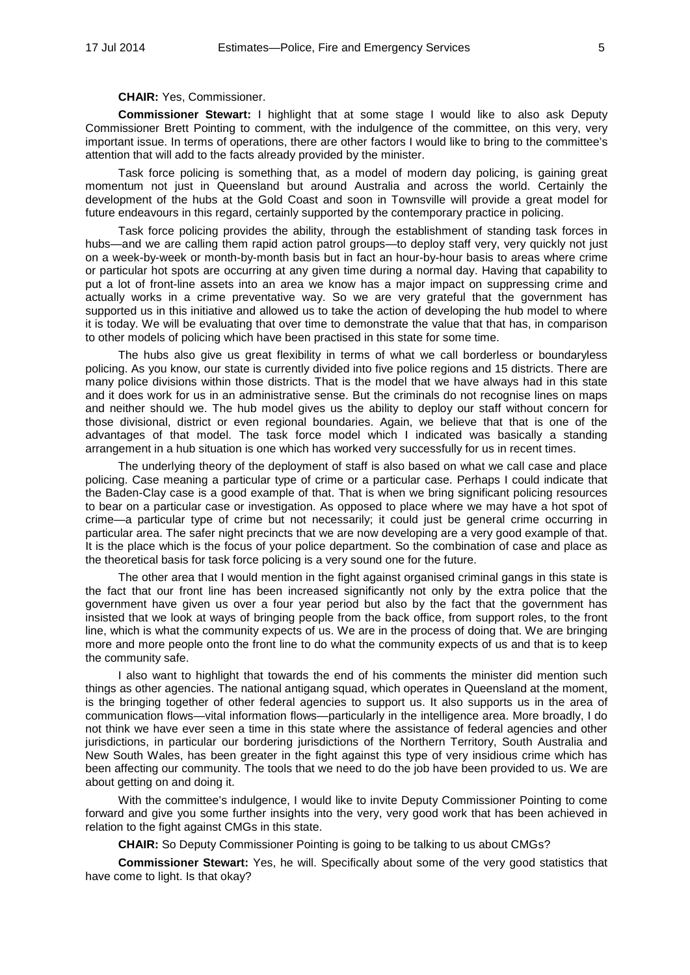# **CHAIR:** Yes, Commissioner.

**Commissioner Stewart:** I highlight that at some stage I would like to also ask Deputy Commissioner Brett Pointing to comment, with the indulgence of the committee, on this very, very important issue. In terms of operations, there are other factors I would like to bring to the committee's attention that will add to the facts already provided by the minister.

Task force policing is something that, as a model of modern day policing, is gaining great momentum not just in Queensland but around Australia and across the world. Certainly the development of the hubs at the Gold Coast and soon in Townsville will provide a great model for future endeavours in this regard, certainly supported by the contemporary practice in policing.

Task force policing provides the ability, through the establishment of standing task forces in hubs—and we are calling them rapid action patrol groups—to deploy staff very, very quickly not just on a week-by-week or month-by-month basis but in fact an hour-by-hour basis to areas where crime or particular hot spots are occurring at any given time during a normal day. Having that capability to put a lot of front-line assets into an area we know has a major impact on suppressing crime and actually works in a crime preventative way. So we are very grateful that the government has supported us in this initiative and allowed us to take the action of developing the hub model to where it is today. We will be evaluating that over time to demonstrate the value that that has, in comparison to other models of policing which have been practised in this state for some time.

The hubs also give us great flexibility in terms of what we call borderless or boundaryless policing. As you know, our state is currently divided into five police regions and 15 districts. There are many police divisions within those districts. That is the model that we have always had in this state and it does work for us in an administrative sense. But the criminals do not recognise lines on maps and neither should we. The hub model gives us the ability to deploy our staff without concern for those divisional, district or even regional boundaries. Again, we believe that that is one of the advantages of that model. The task force model which I indicated was basically a standing arrangement in a hub situation is one which has worked very successfully for us in recent times.

The underlying theory of the deployment of staff is also based on what we call case and place policing. Case meaning a particular type of crime or a particular case. Perhaps I could indicate that the Baden-Clay case is a good example of that. That is when we bring significant policing resources to bear on a particular case or investigation. As opposed to place where we may have a hot spot of crime—a particular type of crime but not necessarily; it could just be general crime occurring in particular area. The safer night precincts that we are now developing are a very good example of that. It is the place which is the focus of your police department. So the combination of case and place as the theoretical basis for task force policing is a very sound one for the future.

The other area that I would mention in the fight against organised criminal gangs in this state is the fact that our front line has been increased significantly not only by the extra police that the government have given us over a four year period but also by the fact that the government has insisted that we look at ways of bringing people from the back office, from support roles, to the front line, which is what the community expects of us. We are in the process of doing that. We are bringing more and more people onto the front line to do what the community expects of us and that is to keep the community safe.

I also want to highlight that towards the end of his comments the minister did mention such things as other agencies. The national antigang squad, which operates in Queensland at the moment, is the bringing together of other federal agencies to support us. It also supports us in the area of communication flows—vital information flows—particularly in the intelligence area. More broadly, I do not think we have ever seen a time in this state where the assistance of federal agencies and other jurisdictions, in particular our bordering jurisdictions of the Northern Territory, South Australia and New South Wales, has been greater in the fight against this type of very insidious crime which has been affecting our community. The tools that we need to do the job have been provided to us. We are about getting on and doing it.

With the committee's indulgence, I would like to invite Deputy Commissioner Pointing to come forward and give you some further insights into the very, very good work that has been achieved in relation to the fight against CMGs in this state.

**CHAIR:** So Deputy Commissioner Pointing is going to be talking to us about CMGs?

**Commissioner Stewart:** Yes, he will. Specifically about some of the very good statistics that have come to light. Is that okay?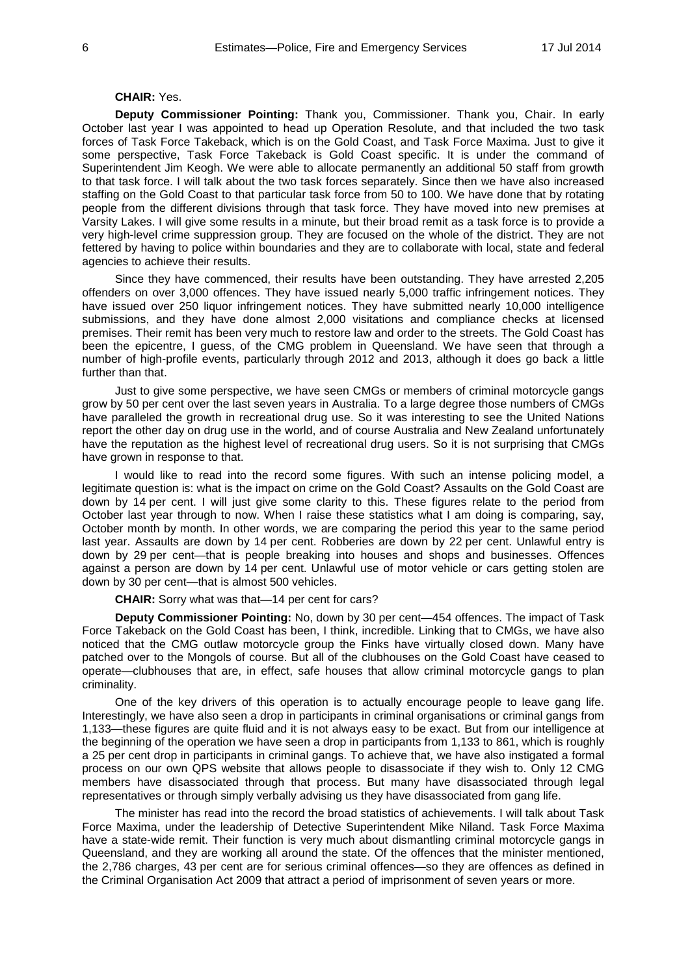# **CHAIR:** Yes.

**Deputy Commissioner Pointing:** Thank you, Commissioner. Thank you, Chair. In early October last year I was appointed to head up Operation Resolute, and that included the two task forces of Task Force Takeback, which is on the Gold Coast, and Task Force Maxima. Just to give it some perspective, Task Force Takeback is Gold Coast specific. It is under the command of Superintendent Jim Keogh. We were able to allocate permanently an additional 50 staff from growth to that task force. I will talk about the two task forces separately. Since then we have also increased staffing on the Gold Coast to that particular task force from 50 to 100. We have done that by rotating people from the different divisions through that task force. They have moved into new premises at Varsity Lakes. I will give some results in a minute, but their broad remit as a task force is to provide a very high-level crime suppression group. They are focused on the whole of the district. They are not fettered by having to police within boundaries and they are to collaborate with local, state and federal agencies to achieve their results.

Since they have commenced, their results have been outstanding. They have arrested 2,205 offenders on over 3,000 offences. They have issued nearly 5,000 traffic infringement notices. They have issued over 250 liquor infringement notices. They have submitted nearly 10,000 intelligence submissions, and they have done almost 2,000 visitations and compliance checks at licensed premises. Their remit has been very much to restore law and order to the streets. The Gold Coast has been the epicentre, I guess, of the CMG problem in Queensland. We have seen that through a number of high-profile events, particularly through 2012 and 2013, although it does go back a little further than that.

Just to give some perspective, we have seen CMGs or members of criminal motorcycle gangs grow by 50 per cent over the last seven years in Australia. To a large degree those numbers of CMGs have paralleled the growth in recreational drug use. So it was interesting to see the United Nations report the other day on drug use in the world, and of course Australia and New Zealand unfortunately have the reputation as the highest level of recreational drug users. So it is not surprising that CMGs have grown in response to that.

I would like to read into the record some figures. With such an intense policing model, a legitimate question is: what is the impact on crime on the Gold Coast? Assaults on the Gold Coast are down by 14 per cent. I will just give some clarity to this. These figures relate to the period from October last year through to now. When I raise these statistics what I am doing is comparing, say, October month by month. In other words, we are comparing the period this year to the same period last year. Assaults are down by 14 per cent. Robberies are down by 22 per cent. Unlawful entry is down by 29 per cent—that is people breaking into houses and shops and businesses. Offences against a person are down by 14 per cent. Unlawful use of motor vehicle or cars getting stolen are down by 30 per cent—that is almost 500 vehicles.

**CHAIR:** Sorry what was that—14 per cent for cars?

**Deputy Commissioner Pointing:** No, down by 30 per cent—454 offences. The impact of Task Force Takeback on the Gold Coast has been, I think, incredible. Linking that to CMGs, we have also noticed that the CMG outlaw motorcycle group the Finks have virtually closed down. Many have patched over to the Mongols of course. But all of the clubhouses on the Gold Coast have ceased to operate—clubhouses that are, in effect, safe houses that allow criminal motorcycle gangs to plan criminality.

One of the key drivers of this operation is to actually encourage people to leave gang life. Interestingly, we have also seen a drop in participants in criminal organisations or criminal gangs from 1,133—these figures are quite fluid and it is not always easy to be exact. But from our intelligence at the beginning of the operation we have seen a drop in participants from 1,133 to 861, which is roughly a 25 per cent drop in participants in criminal gangs. To achieve that, we have also instigated a formal process on our own QPS website that allows people to disassociate if they wish to. Only 12 CMG members have disassociated through that process. But many have disassociated through legal representatives or through simply verbally advising us they have disassociated from gang life.

The minister has read into the record the broad statistics of achievements. I will talk about Task Force Maxima, under the leadership of Detective Superintendent Mike Niland. Task Force Maxima have a state-wide remit. Their function is very much about dismantling criminal motorcycle gangs in Queensland, and they are working all around the state. Of the offences that the minister mentioned, the 2,786 charges, 43 per cent are for serious criminal offences—so they are offences as defined in the Criminal Organisation Act 2009 that attract a period of imprisonment of seven years or more.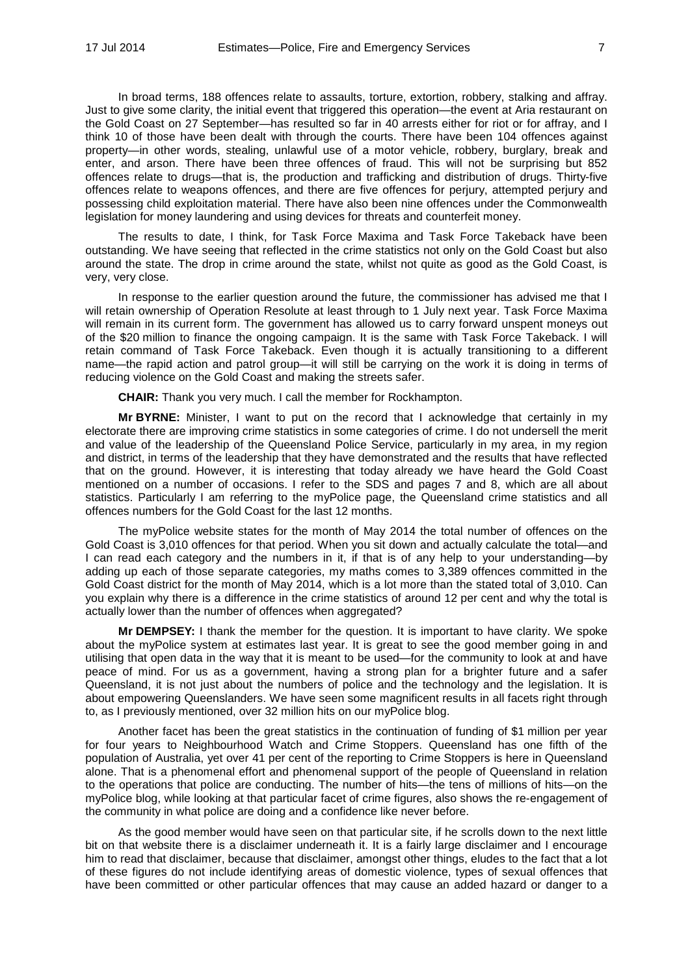In broad terms, 188 offences relate to assaults, torture, extortion, robbery, stalking and affray. Just to give some clarity, the initial event that triggered this operation—the event at Aria restaurant on the Gold Coast on 27 September—has resulted so far in 40 arrests either for riot or for affray, and I think 10 of those have been dealt with through the courts. There have been 104 offences against property-in other words, stealing, unlawful use of a motor vehicle, robbery, burglary, break and enter, and arson. There have been three offences of fraud. This will not be surprising but 852 offences relate to drugs—that is, the production and trafficking and distribution of drugs. Thirty-five offences relate to weapons offences, and there are five offences for perjury, attempted perjury and possessing child exploitation material. There have also been nine offences under the Commonwealth legislation for money laundering and using devices for threats and counterfeit money.

The results to date, I think, for Task Force Maxima and Task Force Takeback have been outstanding. We have seeing that reflected in the crime statistics not only on the Gold Coast but also around the state. The drop in crime around the state, whilst not quite as good as the Gold Coast, is very, very close.

In response to the earlier question around the future, the commissioner has advised me that I will retain ownership of Operation Resolute at least through to 1 July next year. Task Force Maxima will remain in its current form. The government has allowed us to carry forward unspent moneys out of the \$20 million to finance the ongoing campaign. It is the same with Task Force Takeback. I will retain command of Task Force Takeback. Even though it is actually transitioning to a different name—the rapid action and patrol group—it will still be carrying on the work it is doing in terms of reducing violence on the Gold Coast and making the streets safer.

**CHAIR:** Thank you very much. I call the member for Rockhampton.

**Mr BYRNE:** Minister, I want to put on the record that I acknowledge that certainly in my electorate there are improving crime statistics in some categories of crime. I do not undersell the merit and value of the leadership of the Queensland Police Service, particularly in my area, in my region and district, in terms of the leadership that they have demonstrated and the results that have reflected that on the ground. However, it is interesting that today already we have heard the Gold Coast mentioned on a number of occasions. I refer to the SDS and pages 7 and 8, which are all about statistics. Particularly I am referring to the myPolice page, the Queensland crime statistics and all offences numbers for the Gold Coast for the last 12 months.

The myPolice website states for the month of May 2014 the total number of offences on the Gold Coast is 3,010 offences for that period. When you sit down and actually calculate the total—and I can read each category and the numbers in it, if that is of any help to your understanding—by adding up each of those separate categories, my maths comes to 3,389 offences committed in the Gold Coast district for the month of May 2014, which is a lot more than the stated total of 3,010. Can you explain why there is a difference in the crime statistics of around 12 per cent and why the total is actually lower than the number of offences when aggregated?

**Mr DEMPSEY:** I thank the member for the question. It is important to have clarity. We spoke about the myPolice system at estimates last year. It is great to see the good member going in and utilising that open data in the way that it is meant to be used—for the community to look at and have peace of mind. For us as a government, having a strong plan for a brighter future and a safer Queensland, it is not just about the numbers of police and the technology and the legislation. It is about empowering Queenslanders. We have seen some magnificent results in all facets right through to, as I previously mentioned, over 32 million hits on our myPolice blog.

Another facet has been the great statistics in the continuation of funding of \$1 million per year for four years to Neighbourhood Watch and Crime Stoppers. Queensland has one fifth of the population of Australia, yet over 41 per cent of the reporting to Crime Stoppers is here in Queensland alone. That is a phenomenal effort and phenomenal support of the people of Queensland in relation to the operations that police are conducting. The number of hits—the tens of millions of hits—on the myPolice blog, while looking at that particular facet of crime figures, also shows the re-engagement of the community in what police are doing and a confidence like never before.

As the good member would have seen on that particular site, if he scrolls down to the next little bit on that website there is a disclaimer underneath it. It is a fairly large disclaimer and I encourage him to read that disclaimer, because that disclaimer, amongst other things, eludes to the fact that a lot of these figures do not include identifying areas of domestic violence, types of sexual offences that have been committed or other particular offences that may cause an added hazard or danger to a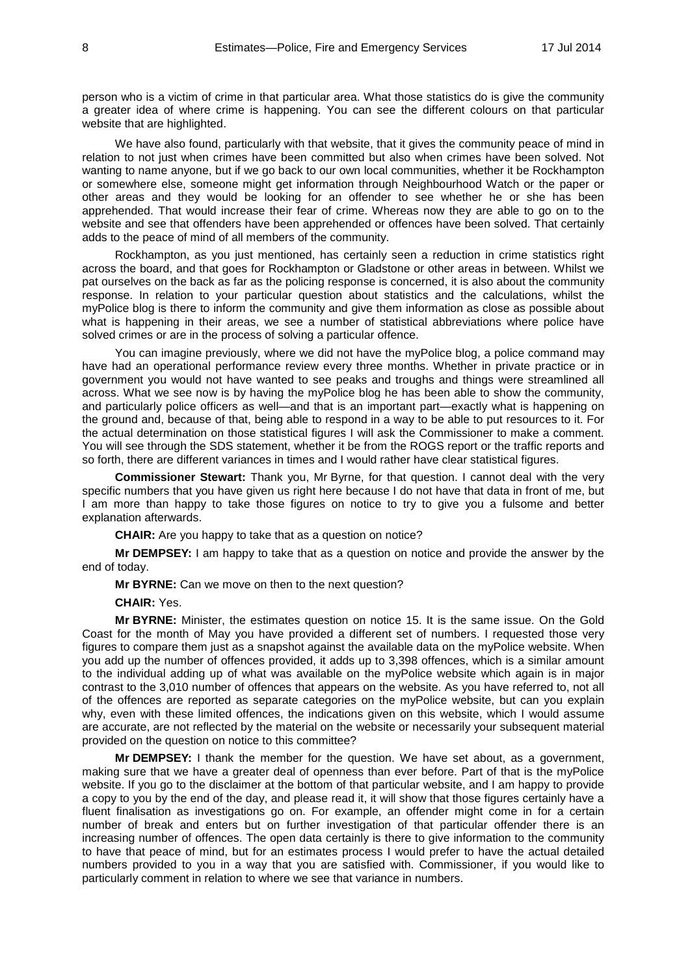person who is a victim of crime in that particular area. What those statistics do is give the community a greater idea of where crime is happening. You can see the different colours on that particular website that are highlighted.

We have also found, particularly with that website, that it gives the community peace of mind in relation to not just when crimes have been committed but also when crimes have been solved. Not wanting to name anyone, but if we go back to our own local communities, whether it be Rockhampton or somewhere else, someone might get information through Neighbourhood Watch or the paper or other areas and they would be looking for an offender to see whether he or she has been apprehended. That would increase their fear of crime. Whereas now they are able to go on to the website and see that offenders have been apprehended or offences have been solved. That certainly adds to the peace of mind of all members of the community.

Rockhampton, as you just mentioned, has certainly seen a reduction in crime statistics right across the board, and that goes for Rockhampton or Gladstone or other areas in between. Whilst we pat ourselves on the back as far as the policing response is concerned, it is also about the community response. In relation to your particular question about statistics and the calculations, whilst the myPolice blog is there to inform the community and give them information as close as possible about what is happening in their areas, we see a number of statistical abbreviations where police have solved crimes or are in the process of solving a particular offence.

You can imagine previously, where we did not have the myPolice blog, a police command may have had an operational performance review every three months. Whether in private practice or in government you would not have wanted to see peaks and troughs and things were streamlined all across. What we see now is by having the myPolice blog he has been able to show the community, and particularly police officers as well—and that is an important part—exactly what is happening on the ground and, because of that, being able to respond in a way to be able to put resources to it. For the actual determination on those statistical figures I will ask the Commissioner to make a comment. You will see through the SDS statement, whether it be from the ROGS report or the traffic reports and so forth, there are different variances in times and I would rather have clear statistical figures.

**Commissioner Stewart:** Thank you, Mr Byrne, for that question. I cannot deal with the very specific numbers that you have given us right here because I do not have that data in front of me, but I am more than happy to take those figures on notice to try to give you a fulsome and better explanation afterwards.

**CHAIR:** Are you happy to take that as a question on notice?

**Mr DEMPSEY:** I am happy to take that as a question on notice and provide the answer by the end of today.

**Mr BYRNE:** Can we move on then to the next question?

**CHAIR:** Yes.

**Mr BYRNE:** Minister, the estimates question on notice 15. It is the same issue. On the Gold Coast for the month of May you have provided a different set of numbers. I requested those very figures to compare them just as a snapshot against the available data on the myPolice website. When you add up the number of offences provided, it adds up to 3,398 offences, which is a similar amount to the individual adding up of what was available on the myPolice website which again is in major contrast to the 3,010 number of offences that appears on the website. As you have referred to, not all of the offences are reported as separate categories on the myPolice website, but can you explain why, even with these limited offences, the indications given on this website, which I would assume are accurate, are not reflected by the material on the website or necessarily your subsequent material provided on the question on notice to this committee?

**Mr DEMPSEY:** I thank the member for the question. We have set about, as a government, making sure that we have a greater deal of openness than ever before. Part of that is the myPolice website. If you go to the disclaimer at the bottom of that particular website, and I am happy to provide a copy to you by the end of the day, and please read it, it will show that those figures certainly have a fluent finalisation as investigations go on. For example, an offender might come in for a certain number of break and enters but on further investigation of that particular offender there is an increasing number of offences. The open data certainly is there to give information to the community to have that peace of mind, but for an estimates process I would prefer to have the actual detailed numbers provided to you in a way that you are satisfied with. Commissioner, if you would like to particularly comment in relation to where we see that variance in numbers.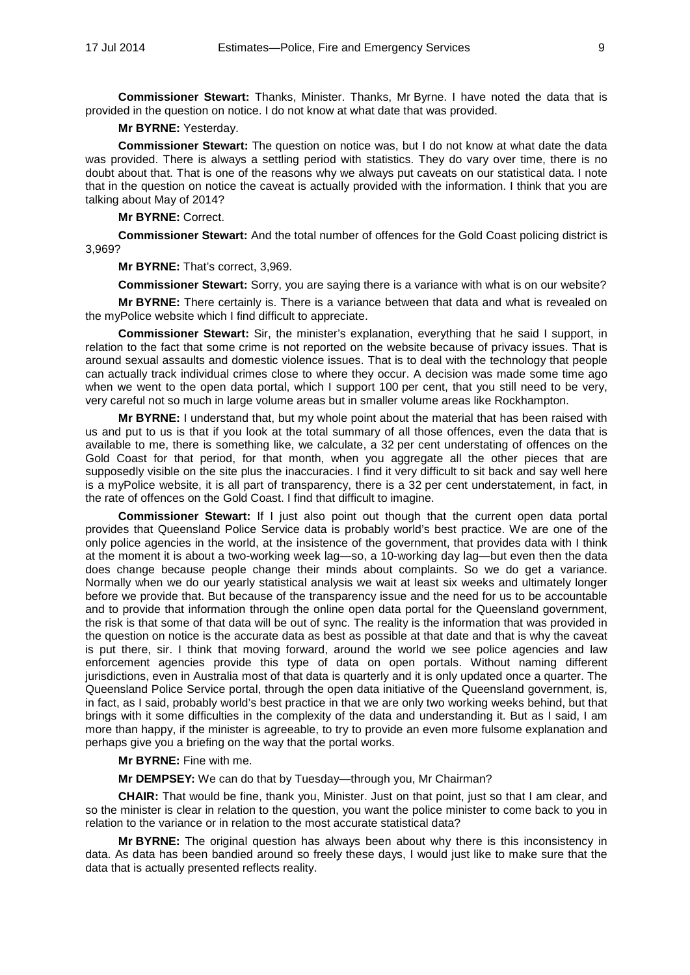**Commissioner Stewart:** Thanks, Minister. Thanks, Mr Byrne. I have noted the data that is provided in the question on notice. I do not know at what date that was provided.

# **Mr BYRNE:** Yesterday.

**Commissioner Stewart:** The question on notice was, but I do not know at what date the data was provided. There is always a settling period with statistics. They do vary over time, there is no doubt about that. That is one of the reasons why we always put caveats on our statistical data. I note that in the question on notice the caveat is actually provided with the information. I think that you are talking about May of 2014?

**Mr BYRNE:** Correct.

**Commissioner Stewart:** And the total number of offences for the Gold Coast policing district is 3,969?

**Mr BYRNE:** That's correct, 3,969.

**Commissioner Stewart:** Sorry, you are saying there is a variance with what is on our website?

**Mr BYRNE:** There certainly is. There is a variance between that data and what is revealed on the myPolice website which I find difficult to appreciate.

**Commissioner Stewart:** Sir, the minister's explanation, everything that he said I support, in relation to the fact that some crime is not reported on the website because of privacy issues. That is around sexual assaults and domestic violence issues. That is to deal with the technology that people can actually track individual crimes close to where they occur. A decision was made some time ago when we went to the open data portal, which I support 100 per cent, that you still need to be very, very careful not so much in large volume areas but in smaller volume areas like Rockhampton.

**Mr BYRNE:** I understand that, but my whole point about the material that has been raised with us and put to us is that if you look at the total summary of all those offences, even the data that is available to me, there is something like, we calculate, a 32 per cent understating of offences on the Gold Coast for that period, for that month, when you aggregate all the other pieces that are supposedly visible on the site plus the inaccuracies. I find it very difficult to sit back and say well here is a myPolice website, it is all part of transparency, there is a 32 per cent understatement, in fact, in the rate of offences on the Gold Coast. I find that difficult to imagine.

**Commissioner Stewart:** If I just also point out though that the current open data portal provides that Queensland Police Service data is probably world's best practice. We are one of the only police agencies in the world, at the insistence of the government, that provides data with I think at the moment it is about a two-working week lag—so, a 10-working day lag—but even then the data does change because people change their minds about complaints. So we do get a variance. Normally when we do our yearly statistical analysis we wait at least six weeks and ultimately longer before we provide that. But because of the transparency issue and the need for us to be accountable and to provide that information through the online open data portal for the Queensland government, the risk is that some of that data will be out of sync. The reality is the information that was provided in the question on notice is the accurate data as best as possible at that date and that is why the caveat is put there, sir. I think that moving forward, around the world we see police agencies and law enforcement agencies provide this type of data on open portals. Without naming different jurisdictions, even in Australia most of that data is quarterly and it is only updated once a quarter. The Queensland Police Service portal, through the open data initiative of the Queensland government, is, in fact, as I said, probably world's best practice in that we are only two working weeks behind, but that brings with it some difficulties in the complexity of the data and understanding it. But as I said, I am more than happy, if the minister is agreeable, to try to provide an even more fulsome explanation and perhaps give you a briefing on the way that the portal works.

**Mr BYRNE:** Fine with me.

**Mr DEMPSEY:** We can do that by Tuesday—through you, Mr Chairman?

**CHAIR:** That would be fine, thank you, Minister. Just on that point, just so that I am clear, and so the minister is clear in relation to the question, you want the police minister to come back to you in relation to the variance or in relation to the most accurate statistical data?

**Mr BYRNE:** The original question has always been about why there is this inconsistency in data. As data has been bandied around so freely these days, I would just like to make sure that the data that is actually presented reflects reality.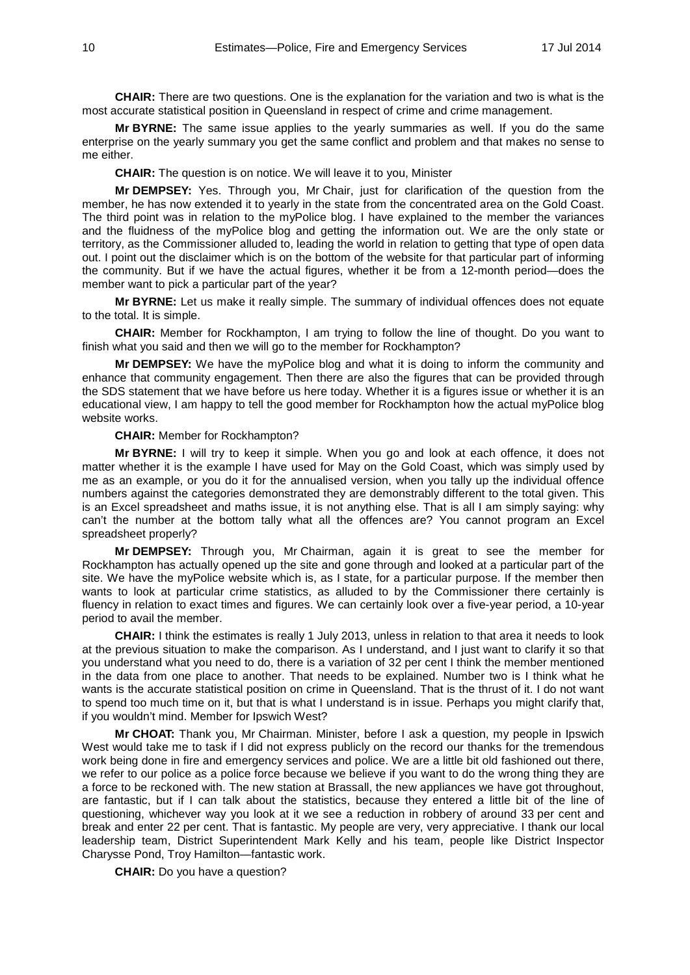**CHAIR:** There are two questions. One is the explanation for the variation and two is what is the most accurate statistical position in Queensland in respect of crime and crime management.

**Mr BYRNE:** The same issue applies to the yearly summaries as well. If you do the same enterprise on the yearly summary you get the same conflict and problem and that makes no sense to me either.

**CHAIR:** The question is on notice. We will leave it to you, Minister

**Mr DEMPSEY:** Yes. Through you, Mr Chair, just for clarification of the question from the member, he has now extended it to yearly in the state from the concentrated area on the Gold Coast. The third point was in relation to the myPolice blog. I have explained to the member the variances and the fluidness of the myPolice blog and getting the information out. We are the only state or territory, as the Commissioner alluded to, leading the world in relation to getting that type of open data out. I point out the disclaimer which is on the bottom of the website for that particular part of informing the community. But if we have the actual figures, whether it be from a 12-month period—does the member want to pick a particular part of the year?

**Mr BYRNE:** Let us make it really simple. The summary of individual offences does not equate to the total. It is simple.

**CHAIR:** Member for Rockhampton, I am trying to follow the line of thought. Do you want to finish what you said and then we will go to the member for Rockhampton?

**Mr DEMPSEY:** We have the myPolice blog and what it is doing to inform the community and enhance that community engagement. Then there are also the figures that can be provided through the SDS statement that we have before us here today. Whether it is a figures issue or whether it is an educational view, I am happy to tell the good member for Rockhampton how the actual myPolice blog website works.

### **CHAIR:** Member for Rockhampton?

**Mr BYRNE:** I will try to keep it simple. When you go and look at each offence, it does not matter whether it is the example I have used for May on the Gold Coast, which was simply used by me as an example, or you do it for the annualised version, when you tally up the individual offence numbers against the categories demonstrated they are demonstrably different to the total given. This is an Excel spreadsheet and maths issue, it is not anything else. That is all I am simply saying: why can't the number at the bottom tally what all the offences are? You cannot program an Excel spreadsheet properly?

**Mr DEMPSEY:** Through you, Mr Chairman, again it is great to see the member for Rockhampton has actually opened up the site and gone through and looked at a particular part of the site. We have the myPolice website which is, as I state, for a particular purpose. If the member then wants to look at particular crime statistics, as alluded to by the Commissioner there certainly is fluency in relation to exact times and figures. We can certainly look over a five-year period, a 10-year period to avail the member.

**CHAIR:** I think the estimates is really 1 July 2013, unless in relation to that area it needs to look at the previous situation to make the comparison. As I understand, and I just want to clarify it so that you understand what you need to do, there is a variation of 32 per cent I think the member mentioned in the data from one place to another. That needs to be explained. Number two is I think what he wants is the accurate statistical position on crime in Queensland. That is the thrust of it. I do not want to spend too much time on it, but that is what I understand is in issue. Perhaps you might clarify that, if you wouldn't mind. Member for Ipswich West?

**Mr CHOAT:** Thank you, Mr Chairman. Minister, before I ask a question, my people in Ipswich West would take me to task if I did not express publicly on the record our thanks for the tremendous work being done in fire and emergency services and police. We are a little bit old fashioned out there, we refer to our police as a police force because we believe if you want to do the wrong thing they are a force to be reckoned with. The new station at Brassall, the new appliances we have got throughout, are fantastic, but if I can talk about the statistics, because they entered a little bit of the line of questioning, whichever way you look at it we see a reduction in robbery of around 33 per cent and break and enter 22 per cent. That is fantastic. My people are very, very appreciative. I thank our local leadership team, District Superintendent Mark Kelly and his team, people like District Inspector Charysse Pond, Troy Hamilton—fantastic work.

**CHAIR:** Do you have a question?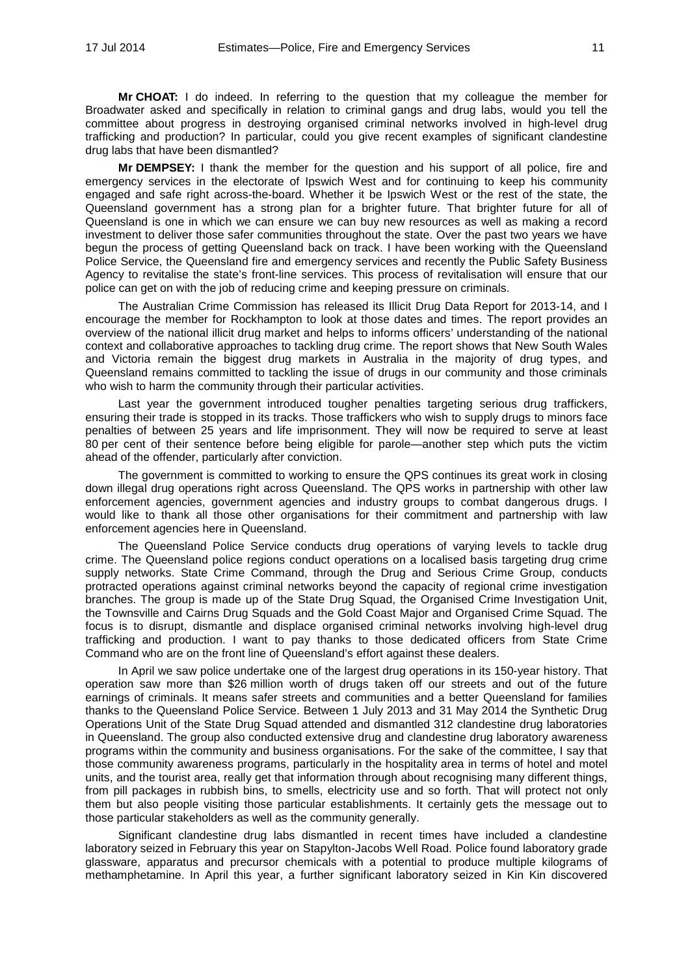**Mr CHOAT:** I do indeed. In referring to the question that my colleague the member for Broadwater asked and specifically in relation to criminal gangs and drug labs, would you tell the committee about progress in destroying organised criminal networks involved in high-level drug trafficking and production? In particular, could you give recent examples of significant clandestine drug labs that have been dismantled?

**Mr DEMPSEY:** I thank the member for the question and his support of all police, fire and emergency services in the electorate of Ipswich West and for continuing to keep his community engaged and safe right across-the-board. Whether it be Ipswich West or the rest of the state, the Queensland government has a strong plan for a brighter future. That brighter future for all of Queensland is one in which we can ensure we can buy new resources as well as making a record investment to deliver those safer communities throughout the state. Over the past two years we have begun the process of getting Queensland back on track. I have been working with the Queensland Police Service, the Queensland fire and emergency services and recently the Public Safety Business Agency to revitalise the state's front-line services. This process of revitalisation will ensure that our police can get on with the job of reducing crime and keeping pressure on criminals.

The Australian Crime Commission has released its Illicit Drug Data Report for 2013-14, and I encourage the member for Rockhampton to look at those dates and times. The report provides an overview of the national illicit drug market and helps to informs officers' understanding of the national context and collaborative approaches to tackling drug crime. The report shows that New South Wales and Victoria remain the biggest drug markets in Australia in the majority of drug types, and Queensland remains committed to tackling the issue of drugs in our community and those criminals who wish to harm the community through their particular activities.

Last year the government introduced tougher penalties targeting serious drug traffickers, ensuring their trade is stopped in its tracks. Those traffickers who wish to supply drugs to minors face penalties of between 25 years and life imprisonment. They will now be required to serve at least 80 per cent of their sentence before being eligible for parole—another step which puts the victim ahead of the offender, particularly after conviction.

The government is committed to working to ensure the QPS continues its great work in closing down illegal drug operations right across Queensland. The QPS works in partnership with other law enforcement agencies, government agencies and industry groups to combat dangerous drugs. I would like to thank all those other organisations for their commitment and partnership with law enforcement agencies here in Queensland.

The Queensland Police Service conducts drug operations of varying levels to tackle drug crime. The Queensland police regions conduct operations on a localised basis targeting drug crime supply networks. State Crime Command, through the Drug and Serious Crime Group, conducts protracted operations against criminal networks beyond the capacity of regional crime investigation branches. The group is made up of the State Drug Squad, the Organised Crime Investigation Unit, the Townsville and Cairns Drug Squads and the Gold Coast Major and Organised Crime Squad. The focus is to disrupt, dismantle and displace organised criminal networks involving high-level drug trafficking and production. I want to pay thanks to those dedicated officers from State Crime Command who are on the front line of Queensland's effort against these dealers.

In April we saw police undertake one of the largest drug operations in its 150-year history. That operation saw more than \$26 million worth of drugs taken off our streets and out of the future earnings of criminals. It means safer streets and communities and a better Queensland for families thanks to the Queensland Police Service. Between 1 July 2013 and 31 May 2014 the Synthetic Drug Operations Unit of the State Drug Squad attended and dismantled 312 clandestine drug laboratories in Queensland. The group also conducted extensive drug and clandestine drug laboratory awareness programs within the community and business organisations. For the sake of the committee, I say that those community awareness programs, particularly in the hospitality area in terms of hotel and motel units, and the tourist area, really get that information through about recognising many different things, from pill packages in rubbish bins, to smells, electricity use and so forth. That will protect not only them but also people visiting those particular establishments. It certainly gets the message out to those particular stakeholders as well as the community generally.

Significant clandestine drug labs dismantled in recent times have included a clandestine laboratory seized in February this year on Stapylton-Jacobs Well Road. Police found laboratory grade glassware, apparatus and precursor chemicals with a potential to produce multiple kilograms of methamphetamine. In April this year, a further significant laboratory seized in Kin Kin discovered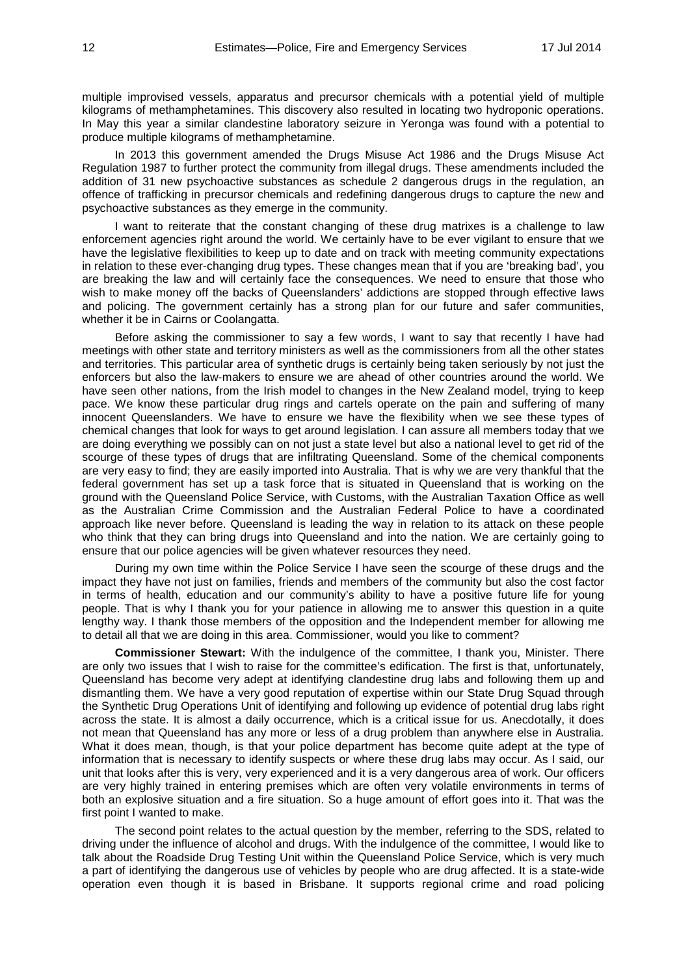multiple improvised vessels, apparatus and precursor chemicals with a potential yield of multiple kilograms of methamphetamines. This discovery also resulted in locating two hydroponic operations. In May this year a similar clandestine laboratory seizure in Yeronga was found with a potential to produce multiple kilograms of methamphetamine.

In 2013 this government amended the Drugs Misuse Act 1986 and the Drugs Misuse Act Regulation 1987 to further protect the community from illegal drugs. These amendments included the addition of 31 new psychoactive substances as schedule 2 dangerous drugs in the regulation, an offence of trafficking in precursor chemicals and redefining dangerous drugs to capture the new and psychoactive substances as they emerge in the community.

I want to reiterate that the constant changing of these drug matrixes is a challenge to law enforcement agencies right around the world. We certainly have to be ever vigilant to ensure that we have the legislative flexibilities to keep up to date and on track with meeting community expectations in relation to these ever-changing drug types. These changes mean that if you are 'breaking bad', you are breaking the law and will certainly face the consequences. We need to ensure that those who wish to make money off the backs of Queenslanders' addictions are stopped through effective laws and policing. The government certainly has a strong plan for our future and safer communities, whether it be in Cairns or Coolangatta.

Before asking the commissioner to say a few words, I want to say that recently I have had meetings with other state and territory ministers as well as the commissioners from all the other states and territories. This particular area of synthetic drugs is certainly being taken seriously by not just the enforcers but also the law-makers to ensure we are ahead of other countries around the world. We have seen other nations, from the Irish model to changes in the New Zealand model, trying to keep pace. We know these particular drug rings and cartels operate on the pain and suffering of many innocent Queenslanders. We have to ensure we have the flexibility when we see these types of chemical changes that look for ways to get around legislation. I can assure all members today that we are doing everything we possibly can on not just a state level but also a national level to get rid of the scourge of these types of drugs that are infiltrating Queensland. Some of the chemical components are very easy to find; they are easily imported into Australia. That is why we are very thankful that the federal government has set up a task force that is situated in Queensland that is working on the ground with the Queensland Police Service, with Customs, with the Australian Taxation Office as well as the Australian Crime Commission and the Australian Federal Police to have a coordinated approach like never before. Queensland is leading the way in relation to its attack on these people who think that they can bring drugs into Queensland and into the nation. We are certainly going to ensure that our police agencies will be given whatever resources they need.

During my own time within the Police Service I have seen the scourge of these drugs and the impact they have not just on families, friends and members of the community but also the cost factor in terms of health, education and our community's ability to have a positive future life for young people. That is why I thank you for your patience in allowing me to answer this question in a quite lengthy way. I thank those members of the opposition and the Independent member for allowing me to detail all that we are doing in this area. Commissioner, would you like to comment?

**Commissioner Stewart:** With the indulgence of the committee, I thank you, Minister. There are only two issues that I wish to raise for the committee's edification. The first is that, unfortunately, Queensland has become very adept at identifying clandestine drug labs and following them up and dismantling them. We have a very good reputation of expertise within our State Drug Squad through the Synthetic Drug Operations Unit of identifying and following up evidence of potential drug labs right across the state. It is almost a daily occurrence, which is a critical issue for us. Anecdotally, it does not mean that Queensland has any more or less of a drug problem than anywhere else in Australia. What it does mean, though, is that your police department has become quite adept at the type of information that is necessary to identify suspects or where these drug labs may occur. As I said, our unit that looks after this is very, very experienced and it is a very dangerous area of work. Our officers are very highly trained in entering premises which are often very volatile environments in terms of both an explosive situation and a fire situation. So a huge amount of effort goes into it. That was the first point I wanted to make.

The second point relates to the actual question by the member, referring to the SDS, related to driving under the influence of alcohol and drugs. With the indulgence of the committee, I would like to talk about the Roadside Drug Testing Unit within the Queensland Police Service, which is very much a part of identifying the dangerous use of vehicles by people who are drug affected. It is a state-wide operation even though it is based in Brisbane. It supports regional crime and road policing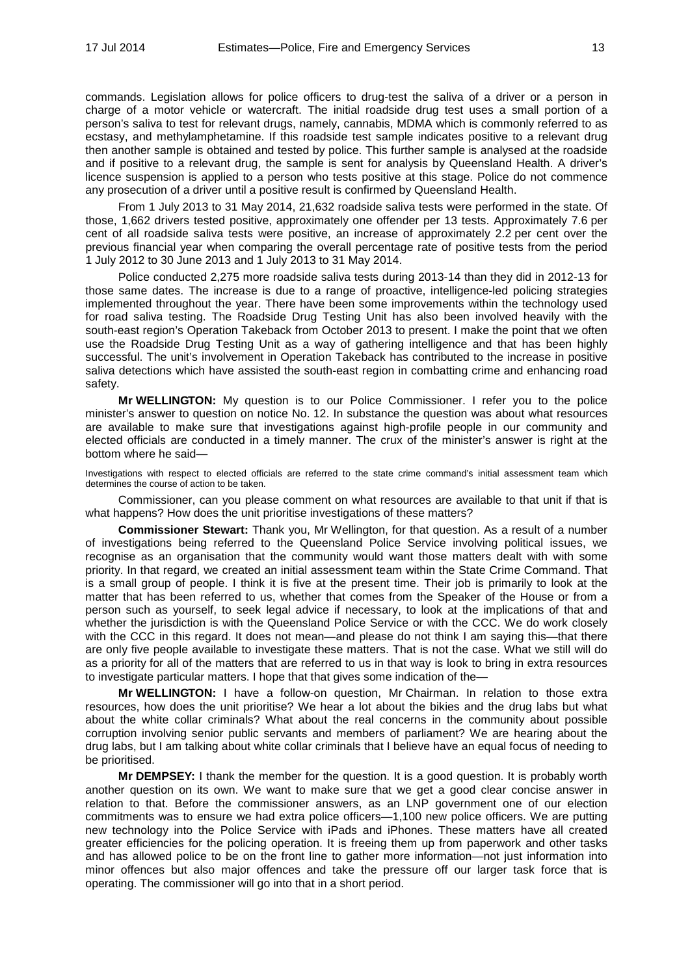commands. Legislation allows for police officers to drug-test the saliva of a driver or a person in charge of a motor vehicle or watercraft. The initial roadside drug test uses a small portion of a person's saliva to test for relevant drugs, namely, cannabis, MDMA which is commonly referred to as ecstasy, and methylamphetamine. If this roadside test sample indicates positive to a relevant drug then another sample is obtained and tested by police. This further sample is analysed at the roadside and if positive to a relevant drug, the sample is sent for analysis by Queensland Health. A driver's licence suspension is applied to a person who tests positive at this stage. Police do not commence any prosecution of a driver until a positive result is confirmed by Queensland Health.

From 1 July 2013 to 31 May 2014, 21,632 roadside saliva tests were performed in the state. Of those, 1,662 drivers tested positive, approximately one offender per 13 tests. Approximately 7.6 per cent of all roadside saliva tests were positive, an increase of approximately 2.2 per cent over the previous financial year when comparing the overall percentage rate of positive tests from the period 1 July 2012 to 30 June 2013 and 1 July 2013 to 31 May 2014.

Police conducted 2,275 more roadside saliva tests during 2013-14 than they did in 2012-13 for those same dates. The increase is due to a range of proactive, intelligence-led policing strategies implemented throughout the year. There have been some improvements within the technology used for road saliva testing. The Roadside Drug Testing Unit has also been involved heavily with the south-east region's Operation Takeback from October 2013 to present. I make the point that we often use the Roadside Drug Testing Unit as a way of gathering intelligence and that has been highly successful. The unit's involvement in Operation Takeback has contributed to the increase in positive saliva detections which have assisted the south-east region in combatting crime and enhancing road safety.

**Mr WELLINGTON:** My question is to our Police Commissioner. I refer you to the police minister's answer to question on notice No. 12. In substance the question was about what resources are available to make sure that investigations against high-profile people in our community and elected officials are conducted in a timely manner. The crux of the minister's answer is right at the bottom where he said—

Investigations with respect to elected officials are referred to the state crime command's initial assessment team which determines the course of action to be taken.

Commissioner, can you please comment on what resources are available to that unit if that is what happens? How does the unit prioritise investigations of these matters?

**Commissioner Stewart:** Thank you, Mr Wellington, for that question. As a result of a number of investigations being referred to the Queensland Police Service involving political issues, we recognise as an organisation that the community would want those matters dealt with with some priority. In that regard, we created an initial assessment team within the State Crime Command. That is a small group of people. I think it is five at the present time. Their job is primarily to look at the matter that has been referred to us, whether that comes from the Speaker of the House or from a person such as yourself, to seek legal advice if necessary, to look at the implications of that and whether the jurisdiction is with the Queensland Police Service or with the CCC. We do work closely with the CCC in this regard. It does not mean—and please do not think I am saying this—that there are only five people available to investigate these matters. That is not the case. What we still will do as a priority for all of the matters that are referred to us in that way is look to bring in extra resources to investigate particular matters. I hope that that gives some indication of the—

**Mr WELLINGTON:** I have a follow-on question, Mr Chairman. In relation to those extra resources, how does the unit prioritise? We hear a lot about the bikies and the drug labs but what about the white collar criminals? What about the real concerns in the community about possible corruption involving senior public servants and members of parliament? We are hearing about the drug labs, but I am talking about white collar criminals that I believe have an equal focus of needing to be prioritised.

**Mr DEMPSEY:** I thank the member for the question. It is a good question. It is probably worth another question on its own. We want to make sure that we get a good clear concise answer in relation to that. Before the commissioner answers, as an LNP government one of our election commitments was to ensure we had extra police officers—1,100 new police officers. We are putting new technology into the Police Service with iPads and iPhones. These matters have all created greater efficiencies for the policing operation. It is freeing them up from paperwork and other tasks and has allowed police to be on the front line to gather more information—not just information into minor offences but also major offences and take the pressure off our larger task force that is operating. The commissioner will go into that in a short period.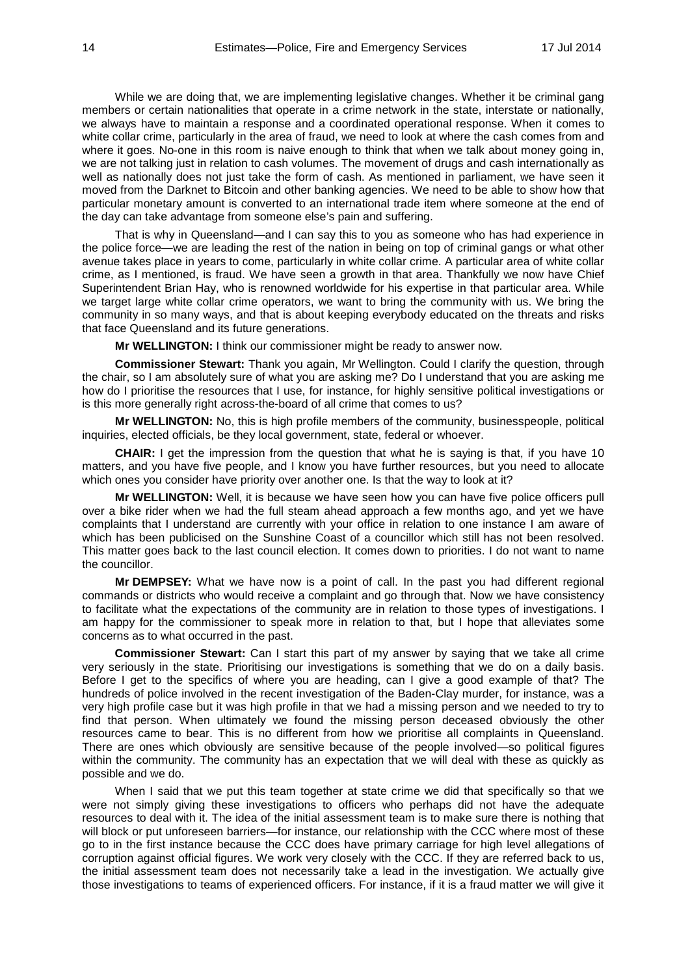While we are doing that, we are implementing legislative changes. Whether it be criminal gang members or certain nationalities that operate in a crime network in the state, interstate or nationally, we always have to maintain a response and a coordinated operational response. When it comes to white collar crime, particularly in the area of fraud, we need to look at where the cash comes from and where it goes. No-one in this room is naive enough to think that when we talk about money going in, we are not talking just in relation to cash volumes. The movement of drugs and cash internationally as well as nationally does not just take the form of cash. As mentioned in parliament, we have seen it moved from the Darknet to Bitcoin and other banking agencies. We need to be able to show how that particular monetary amount is converted to an international trade item where someone at the end of the day can take advantage from someone else's pain and suffering.

That is why in Queensland—and I can say this to you as someone who has had experience in the police force—we are leading the rest of the nation in being on top of criminal gangs or what other avenue takes place in years to come, particularly in white collar crime. A particular area of white collar crime, as I mentioned, is fraud. We have seen a growth in that area. Thankfully we now have Chief Superintendent Brian Hay, who is renowned worldwide for his expertise in that particular area. While we target large white collar crime operators, we want to bring the community with us. We bring the community in so many ways, and that is about keeping everybody educated on the threats and risks that face Queensland and its future generations.

**Mr WELLINGTON:** I think our commissioner might be ready to answer now.

**Commissioner Stewart:** Thank you again, Mr Wellington. Could I clarify the question, through the chair, so I am absolutely sure of what you are asking me? Do I understand that you are asking me how do I prioritise the resources that I use, for instance, for highly sensitive political investigations or is this more generally right across-the-board of all crime that comes to us?

**Mr WELLINGTON:** No, this is high profile members of the community, businesspeople, political inquiries, elected officials, be they local government, state, federal or whoever.

**CHAIR:** I get the impression from the question that what he is saying is that, if you have 10 matters, and you have five people, and I know you have further resources, but you need to allocate which ones you consider have priority over another one. Is that the way to look at it?

**Mr WELLINGTON:** Well, it is because we have seen how you can have five police officers pull over a bike rider when we had the full steam ahead approach a few months ago, and yet we have complaints that I understand are currently with your office in relation to one instance I am aware of which has been publicised on the Sunshine Coast of a councillor which still has not been resolved. This matter goes back to the last council election. It comes down to priorities. I do not want to name the councillor.

**Mr DEMPSEY:** What we have now is a point of call. In the past you had different regional commands or districts who would receive a complaint and go through that. Now we have consistency to facilitate what the expectations of the community are in relation to those types of investigations. I am happy for the commissioner to speak more in relation to that, but I hope that alleviates some concerns as to what occurred in the past.

**Commissioner Stewart:** Can I start this part of my answer by saying that we take all crime very seriously in the state. Prioritising our investigations is something that we do on a daily basis. Before I get to the specifics of where you are heading, can I give a good example of that? The hundreds of police involved in the recent investigation of the Baden-Clay murder, for instance, was a very high profile case but it was high profile in that we had a missing person and we needed to try to find that person. When ultimately we found the missing person deceased obviously the other resources came to bear. This is no different from how we prioritise all complaints in Queensland. There are ones which obviously are sensitive because of the people involved—so political figures within the community. The community has an expectation that we will deal with these as quickly as possible and we do.

When I said that we put this team together at state crime we did that specifically so that we were not simply giving these investigations to officers who perhaps did not have the adequate resources to deal with it. The idea of the initial assessment team is to make sure there is nothing that will block or put unforeseen barriers—for instance, our relationship with the CCC where most of these go to in the first instance because the CCC does have primary carriage for high level allegations of corruption against official figures. We work very closely with the CCC. If they are referred back to us, the initial assessment team does not necessarily take a lead in the investigation. We actually give those investigations to teams of experienced officers. For instance, if it is a fraud matter we will give it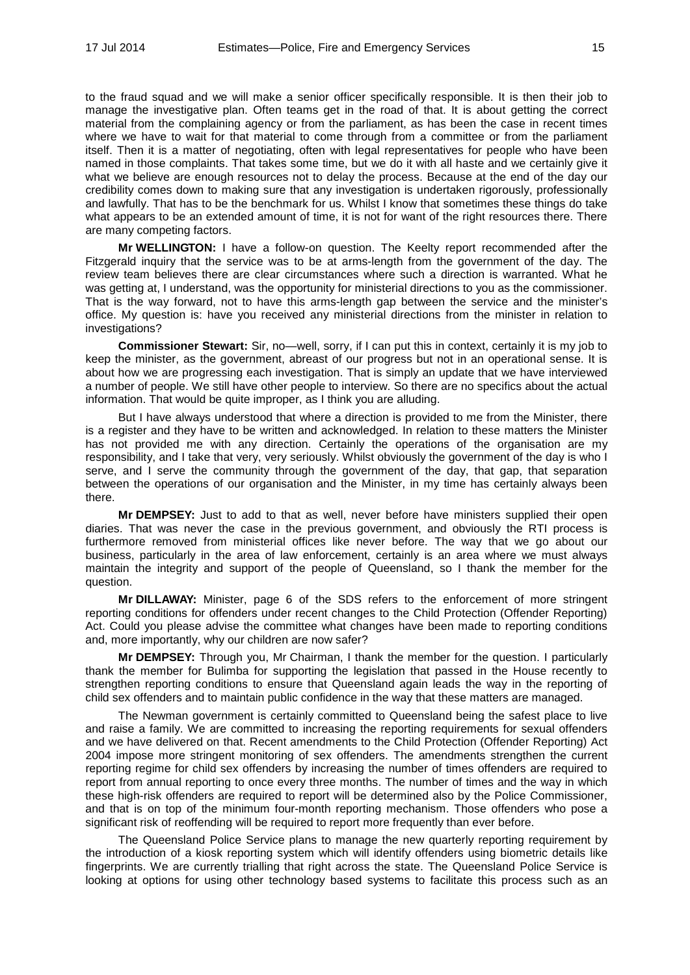to the fraud squad and we will make a senior officer specifically responsible. It is then their job to manage the investigative plan. Often teams get in the road of that. It is about getting the correct material from the complaining agency or from the parliament, as has been the case in recent times where we have to wait for that material to come through from a committee or from the parliament itself. Then it is a matter of negotiating, often with legal representatives for people who have been named in those complaints. That takes some time, but we do it with all haste and we certainly give it what we believe are enough resources not to delay the process. Because at the end of the day our credibility comes down to making sure that any investigation is undertaken rigorously, professionally and lawfully. That has to be the benchmark for us. Whilst I know that sometimes these things do take what appears to be an extended amount of time, it is not for want of the right resources there. There are many competing factors.

**Mr WELLINGTON:** I have a follow-on question. The Keelty report recommended after the Fitzgerald inquiry that the service was to be at arms-length from the government of the day. The review team believes there are clear circumstances where such a direction is warranted. What he was getting at, I understand, was the opportunity for ministerial directions to you as the commissioner. That is the way forward, not to have this arms-length gap between the service and the minister's office. My question is: have you received any ministerial directions from the minister in relation to investigations?

**Commissioner Stewart:** Sir, no—well, sorry, if I can put this in context, certainly it is my job to keep the minister, as the government, abreast of our progress but not in an operational sense. It is about how we are progressing each investigation. That is simply an update that we have interviewed a number of people. We still have other people to interview. So there are no specifics about the actual information. That would be quite improper, as I think you are alluding.

But I have always understood that where a direction is provided to me from the Minister, there is a register and they have to be written and acknowledged. In relation to these matters the Minister has not provided me with any direction. Certainly the operations of the organisation are my responsibility, and I take that very, very seriously. Whilst obviously the government of the day is who I serve, and I serve the community through the government of the day, that gap, that separation between the operations of our organisation and the Minister, in my time has certainly always been there.

**Mr DEMPSEY:** Just to add to that as well, never before have ministers supplied their open diaries. That was never the case in the previous government, and obviously the RTI process is furthermore removed from ministerial offices like never before. The way that we go about our business, particularly in the area of law enforcement, certainly is an area where we must always maintain the integrity and support of the people of Queensland, so I thank the member for the question.

**Mr DILLAWAY:** Minister, page 6 of the SDS refers to the enforcement of more stringent reporting conditions for offenders under recent changes to the Child Protection (Offender Reporting) Act. Could you please advise the committee what changes have been made to reporting conditions and, more importantly, why our children are now safer?

**Mr DEMPSEY:** Through you, Mr Chairman, I thank the member for the question. I particularly thank the member for Bulimba for supporting the legislation that passed in the House recently to strengthen reporting conditions to ensure that Queensland again leads the way in the reporting of child sex offenders and to maintain public confidence in the way that these matters are managed.

The Newman government is certainly committed to Queensland being the safest place to live and raise a family. We are committed to increasing the reporting requirements for sexual offenders and we have delivered on that. Recent amendments to the Child Protection (Offender Reporting) Act 2004 impose more stringent monitoring of sex offenders. The amendments strengthen the current reporting regime for child sex offenders by increasing the number of times offenders are required to report from annual reporting to once every three months. The number of times and the way in which these high-risk offenders are required to report will be determined also by the Police Commissioner, and that is on top of the minimum four-month reporting mechanism. Those offenders who pose a significant risk of reoffending will be required to report more frequently than ever before.

The Queensland Police Service plans to manage the new quarterly reporting requirement by the introduction of a kiosk reporting system which will identify offenders using biometric details like fingerprints. We are currently trialling that right across the state. The Queensland Police Service is looking at options for using other technology based systems to facilitate this process such as an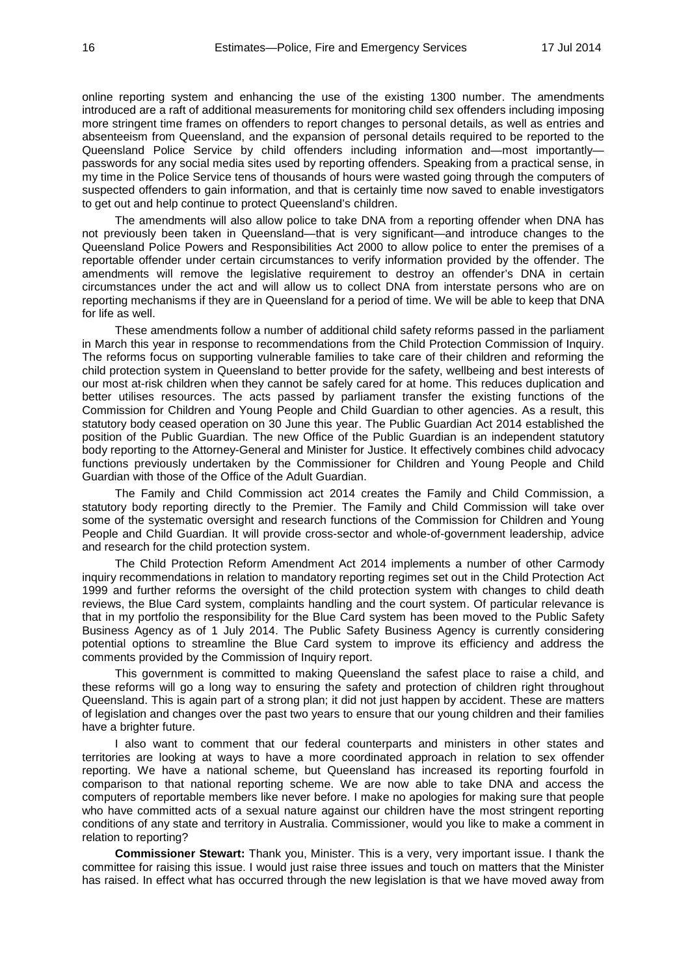online reporting system and enhancing the use of the existing 1300 number. The amendments introduced are a raft of additional measurements for monitoring child sex offenders including imposing more stringent time frames on offenders to report changes to personal details, as well as entries and absenteeism from Queensland, and the expansion of personal details required to be reported to the Queensland Police Service by child offenders including information and—most importantly passwords for any social media sites used by reporting offenders. Speaking from a practical sense, in my time in the Police Service tens of thousands of hours were wasted going through the computers of suspected offenders to gain information, and that is certainly time now saved to enable investigators to get out and help continue to protect Queensland's children.

The amendments will also allow police to take DNA from a reporting offender when DNA has not previously been taken in Queensland—that is very significant—and introduce changes to the Queensland Police Powers and Responsibilities Act 2000 to allow police to enter the premises of a reportable offender under certain circumstances to verify information provided by the offender. The amendments will remove the legislative requirement to destroy an offender's DNA in certain circumstances under the act and will allow us to collect DNA from interstate persons who are on reporting mechanisms if they are in Queensland for a period of time. We will be able to keep that DNA for life as well.

These amendments follow a number of additional child safety reforms passed in the parliament in March this year in response to recommendations from the Child Protection Commission of Inquiry. The reforms focus on supporting vulnerable families to take care of their children and reforming the child protection system in Queensland to better provide for the safety, wellbeing and best interests of our most at-risk children when they cannot be safely cared for at home. This reduces duplication and better utilises resources. The acts passed by parliament transfer the existing functions of the Commission for Children and Young People and Child Guardian to other agencies. As a result, this statutory body ceased operation on 30 June this year. The Public Guardian Act 2014 established the position of the Public Guardian. The new Office of the Public Guardian is an independent statutory body reporting to the Attorney-General and Minister for Justice. It effectively combines child advocacy functions previously undertaken by the Commissioner for Children and Young People and Child Guardian with those of the Office of the Adult Guardian.

The Family and Child Commission act 2014 creates the Family and Child Commission, a statutory body reporting directly to the Premier. The Family and Child Commission will take over some of the systematic oversight and research functions of the Commission for Children and Young People and Child Guardian. It will provide cross-sector and whole-of-government leadership, advice and research for the child protection system.

The Child Protection Reform Amendment Act 2014 implements a number of other Carmody inquiry recommendations in relation to mandatory reporting regimes set out in the Child Protection Act 1999 and further reforms the oversight of the child protection system with changes to child death reviews, the Blue Card system, complaints handling and the court system. Of particular relevance is that in my portfolio the responsibility for the Blue Card system has been moved to the Public Safety Business Agency as of 1 July 2014. The Public Safety Business Agency is currently considering potential options to streamline the Blue Card system to improve its efficiency and address the comments provided by the Commission of Inquiry report.

This government is committed to making Queensland the safest place to raise a child, and these reforms will go a long way to ensuring the safety and protection of children right throughout Queensland. This is again part of a strong plan; it did not just happen by accident. These are matters of legislation and changes over the past two years to ensure that our young children and their families have a brighter future.

I also want to comment that our federal counterparts and ministers in other states and territories are looking at ways to have a more coordinated approach in relation to sex offender reporting. We have a national scheme, but Queensland has increased its reporting fourfold in comparison to that national reporting scheme. We are now able to take DNA and access the computers of reportable members like never before. I make no apologies for making sure that people who have committed acts of a sexual nature against our children have the most stringent reporting conditions of any state and territory in Australia. Commissioner, would you like to make a comment in relation to reporting?

**Commissioner Stewart:** Thank you, Minister. This is a very, very important issue. I thank the committee for raising this issue. I would just raise three issues and touch on matters that the Minister has raised. In effect what has occurred through the new legislation is that we have moved away from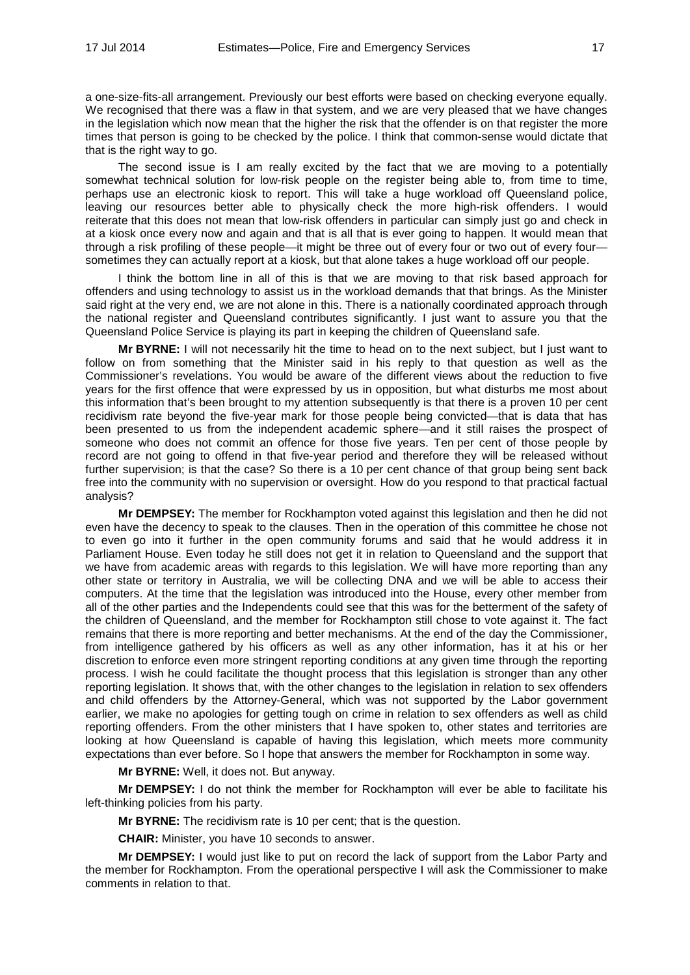a one-size-fits-all arrangement. Previously our best efforts were based on checking everyone equally. We recognised that there was a flaw in that system, and we are very pleased that we have changes in the legislation which now mean that the higher the risk that the offender is on that register the more times that person is going to be checked by the police. I think that common-sense would dictate that that is the right way to go.

The second issue is I am really excited by the fact that we are moving to a potentially somewhat technical solution for low-risk people on the register being able to, from time to time, perhaps use an electronic kiosk to report. This will take a huge workload off Queensland police, leaving our resources better able to physically check the more high-risk offenders. I would reiterate that this does not mean that low-risk offenders in particular can simply just go and check in at a kiosk once every now and again and that is all that is ever going to happen. It would mean that through a risk profiling of these people—it might be three out of every four or two out of every four sometimes they can actually report at a kiosk, but that alone takes a huge workload off our people.

I think the bottom line in all of this is that we are moving to that risk based approach for offenders and using technology to assist us in the workload demands that that brings. As the Minister said right at the very end, we are not alone in this. There is a nationally coordinated approach through the national register and Queensland contributes significantly. I just want to assure you that the Queensland Police Service is playing its part in keeping the children of Queensland safe.

**Mr BYRNE:** I will not necessarily hit the time to head on to the next subject, but I just want to follow on from something that the Minister said in his reply to that question as well as the Commissioner's revelations. You would be aware of the different views about the reduction to five years for the first offence that were expressed by us in opposition, but what disturbs me most about this information that's been brought to my attention subsequently is that there is a proven 10 per cent recidivism rate beyond the five-year mark for those people being convicted—that is data that has been presented to us from the independent academic sphere—and it still raises the prospect of someone who does not commit an offence for those five years. Ten per cent of those people by record are not going to offend in that five-year period and therefore they will be released without further supervision; is that the case? So there is a 10 per cent chance of that group being sent back free into the community with no supervision or oversight. How do you respond to that practical factual analysis?

**Mr DEMPSEY:** The member for Rockhampton voted against this legislation and then he did not even have the decency to speak to the clauses. Then in the operation of this committee he chose not to even go into it further in the open community forums and said that he would address it in Parliament House. Even today he still does not get it in relation to Queensland and the support that we have from academic areas with regards to this legislation. We will have more reporting than any other state or territory in Australia, we will be collecting DNA and we will be able to access their computers. At the time that the legislation was introduced into the House, every other member from all of the other parties and the Independents could see that this was for the betterment of the safety of the children of Queensland, and the member for Rockhampton still chose to vote against it. The fact remains that there is more reporting and better mechanisms. At the end of the day the Commissioner, from intelligence gathered by his officers as well as any other information, has it at his or her discretion to enforce even more stringent reporting conditions at any given time through the reporting process. I wish he could facilitate the thought process that this legislation is stronger than any other reporting legislation. It shows that, with the other changes to the legislation in relation to sex offenders and child offenders by the Attorney-General, which was not supported by the Labor government earlier, we make no apologies for getting tough on crime in relation to sex offenders as well as child reporting offenders. From the other ministers that I have spoken to, other states and territories are looking at how Queensland is capable of having this legislation, which meets more community expectations than ever before. So I hope that answers the member for Rockhampton in some way.

**Mr BYRNE:** Well, it does not. But anyway.

**Mr DEMPSEY:** I do not think the member for Rockhampton will ever be able to facilitate his left-thinking policies from his party.

**Mr BYRNE:** The recidivism rate is 10 per cent; that is the question.

**CHAIR:** Minister, you have 10 seconds to answer.

**Mr DEMPSEY:** I would just like to put on record the lack of support from the Labor Party and the member for Rockhampton. From the operational perspective I will ask the Commissioner to make comments in relation to that.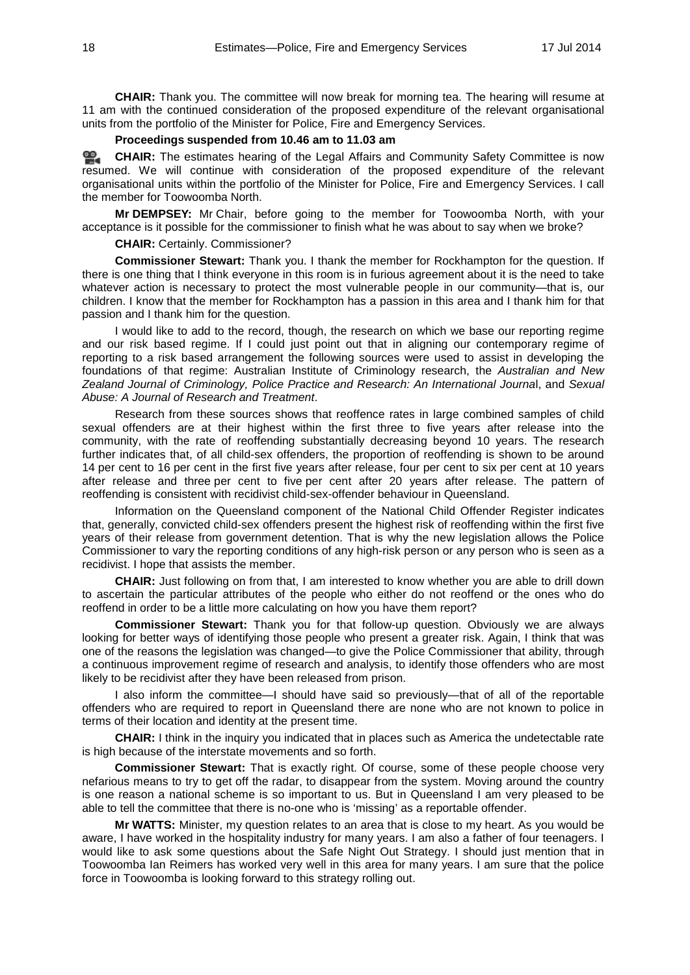**CHAIR:** Thank you. The committee will now break for morning tea. The hearing will resume at 11 am with the continued consideration of the proposed expenditure of the relevant organisational units from the portfolio of the Minister for Police, Fire and Emergency Services.

# **Proceedings suspended from 10.46 am to 11.03 am**

**[CHAIR:](http://www.parliament.qld.gov.au/docs/find.aspx?id=0MbaLACSC20140717_110313)** The estimates hearing of the Legal Affairs and Community Safety Committee is now resumed. We will continue with consideration of the proposed expenditure of the relevant organisational units within the portfolio of the Minister for Police, Fire and Emergency Services. I call the member for Toowoomba North.

**Mr DEMPSEY:** Mr Chair, before going to the member for Toowoomba North, with your acceptance is it possible for the commissioner to finish what he was about to say when we broke?

#### **CHAIR:** Certainly. Commissioner?

**Commissioner Stewart:** Thank you. I thank the member for Rockhampton for the question. If there is one thing that I think everyone in this room is in furious agreement about it is the need to take whatever action is necessary to protect the most vulnerable people in our community—that is, our children. I know that the member for Rockhampton has a passion in this area and I thank him for that passion and I thank him for the question.

I would like to add to the record, though, the research on which we base our reporting regime and our risk based regime. If I could just point out that in aligning our contemporary regime of reporting to a risk based arrangement the following sources were used to assist in developing the foundations of that regime: Australian Institute of Criminology research, the *Australian and New Zealand Journal of Criminology, Police Practice and Research: An International Journa*l, and *Sexual Abuse: A Journal of Research and Treatment*.

Research from these sources shows that reoffence rates in large combined samples of child sexual offenders are at their highest within the first three to five years after release into the community, with the rate of reoffending substantially decreasing beyond 10 years. The research further indicates that, of all child-sex offenders, the proportion of reoffending is shown to be around 14 per cent to 16 per cent in the first five years after release, four per cent to six per cent at 10 years after release and three per cent to five per cent after 20 years after release. The pattern of reoffending is consistent with recidivist child-sex-offender behaviour in Queensland.

Information on the Queensland component of the National Child Offender Register indicates that, generally, convicted child-sex offenders present the highest risk of reoffending within the first five years of their release from government detention. That is why the new legislation allows the Police Commissioner to vary the reporting conditions of any high-risk person or any person who is seen as a recidivist. I hope that assists the member.

**CHAIR:** Just following on from that, I am interested to know whether you are able to drill down to ascertain the particular attributes of the people who either do not reoffend or the ones who do reoffend in order to be a little more calculating on how you have them report?

**Commissioner Stewart:** Thank you for that follow-up question. Obviously we are always looking for better ways of identifying those people who present a greater risk. Again, I think that was one of the reasons the legislation was changed—to give the Police Commissioner that ability, through a continuous improvement regime of research and analysis, to identify those offenders who are most likely to be recidivist after they have been released from prison.

I also inform the committee—I should have said so previously—that of all of the reportable offenders who are required to report in Queensland there are none who are not known to police in terms of their location and identity at the present time.

**CHAIR:** I think in the inquiry you indicated that in places such as America the undetectable rate is high because of the interstate movements and so forth.

**Commissioner Stewart:** That is exactly right. Of course, some of these people choose very nefarious means to try to get off the radar, to disappear from the system. Moving around the country is one reason a national scheme is so important to us. But in Queensland I am very pleased to be able to tell the committee that there is no-one who is 'missing' as a reportable offender.

**Mr WATTS:** Minister, my question relates to an area that is close to my heart. As you would be aware, I have worked in the hospitality industry for many years. I am also a father of four teenagers. I would like to ask some questions about the Safe Night Out Strategy. I should just mention that in Toowoomba Ian Reimers has worked very well in this area for many years. I am sure that the police force in Toowoomba is looking forward to this strategy rolling out.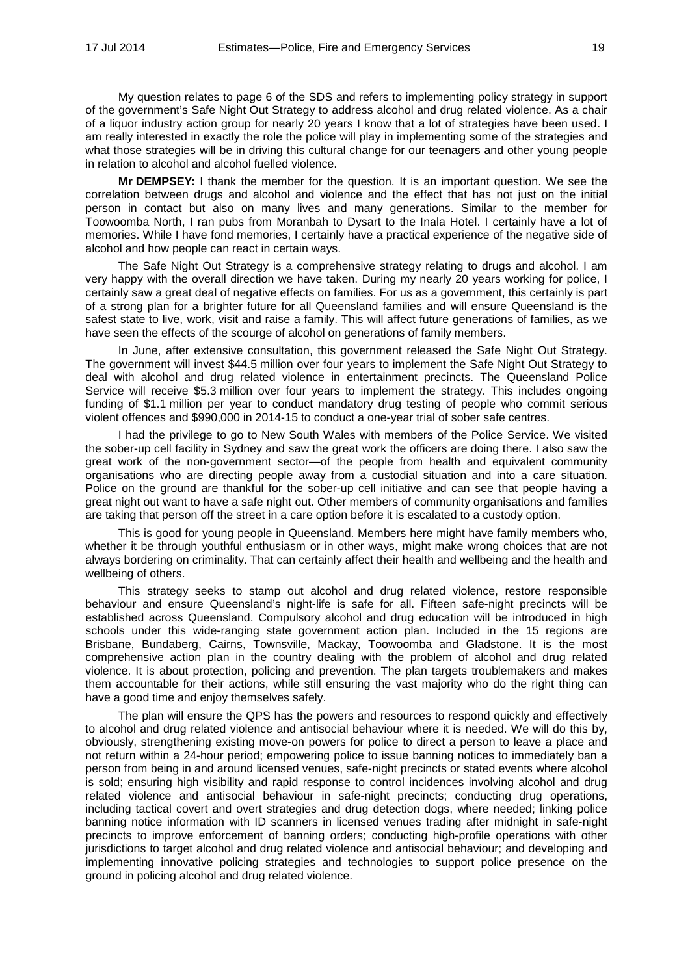My question relates to page 6 of the SDS and refers to implementing policy strategy in support of the government's Safe Night Out Strategy to address alcohol and drug related violence. As a chair of a liquor industry action group for nearly 20 years I know that a lot of strategies have been used. I am really interested in exactly the role the police will play in implementing some of the strategies and what those strategies will be in driving this cultural change for our teenagers and other young people in relation to alcohol and alcohol fuelled violence.

**Mr DEMPSEY:** I thank the member for the question. It is an important question. We see the correlation between drugs and alcohol and violence and the effect that has not just on the initial person in contact but also on many lives and many generations. Similar to the member for Toowoomba North, I ran pubs from Moranbah to Dysart to the Inala Hotel. I certainly have a lot of memories. While I have fond memories, I certainly have a practical experience of the negative side of alcohol and how people can react in certain ways.

The Safe Night Out Strategy is a comprehensive strategy relating to drugs and alcohol. I am very happy with the overall direction we have taken. During my nearly 20 years working for police, I certainly saw a great deal of negative effects on families. For us as a government, this certainly is part of a strong plan for a brighter future for all Queensland families and will ensure Queensland is the safest state to live, work, visit and raise a family. This will affect future generations of families, as we have seen the effects of the scourge of alcohol on generations of family members.

In June, after extensive consultation, this government released the Safe Night Out Strategy. The government will invest \$44.5 million over four years to implement the Safe Night Out Strategy to deal with alcohol and drug related violence in entertainment precincts. The Queensland Police Service will receive \$5.3 million over four years to implement the strategy. This includes ongoing funding of \$1.1 million per year to conduct mandatory drug testing of people who commit serious violent offences and \$990,000 in 2014-15 to conduct a one-year trial of sober safe centres.

I had the privilege to go to New South Wales with members of the Police Service. We visited the sober-up cell facility in Sydney and saw the great work the officers are doing there. I also saw the great work of the non-government sector—of the people from health and equivalent community organisations who are directing people away from a custodial situation and into a care situation. Police on the ground are thankful for the sober-up cell initiative and can see that people having a great night out want to have a safe night out. Other members of community organisations and families are taking that person off the street in a care option before it is escalated to a custody option.

This is good for young people in Queensland. Members here might have family members who, whether it be through youthful enthusiasm or in other ways, might make wrong choices that are not always bordering on criminality. That can certainly affect their health and wellbeing and the health and wellbeing of others.

This strategy seeks to stamp out alcohol and drug related violence, restore responsible behaviour and ensure Queensland's night-life is safe for all. Fifteen safe-night precincts will be established across Queensland. Compulsory alcohol and drug education will be introduced in high schools under this wide-ranging state government action plan. Included in the 15 regions are Brisbane, Bundaberg, Cairns, Townsville, Mackay, Toowoomba and Gladstone. It is the most comprehensive action plan in the country dealing with the problem of alcohol and drug related violence. It is about protection, policing and prevention. The plan targets troublemakers and makes them accountable for their actions, while still ensuring the vast majority who do the right thing can have a good time and enjoy themselves safely.

The plan will ensure the QPS has the powers and resources to respond quickly and effectively to alcohol and drug related violence and antisocial behaviour where it is needed. We will do this by, obviously, strengthening existing move-on powers for police to direct a person to leave a place and not return within a 24-hour period; empowering police to issue banning notices to immediately ban a person from being in and around licensed venues, safe-night precincts or stated events where alcohol is sold; ensuring high visibility and rapid response to control incidences involving alcohol and drug related violence and antisocial behaviour in safe-night precincts; conducting drug operations, including tactical covert and overt strategies and drug detection dogs, where needed; linking police banning notice information with ID scanners in licensed venues trading after midnight in safe-night precincts to improve enforcement of banning orders; conducting high-profile operations with other jurisdictions to target alcohol and drug related violence and antisocial behaviour; and developing and implementing innovative policing strategies and technologies to support police presence on the ground in policing alcohol and drug related violence.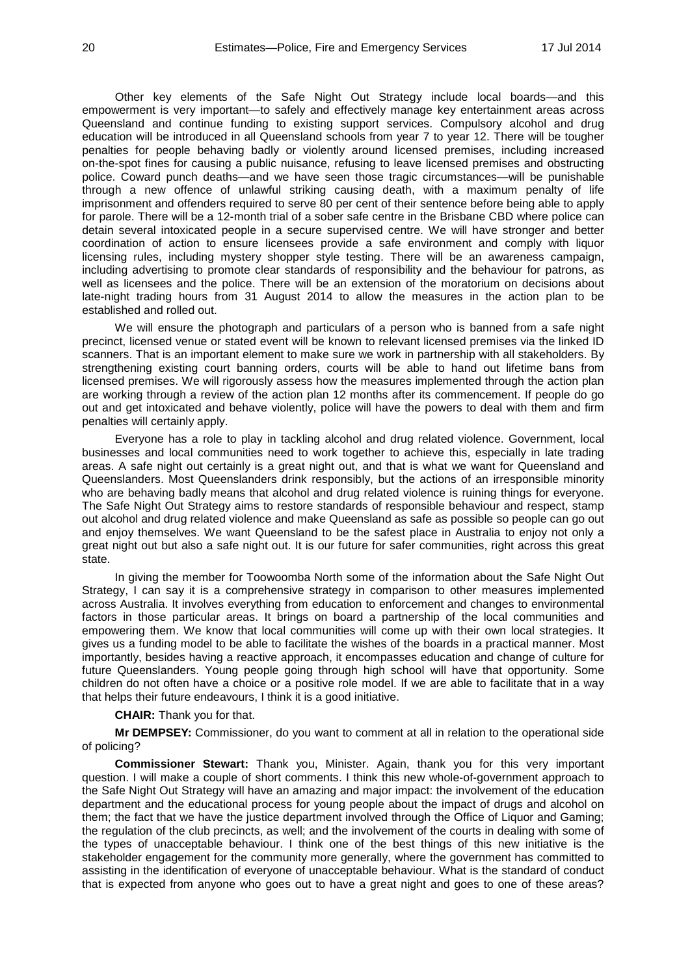Other key elements of the Safe Night Out Strategy include local boards—and this empowerment is very important—to safely and effectively manage key entertainment areas across Queensland and continue funding to existing support services. Compulsory alcohol and drug education will be introduced in all Queensland schools from year 7 to year 12. There will be tougher penalties for people behaving badly or violently around licensed premises, including increased on-the-spot fines for causing a public nuisance, refusing to leave licensed premises and obstructing police. Coward punch deaths—and we have seen those tragic circumstances—will be punishable through a new offence of unlawful striking causing death, with a maximum penalty of life imprisonment and offenders required to serve 80 per cent of their sentence before being able to apply for parole. There will be a 12-month trial of a sober safe centre in the Brisbane CBD where police can detain several intoxicated people in a secure supervised centre. We will have stronger and better coordination of action to ensure licensees provide a safe environment and comply with liquor licensing rules, including mystery shopper style testing. There will be an awareness campaign, including advertising to promote clear standards of responsibility and the behaviour for patrons, as well as licensees and the police. There will be an extension of the moratorium on decisions about late-night trading hours from 31 August 2014 to allow the measures in the action plan to be established and rolled out.

We will ensure the photograph and particulars of a person who is banned from a safe night precinct, licensed venue or stated event will be known to relevant licensed premises via the linked ID scanners. That is an important element to make sure we work in partnership with all stakeholders. By strengthening existing court banning orders, courts will be able to hand out lifetime bans from licensed premises. We will rigorously assess how the measures implemented through the action plan are working through a review of the action plan 12 months after its commencement. If people do go out and get intoxicated and behave violently, police will have the powers to deal with them and firm penalties will certainly apply.

Everyone has a role to play in tackling alcohol and drug related violence. Government, local businesses and local communities need to work together to achieve this, especially in late trading areas. A safe night out certainly is a great night out, and that is what we want for Queensland and Queenslanders. Most Queenslanders drink responsibly, but the actions of an irresponsible minority who are behaving badly means that alcohol and drug related violence is ruining things for everyone. The Safe Night Out Strategy aims to restore standards of responsible behaviour and respect, stamp out alcohol and drug related violence and make Queensland as safe as possible so people can go out and enjoy themselves. We want Queensland to be the safest place in Australia to enjoy not only a great night out but also a safe night out. It is our future for safer communities, right across this great state.

In giving the member for Toowoomba North some of the information about the Safe Night Out Strategy, I can say it is a comprehensive strategy in comparison to other measures implemented across Australia. It involves everything from education to enforcement and changes to environmental factors in those particular areas. It brings on board a partnership of the local communities and empowering them. We know that local communities will come up with their own local strategies. It gives us a funding model to be able to facilitate the wishes of the boards in a practical manner. Most importantly, besides having a reactive approach, it encompasses education and change of culture for future Queenslanders. Young people going through high school will have that opportunity. Some children do not often have a choice or a positive role model. If we are able to facilitate that in a way that helps their future endeavours, I think it is a good initiative.

**CHAIR:** Thank you for that.

**Mr DEMPSEY:** Commissioner, do you want to comment at all in relation to the operational side of policing?

**Commissioner Stewart:** Thank you, Minister. Again, thank you for this very important question. I will make a couple of short comments. I think this new whole-of-government approach to the Safe Night Out Strategy will have an amazing and major impact: the involvement of the education department and the educational process for young people about the impact of drugs and alcohol on them; the fact that we have the justice department involved through the Office of Liquor and Gaming; the regulation of the club precincts, as well; and the involvement of the courts in dealing with some of the types of unacceptable behaviour. I think one of the best things of this new initiative is the stakeholder engagement for the community more generally, where the government has committed to assisting in the identification of everyone of unacceptable behaviour. What is the standard of conduct that is expected from anyone who goes out to have a great night and goes to one of these areas?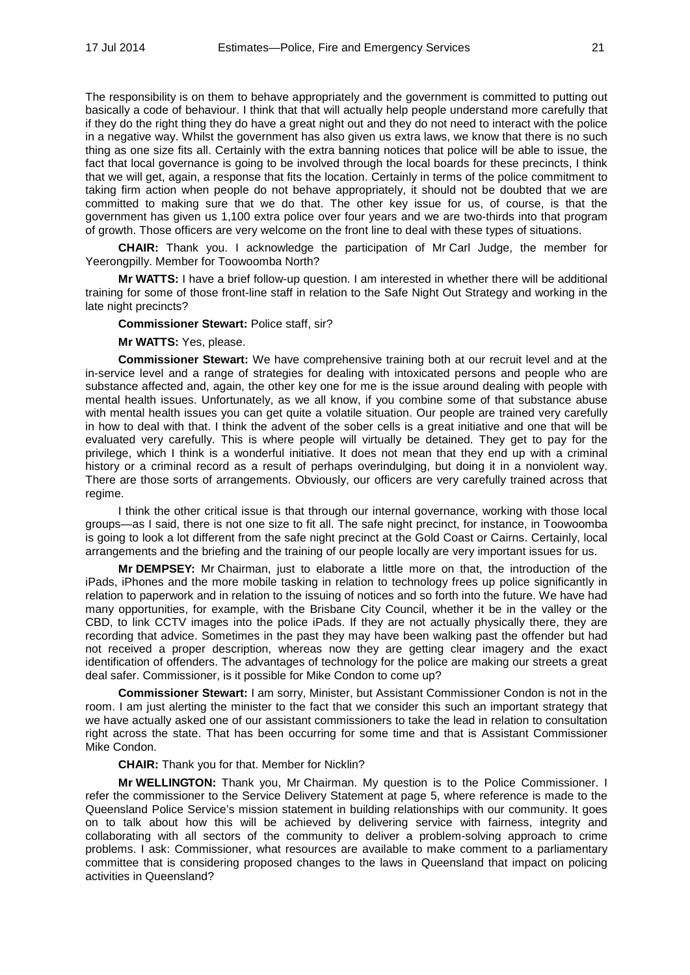The responsibility is on them to behave appropriately and the government is committed to putting out basically a code of behaviour. I think that that will actually help people understand more carefully that if they do the right thing they do have a great night out and they do not need to interact with the police in a negative way. Whilst the government has also given us extra laws, we know that there is no such thing as one size fits all. Certainly with the extra banning notices that police will be able to issue, the fact that local governance is going to be involved through the local boards for these precincts, I think that we will get, again, a response that fits the location. Certainly in terms of the police commitment to taking firm action when people do not behave appropriately, it should not be doubted that we are committed to making sure that we do that. The other key issue for us, of course, is that the government has given us 1,100 extra police over four years and we are two-thirds into that program of growth. Those officers are very welcome on the front line to deal with these types of situations.

**CHAIR:** Thank you. I acknowledge the participation of Mr Carl Judge, the member for Yeerongpilly. Member for Toowoomba North?

**Mr WATTS:** I have a brief follow-up question. I am interested in whether there will be additional training for some of those front-line staff in relation to the Safe Night Out Strategy and working in the late night precincts?

**Commissioner Stewart:** Police staff, sir?

**Mr WATTS:** Yes, please.

**Commissioner Stewart:** We have comprehensive training both at our recruit level and at the in-service level and a range of strategies for dealing with intoxicated persons and people who are substance affected and, again, the other key one for me is the issue around dealing with people with mental health issues. Unfortunately, as we all know, if you combine some of that substance abuse with mental health issues you can get quite a volatile situation. Our people are trained very carefully in how to deal with that. I think the advent of the sober cells is a great initiative and one that will be evaluated very carefully. This is where people will virtually be detained. They get to pay for the privilege, which I think is a wonderful initiative. It does not mean that they end up with a criminal history or a criminal record as a result of perhaps overindulging, but doing it in a nonviolent way. There are those sorts of arrangements. Obviously, our officers are very carefully trained across that regime.

I think the other critical issue is that through our internal governance, working with those local groups—as I said, there is not one size to fit all. The safe night precinct, for instance, in Toowoomba is going to look a lot different from the safe night precinct at the Gold Coast or Cairns. Certainly, local arrangements and the briefing and the training of our people locally are very important issues for us.

**Mr DEMPSEY:** Mr Chairman, just to elaborate a little more on that, the introduction of the iPads, iPhones and the more mobile tasking in relation to technology frees up police significantly in relation to paperwork and in relation to the issuing of notices and so forth into the future. We have had many opportunities, for example, with the Brisbane City Council, whether it be in the valley or the CBD, to link CCTV images into the police iPads. If they are not actually physically there, they are recording that advice. Sometimes in the past they may have been walking past the offender but had not received a proper description, whereas now they are getting clear imagery and the exact identification of offenders. The advantages of technology for the police are making our streets a great deal safer. Commissioner, is it possible for Mike Condon to come up?

**Commissioner Stewart:** I am sorry, Minister, but Assistant Commissioner Condon is not in the room. I am just alerting the minister to the fact that we consider this such an important strategy that we have actually asked one of our assistant commissioners to take the lead in relation to consultation right across the state. That has been occurring for some time and that is Assistant Commissioner Mike Condon.

**CHAIR:** Thank you for that. Member for Nicklin?

**Mr WELLINGTON:** Thank you, Mr Chairman. My question is to the Police Commissioner. I refer the commissioner to the Service Delivery Statement at page 5, where reference is made to the Queensland Police Service's mission statement in building relationships with our community. It goes on to talk about how this will be achieved by delivering service with fairness, integrity and collaborating with all sectors of the community to deliver a problem-solving approach to crime problems. I ask: Commissioner, what resources are available to make comment to a parliamentary committee that is considering proposed changes to the laws in Queensland that impact on policing activities in Queensland?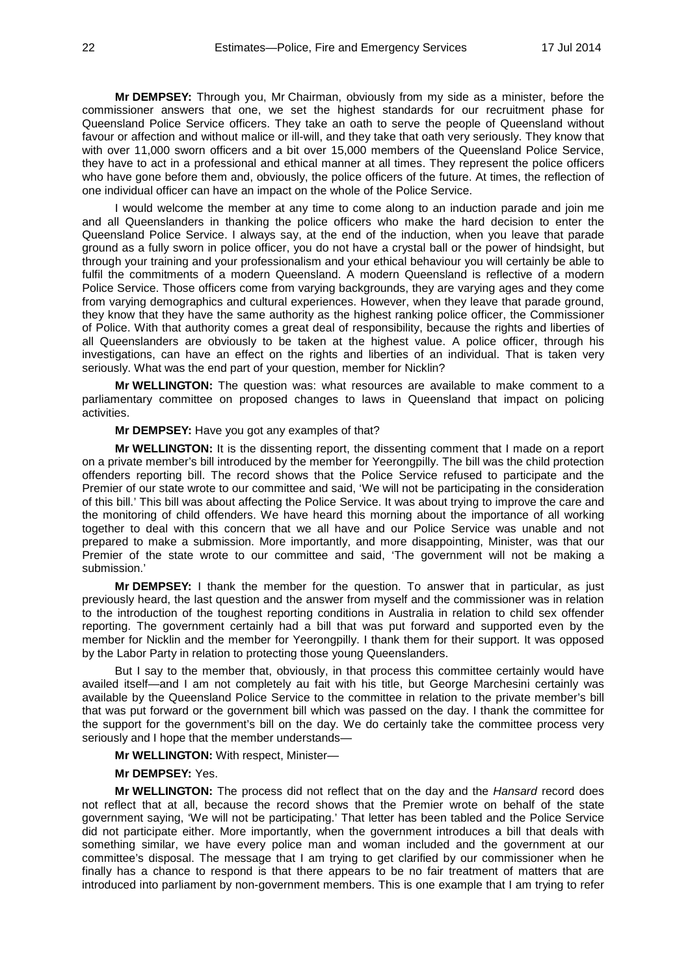**Mr DEMPSEY:** Through you, Mr Chairman, obviously from my side as a minister, before the commissioner answers that one, we set the highest standards for our recruitment phase for Queensland Police Service officers. They take an oath to serve the people of Queensland without favour or affection and without malice or ill-will, and they take that oath very seriously. They know that with over 11,000 sworn officers and a bit over 15,000 members of the Queensland Police Service, they have to act in a professional and ethical manner at all times. They represent the police officers who have gone before them and, obviously, the police officers of the future. At times, the reflection of one individual officer can have an impact on the whole of the Police Service.

I would welcome the member at any time to come along to an induction parade and join me and all Queenslanders in thanking the police officers who make the hard decision to enter the Queensland Police Service. I always say, at the end of the induction, when you leave that parade ground as a fully sworn in police officer, you do not have a crystal ball or the power of hindsight, but through your training and your professionalism and your ethical behaviour you will certainly be able to fulfil the commitments of a modern Queensland. A modern Queensland is reflective of a modern Police Service. Those officers come from varying backgrounds, they are varying ages and they come from varying demographics and cultural experiences. However, when they leave that parade ground, they know that they have the same authority as the highest ranking police officer, the Commissioner of Police. With that authority comes a great deal of responsibility, because the rights and liberties of all Queenslanders are obviously to be taken at the highest value. A police officer, through his investigations, can have an effect on the rights and liberties of an individual. That is taken very seriously. What was the end part of your question, member for Nicklin?

**Mr WELLINGTON:** The question was: what resources are available to make comment to a parliamentary committee on proposed changes to laws in Queensland that impact on policing activities.

**Mr DEMPSEY:** Have you got any examples of that?

**Mr WELLINGTON:** It is the dissenting report, the dissenting comment that I made on a report on a private member's bill introduced by the member for Yeerongpilly. The bill was the child protection offenders reporting bill. The record shows that the Police Service refused to participate and the Premier of our state wrote to our committee and said, 'We will not be participating in the consideration of this bill.' This bill was about affecting the Police Service. It was about trying to improve the care and the monitoring of child offenders. We have heard this morning about the importance of all working together to deal with this concern that we all have and our Police Service was unable and not prepared to make a submission. More importantly, and more disappointing, Minister, was that our Premier of the state wrote to our committee and said, 'The government will not be making a submission.'

**Mr DEMPSEY:** I thank the member for the question. To answer that in particular, as just previously heard, the last question and the answer from myself and the commissioner was in relation to the introduction of the toughest reporting conditions in Australia in relation to child sex offender reporting. The government certainly had a bill that was put forward and supported even by the member for Nicklin and the member for Yeerongpilly. I thank them for their support. It was opposed by the Labor Party in relation to protecting those young Queenslanders.

But I say to the member that, obviously, in that process this committee certainly would have availed itself—and I am not completely au fait with his title, but George Marchesini certainly was available by the Queensland Police Service to the committee in relation to the private member's bill that was put forward or the government bill which was passed on the day. I thank the committee for the support for the government's bill on the day. We do certainly take the committee process very seriously and I hope that the member understands—

**Mr WELLINGTON:** With respect, Minister—

# **Mr DEMPSEY:** Yes.

**Mr WELLINGTON:** The process did not reflect that on the day and the *Hansard* record does not reflect that at all, because the record shows that the Premier wrote on behalf of the state government saying, 'We will not be participating.' That letter has been tabled and the Police Service did not participate either. More importantly, when the government introduces a bill that deals with something similar, we have every police man and woman included and the government at our committee's disposal. The message that I am trying to get clarified by our commissioner when he finally has a chance to respond is that there appears to be no fair treatment of matters that are introduced into parliament by non-government members. This is one example that I am trying to refer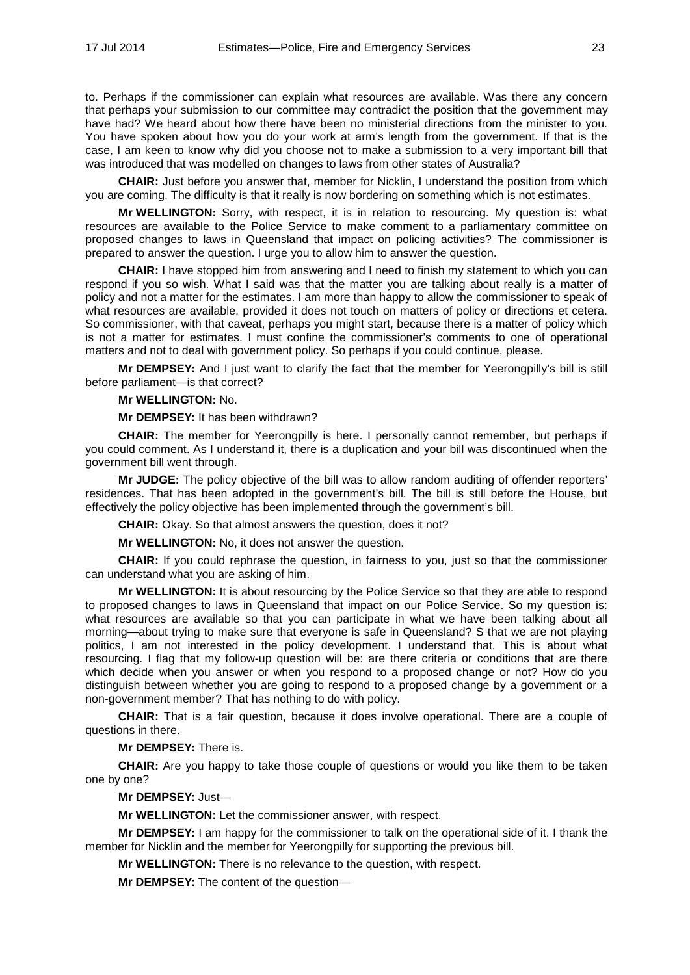to. Perhaps if the commissioner can explain what resources are available. Was there any concern that perhaps your submission to our committee may contradict the position that the government may have had? We heard about how there have been no ministerial directions from the minister to you. You have spoken about how you do your work at arm's length from the government. If that is the case, I am keen to know why did you choose not to make a submission to a very important bill that was introduced that was modelled on changes to laws from other states of Australia?

**CHAIR:** Just before you answer that, member for Nicklin, I understand the position from which you are coming. The difficulty is that it really is now bordering on something which is not estimates.

**Mr WELLINGTON:** Sorry, with respect, it is in relation to resourcing. My question is: what resources are available to the Police Service to make comment to a parliamentary committee on proposed changes to laws in Queensland that impact on policing activities? The commissioner is prepared to answer the question. I urge you to allow him to answer the question.

**CHAIR:** I have stopped him from answering and I need to finish my statement to which you can respond if you so wish. What I said was that the matter you are talking about really is a matter of policy and not a matter for the estimates. I am more than happy to allow the commissioner to speak of what resources are available, provided it does not touch on matters of policy or directions et cetera. So commissioner, with that caveat, perhaps you might start, because there is a matter of policy which is not a matter for estimates. I must confine the commissioner's comments to one of operational matters and not to deal with government policy. So perhaps if you could continue, please.

**Mr DEMPSEY:** And I just want to clarify the fact that the member for Yeerongpilly's bill is still before parliament—is that correct?

#### **Mr WELLINGTON:** No.

**Mr DEMPSEY:** It has been withdrawn?

**CHAIR:** The member for Yeerongpilly is here. I personally cannot remember, but perhaps if you could comment. As I understand it, there is a duplication and your bill was discontinued when the government bill went through.

**Mr JUDGE:** The policy objective of the bill was to allow random auditing of offender reporters' residences. That has been adopted in the government's bill. The bill is still before the House, but effectively the policy objective has been implemented through the government's bill.

**CHAIR:** Okay. So that almost answers the question, does it not?

**Mr WELLINGTON:** No, it does not answer the question.

**CHAIR:** If you could rephrase the question, in fairness to you, just so that the commissioner can understand what you are asking of him.

**Mr WELLINGTON:** It is about resourcing by the Police Service so that they are able to respond to proposed changes to laws in Queensland that impact on our Police Service. So my question is: what resources are available so that you can participate in what we have been talking about all morning—about trying to make sure that everyone is safe in Queensland? S that we are not playing politics, I am not interested in the policy development. I understand that. This is about what resourcing. I flag that my follow-up question will be: are there criteria or conditions that are there which decide when you answer or when you respond to a proposed change or not? How do you distinguish between whether you are going to respond to a proposed change by a government or a non-government member? That has nothing to do with policy.

**CHAIR:** That is a fair question, because it does involve operational. There are a couple of questions in there.

**Mr DEMPSEY:** There is.

**CHAIR:** Are you happy to take those couple of questions or would you like them to be taken one by one?

**Mr DEMPSEY:** Just—

**Mr WELLINGTON:** Let the commissioner answer, with respect.

**Mr DEMPSEY:** I am happy for the commissioner to talk on the operational side of it. I thank the member for Nicklin and the member for Yeerongpilly for supporting the previous bill.

**Mr WELLINGTON:** There is no relevance to the question, with respect.

**Mr DEMPSEY:** The content of the question—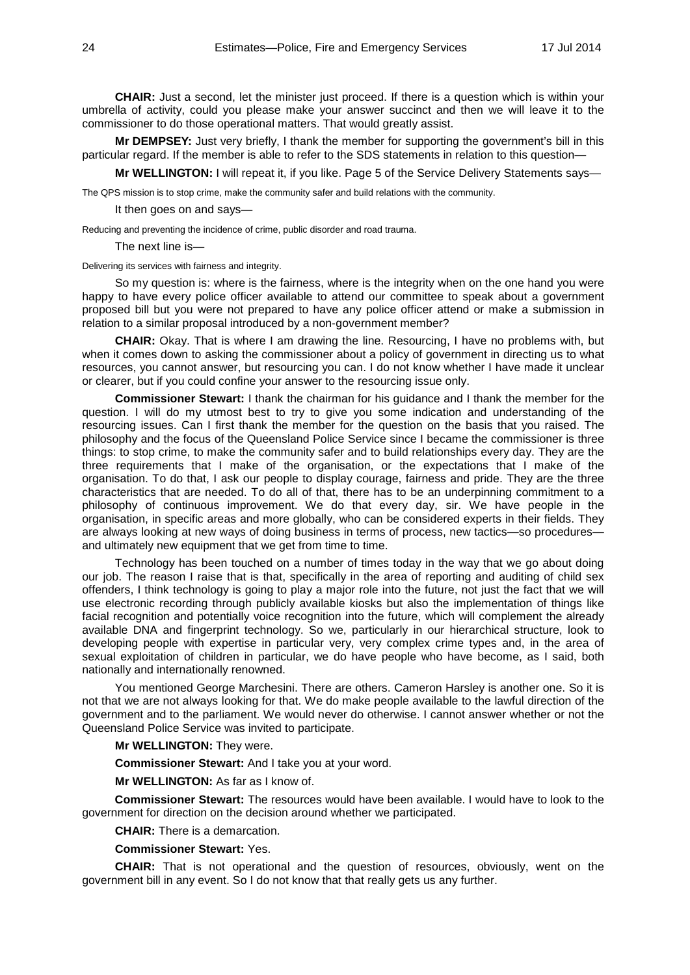**CHAIR:** Just a second, let the minister just proceed. If there is a question which is within your umbrella of activity, could you please make your answer succinct and then we will leave it to the commissioner to do those operational matters. That would greatly assist.

**Mr DEMPSEY:** Just very briefly, I thank the member for supporting the government's bill in this particular regard. If the member is able to refer to the SDS statements in relation to this question—

**Mr WELLINGTON:** I will repeat it, if you like. Page 5 of the Service Delivery Statements says—

The QPS mission is to stop crime, make the community safer and build relations with the community.

It then goes on and says—

Reducing and preventing the incidence of crime, public disorder and road trauma.

The next line is—

Delivering its services with fairness and integrity.

So my question is: where is the fairness, where is the integrity when on the one hand you were happy to have every police officer available to attend our committee to speak about a government proposed bill but you were not prepared to have any police officer attend or make a submission in relation to a similar proposal introduced by a non-government member?

**CHAIR:** Okay. That is where I am drawing the line. Resourcing, I have no problems with, but when it comes down to asking the commissioner about a policy of government in directing us to what resources, you cannot answer, but resourcing you can. I do not know whether I have made it unclear or clearer, but if you could confine your answer to the resourcing issue only.

**Commissioner Stewart:** I thank the chairman for his guidance and I thank the member for the question. I will do my utmost best to try to give you some indication and understanding of the resourcing issues. Can I first thank the member for the question on the basis that you raised. The philosophy and the focus of the Queensland Police Service since I became the commissioner is three things: to stop crime, to make the community safer and to build relationships every day. They are the three requirements that I make of the organisation, or the expectations that I make of the organisation. To do that, I ask our people to display courage, fairness and pride. They are the three characteristics that are needed. To do all of that, there has to be an underpinning commitment to a philosophy of continuous improvement. We do that every day, sir. We have people in the organisation, in specific areas and more globally, who can be considered experts in their fields. They are always looking at new ways of doing business in terms of process, new tactics—so procedures and ultimately new equipment that we get from time to time.

Technology has been touched on a number of times today in the way that we go about doing our job. The reason I raise that is that, specifically in the area of reporting and auditing of child sex offenders, I think technology is going to play a major role into the future, not just the fact that we will use electronic recording through publicly available kiosks but also the implementation of things like facial recognition and potentially voice recognition into the future, which will complement the already available DNA and fingerprint technology. So we, particularly in our hierarchical structure, look to developing people with expertise in particular very, very complex crime types and, in the area of sexual exploitation of children in particular, we do have people who have become, as I said, both nationally and internationally renowned.

You mentioned George Marchesini. There are others. Cameron Harsley is another one. So it is not that we are not always looking for that. We do make people available to the lawful direction of the government and to the parliament. We would never do otherwise. I cannot answer whether or not the Queensland Police Service was invited to participate.

#### **Mr WELLINGTON:** They were.

**Commissioner Stewart:** And I take you at your word.

**Mr WELLINGTON:** As far as I know of.

**Commissioner Stewart:** The resources would have been available. I would have to look to the government for direction on the decision around whether we participated.

**CHAIR:** There is a demarcation.

**Commissioner Stewart:** Yes.

**CHAIR:** That is not operational and the question of resources, obviously, went on the government bill in any event. So I do not know that that really gets us any further.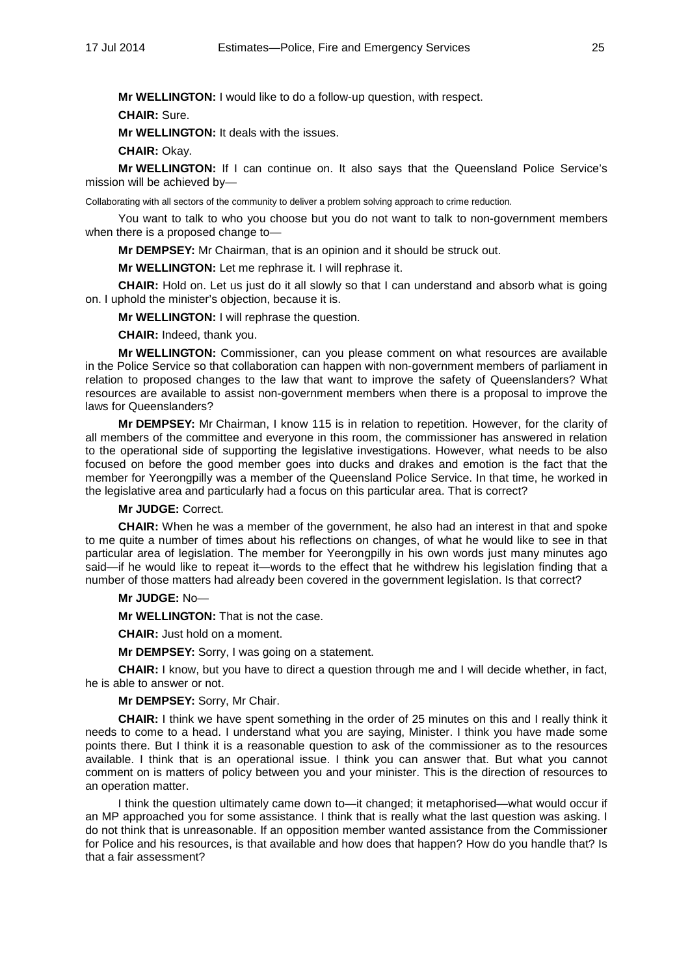**Mr WELLINGTON:** I would like to do a follow-up question, with respect.

**CHAIR:** Sure.

**Mr WELLINGTON:** It deals with the issues.

**CHAIR:** Okay.

**Mr WELLINGTON:** If I can continue on. It also says that the Queensland Police Service's mission will be achieved by—

Collaborating with all sectors of the community to deliver a problem solving approach to crime reduction.

You want to talk to who you choose but you do not want to talk to non-government members when there is a proposed change to—

**Mr DEMPSEY:** Mr Chairman, that is an opinion and it should be struck out.

**Mr WELLINGTON:** Let me rephrase it. I will rephrase it.

**CHAIR:** Hold on. Let us just do it all slowly so that I can understand and absorb what is going on. I uphold the minister's objection, because it is.

**Mr WELLINGTON:** I will rephrase the question.

**CHAIR:** Indeed, thank you.

**Mr WELLINGTON:** Commissioner, can you please comment on what resources are available in the Police Service so that collaboration can happen with non-government members of parliament in relation to proposed changes to the law that want to improve the safety of Queenslanders? What resources are available to assist non-government members when there is a proposal to improve the laws for Queenslanders?

**Mr DEMPSEY:** Mr Chairman, I know 115 is in relation to repetition. However, for the clarity of all members of the committee and everyone in this room, the commissioner has answered in relation to the operational side of supporting the legislative investigations. However, what needs to be also focused on before the good member goes into ducks and drakes and emotion is the fact that the member for Yeerongpilly was a member of the Queensland Police Service. In that time, he worked in the legislative area and particularly had a focus on this particular area. That is correct?

# **Mr JUDGE:** Correct.

**CHAIR:** When he was a member of the government, he also had an interest in that and spoke to me quite a number of times about his reflections on changes, of what he would like to see in that particular area of legislation. The member for Yeerongpilly in his own words just many minutes ago said—if he would like to repeat it—words to the effect that he withdrew his legislation finding that a number of those matters had already been covered in the government legislation. Is that correct?

#### **Mr JUDGE:** No—

**Mr WELLINGTON:** That is not the case.

**CHAIR:** Just hold on a moment.

**Mr DEMPSEY:** Sorry, I was going on a statement.

**CHAIR:** I know, but you have to direct a question through me and I will decide whether, in fact, he is able to answer or not.

#### **Mr DEMPSEY:** Sorry, Mr Chair.

**CHAIR:** I think we have spent something in the order of 25 minutes on this and I really think it needs to come to a head. I understand what you are saying, Minister. I think you have made some points there. But I think it is a reasonable question to ask of the commissioner as to the resources available. I think that is an operational issue. I think you can answer that. But what you cannot comment on is matters of policy between you and your minister. This is the direction of resources to an operation matter.

I think the question ultimately came down to—it changed; it metaphorised—what would occur if an MP approached you for some assistance. I think that is really what the last question was asking. I do not think that is unreasonable. If an opposition member wanted assistance from the Commissioner for Police and his resources, is that available and how does that happen? How do you handle that? Is that a fair assessment?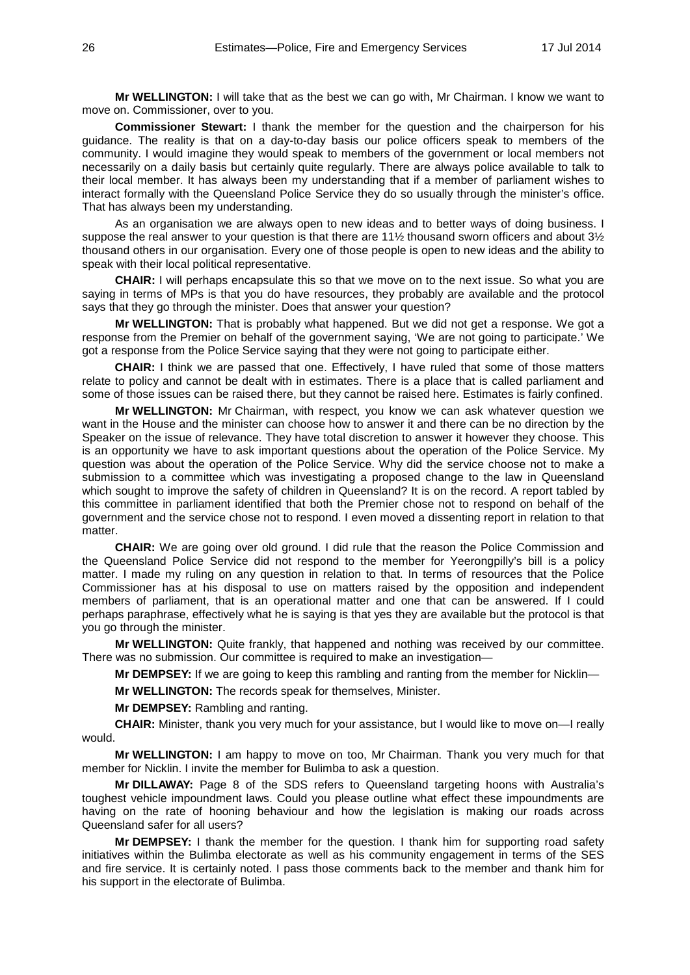**Mr WELLINGTON:** I will take that as the best we can go with, Mr Chairman. I know we want to move on. Commissioner, over to you.

**Commissioner Stewart:** I thank the member for the question and the chairperson for his guidance. The reality is that on a day-to-day basis our police officers speak to members of the community. I would imagine they would speak to members of the government or local members not necessarily on a daily basis but certainly quite regularly. There are always police available to talk to their local member. It has always been my understanding that if a member of parliament wishes to interact formally with the Queensland Police Service they do so usually through the minister's office. That has always been my understanding.

As an organisation we are always open to new ideas and to better ways of doing business. I suppose the real answer to your question is that there are 11% thousand sworn officers and about 3% thousand others in our organisation. Every one of those people is open to new ideas and the ability to speak with their local political representative.

**CHAIR:** I will perhaps encapsulate this so that we move on to the next issue. So what you are saying in terms of MPs is that you do have resources, they probably are available and the protocol says that they go through the minister. Does that answer your question?

**Mr WELLINGTON:** That is probably what happened. But we did not get a response. We got a response from the Premier on behalf of the government saying, 'We are not going to participate.' We got a response from the Police Service saying that they were not going to participate either.

**CHAIR:** I think we are passed that one. Effectively, I have ruled that some of those matters relate to policy and cannot be dealt with in estimates. There is a place that is called parliament and some of those issues can be raised there, but they cannot be raised here. Estimates is fairly confined.

**Mr WELLINGTON:** Mr Chairman, with respect, you know we can ask whatever question we want in the House and the minister can choose how to answer it and there can be no direction by the Speaker on the issue of relevance. They have total discretion to answer it however they choose. This is an opportunity we have to ask important questions about the operation of the Police Service. My question was about the operation of the Police Service. Why did the service choose not to make a submission to a committee which was investigating a proposed change to the law in Queensland which sought to improve the safety of children in Queensland? It is on the record. A report tabled by this committee in parliament identified that both the Premier chose not to respond on behalf of the government and the service chose not to respond. I even moved a dissenting report in relation to that matter.

**CHAIR:** We are going over old ground. I did rule that the reason the Police Commission and the Queensland Police Service did not respond to the member for Yeerongpilly's bill is a policy matter. I made my ruling on any question in relation to that. In terms of resources that the Police Commissioner has at his disposal to use on matters raised by the opposition and independent members of parliament, that is an operational matter and one that can be answered. If I could perhaps paraphrase, effectively what he is saying is that yes they are available but the protocol is that you go through the minister.

**Mr WELLINGTON:** Quite frankly, that happened and nothing was received by our committee. There was no submission. Our committee is required to make an investigation—

**Mr DEMPSEY:** If we are going to keep this rambling and ranting from the member for Nicklin—

**Mr WELLINGTON:** The records speak for themselves, Minister.

**Mr DEMPSEY:** Rambling and ranting.

**CHAIR:** Minister, thank you very much for your assistance, but I would like to move on—I really would.

**Mr WELLINGTON:** I am happy to move on too, Mr Chairman. Thank you very much for that member for Nicklin. I invite the member for Bulimba to ask a question.

**Mr DILLAWAY:** Page 8 of the SDS refers to Queensland targeting hoons with Australia's toughest vehicle impoundment laws. Could you please outline what effect these impoundments are having on the rate of hooning behaviour and how the legislation is making our roads across Queensland safer for all users?

**Mr DEMPSEY:** I thank the member for the question. I thank him for supporting road safety initiatives within the Bulimba electorate as well as his community engagement in terms of the SES and fire service. It is certainly noted. I pass those comments back to the member and thank him for his support in the electorate of Bulimba.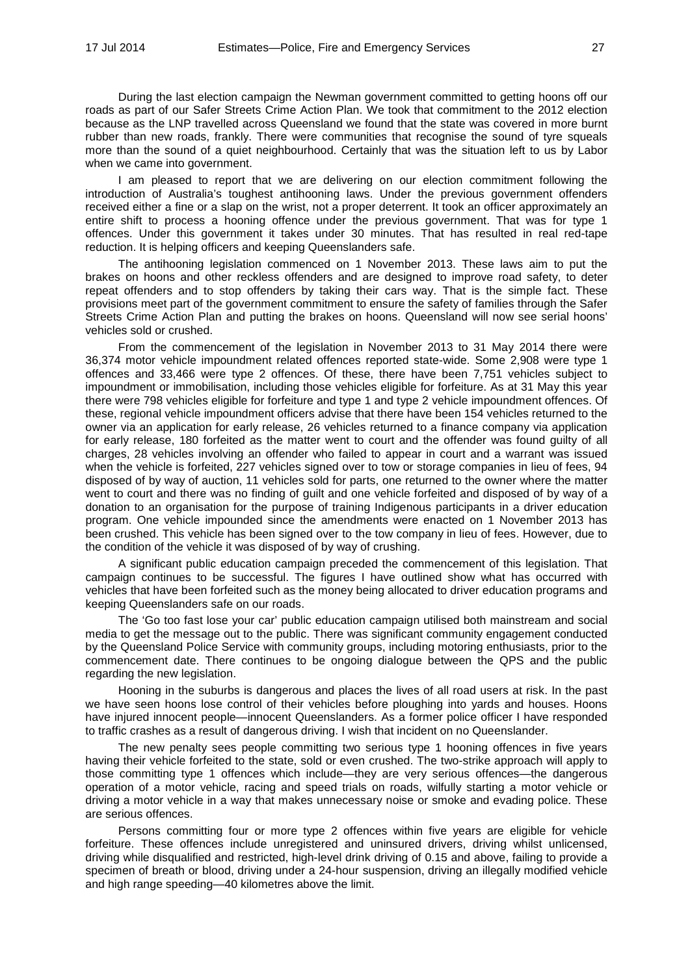During the last election campaign the Newman government committed to getting hoons off our roads as part of our Safer Streets Crime Action Plan. We took that commitment to the 2012 election because as the LNP travelled across Queensland we found that the state was covered in more burnt rubber than new roads, frankly. There were communities that recognise the sound of tyre squeals more than the sound of a quiet neighbourhood. Certainly that was the situation left to us by Labor when we came into government.

I am pleased to report that we are delivering on our election commitment following the introduction of Australia's toughest antihooning laws. Under the previous government offenders received either a fine or a slap on the wrist, not a proper deterrent. It took an officer approximately an entire shift to process a hooning offence under the previous government. That was for type 1 offences. Under this government it takes under 30 minutes. That has resulted in real red-tape reduction. It is helping officers and keeping Queenslanders safe.

The antihooning legislation commenced on 1 November 2013. These laws aim to put the brakes on hoons and other reckless offenders and are designed to improve road safety, to deter repeat offenders and to stop offenders by taking their cars way. That is the simple fact. These provisions meet part of the government commitment to ensure the safety of families through the Safer Streets Crime Action Plan and putting the brakes on hoons. Queensland will now see serial hoons' vehicles sold or crushed.

From the commencement of the legislation in November 2013 to 31 May 2014 there were 36,374 motor vehicle impoundment related offences reported state-wide. Some 2,908 were type 1 offences and 33,466 were type 2 offences. Of these, there have been 7,751 vehicles subject to impoundment or immobilisation, including those vehicles eligible for forfeiture. As at 31 May this year there were 798 vehicles eligible for forfeiture and type 1 and type 2 vehicle impoundment offences. Of these, regional vehicle impoundment officers advise that there have been 154 vehicles returned to the owner via an application for early release, 26 vehicles returned to a finance company via application for early release, 180 forfeited as the matter went to court and the offender was found guilty of all charges, 28 vehicles involving an offender who failed to appear in court and a warrant was issued when the vehicle is forfeited, 227 vehicles signed over to tow or storage companies in lieu of fees, 94 disposed of by way of auction, 11 vehicles sold for parts, one returned to the owner where the matter went to court and there was no finding of guilt and one vehicle forfeited and disposed of by way of a donation to an organisation for the purpose of training Indigenous participants in a driver education program. One vehicle impounded since the amendments were enacted on 1 November 2013 has been crushed. This vehicle has been signed over to the tow company in lieu of fees. However, due to the condition of the vehicle it was disposed of by way of crushing.

A significant public education campaign preceded the commencement of this legislation. That campaign continues to be successful. The figures I have outlined show what has occurred with vehicles that have been forfeited such as the money being allocated to driver education programs and keeping Queenslanders safe on our roads.

The 'Go too fast lose your car' public education campaign utilised both mainstream and social media to get the message out to the public. There was significant community engagement conducted by the Queensland Police Service with community groups, including motoring enthusiasts, prior to the commencement date. There continues to be ongoing dialogue between the QPS and the public regarding the new legislation.

Hooning in the suburbs is dangerous and places the lives of all road users at risk. In the past we have seen hoons lose control of their vehicles before ploughing into yards and houses. Hoons have injured innocent people—innocent Queenslanders. As a former police officer I have responded to traffic crashes as a result of dangerous driving. I wish that incident on no Queenslander.

The new penalty sees people committing two serious type 1 hooning offences in five years having their vehicle forfeited to the state, sold or even crushed. The two-strike approach will apply to those committing type 1 offences which include—they are very serious offences—the dangerous operation of a motor vehicle, racing and speed trials on roads, wilfully starting a motor vehicle or driving a motor vehicle in a way that makes unnecessary noise or smoke and evading police. These are serious offences.

Persons committing four or more type 2 offences within five years are eligible for vehicle forfeiture. These offences include unregistered and uninsured drivers, driving whilst unlicensed, driving while disqualified and restricted, high-level drink driving of 0.15 and above, failing to provide a specimen of breath or blood, driving under a 24-hour suspension, driving an illegally modified vehicle and high range speeding—40 kilometres above the limit.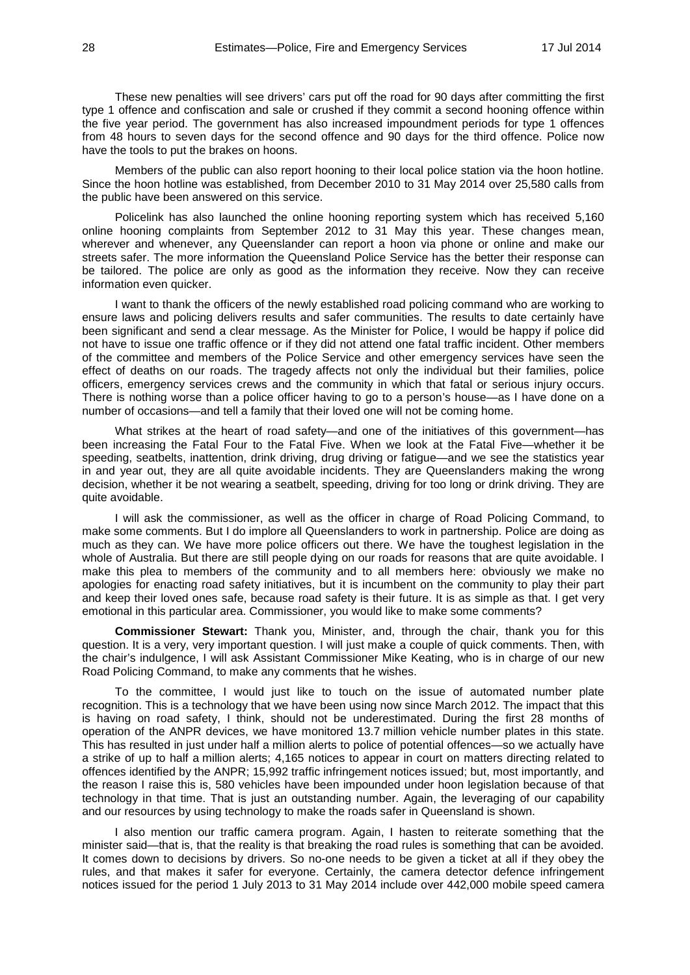These new penalties will see drivers' cars put off the road for 90 days after committing the first type 1 offence and confiscation and sale or crushed if they commit a second hooning offence within the five year period. The government has also increased impoundment periods for type 1 offences from 48 hours to seven days for the second offence and 90 days for the third offence. Police now have the tools to put the brakes on hoons.

Members of the public can also report hooning to their local police station via the hoon hotline. Since the hoon hotline was established, from December 2010 to 31 May 2014 over 25,580 calls from the public have been answered on this service.

Policelink has also launched the online hooning reporting system which has received 5,160 online hooning complaints from September 2012 to 31 May this year. These changes mean, wherever and whenever, any Queenslander can report a hoon via phone or online and make our streets safer. The more information the Queensland Police Service has the better their response can be tailored. The police are only as good as the information they receive. Now they can receive information even quicker.

I want to thank the officers of the newly established road policing command who are working to ensure laws and policing delivers results and safer communities. The results to date certainly have been significant and send a clear message. As the Minister for Police, I would be happy if police did not have to issue one traffic offence or if they did not attend one fatal traffic incident. Other members of the committee and members of the Police Service and other emergency services have seen the effect of deaths on our roads. The tragedy affects not only the individual but their families, police officers, emergency services crews and the community in which that fatal or serious injury occurs. There is nothing worse than a police officer having to go to a person's house—as I have done on a number of occasions—and tell a family that their loved one will not be coming home.

What strikes at the heart of road safety—and one of the initiatives of this government—has been increasing the Fatal Four to the Fatal Five. When we look at the Fatal Five—whether it be speeding, seatbelts, inattention, drink driving, drug driving or fatigue—and we see the statistics year in and year out, they are all quite avoidable incidents. They are Queenslanders making the wrong decision, whether it be not wearing a seatbelt, speeding, driving for too long or drink driving. They are quite avoidable.

I will ask the commissioner, as well as the officer in charge of Road Policing Command, to make some comments. But I do implore all Queenslanders to work in partnership. Police are doing as much as they can. We have more police officers out there. We have the toughest legislation in the whole of Australia. But there are still people dying on our roads for reasons that are quite avoidable. I make this plea to members of the community and to all members here: obviously we make no apologies for enacting road safety initiatives, but it is incumbent on the community to play their part and keep their loved ones safe, because road safety is their future. It is as simple as that. I get very emotional in this particular area. Commissioner, you would like to make some comments?

**Commissioner Stewart:** Thank you, Minister, and, through the chair, thank you for this question. It is a very, very important question. I will just make a couple of quick comments. Then, with the chair's indulgence, I will ask Assistant Commissioner Mike Keating, who is in charge of our new Road Policing Command, to make any comments that he wishes.

To the committee, I would just like to touch on the issue of automated number plate recognition. This is a technology that we have been using now since March 2012. The impact that this is having on road safety, I think, should not be underestimated. During the first 28 months of operation of the ANPR devices, we have monitored 13.7 million vehicle number plates in this state. This has resulted in just under half a million alerts to police of potential offences—so we actually have a strike of up to half a million alerts; 4,165 notices to appear in court on matters directing related to offences identified by the ANPR; 15,992 traffic infringement notices issued; but, most importantly, and the reason I raise this is, 580 vehicles have been impounded under hoon legislation because of that technology in that time. That is just an outstanding number. Again, the leveraging of our capability and our resources by using technology to make the roads safer in Queensland is shown.

I also mention our traffic camera program. Again, I hasten to reiterate something that the minister said—that is, that the reality is that breaking the road rules is something that can be avoided. It comes down to decisions by drivers. So no-one needs to be given a ticket at all if they obey the rules, and that makes it safer for everyone. Certainly, the camera detector defence infringement notices issued for the period 1 July 2013 to 31 May 2014 include over 442,000 mobile speed camera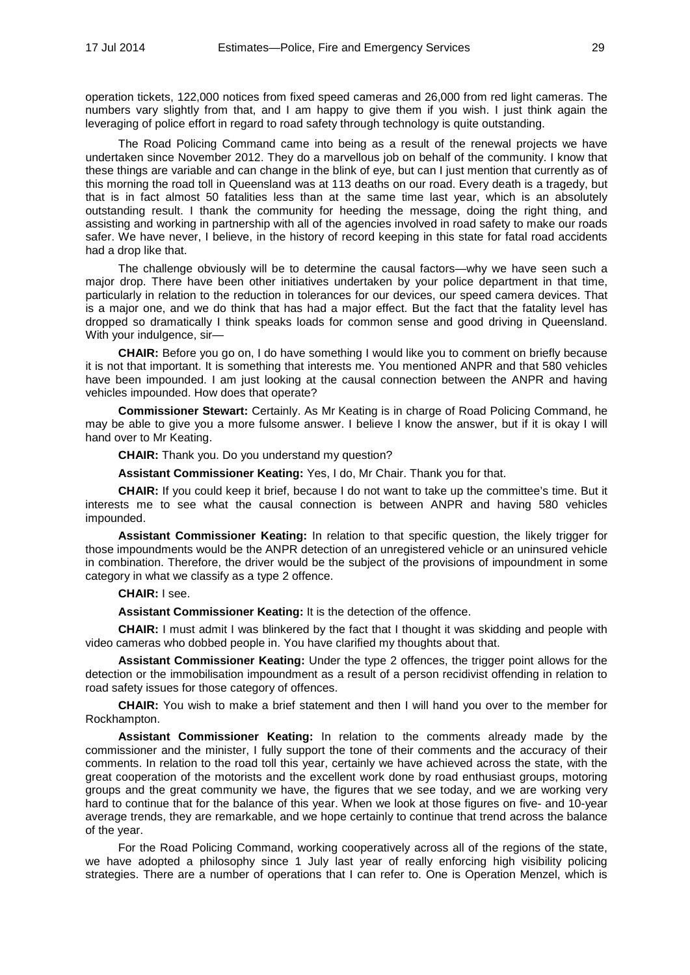operation tickets, 122,000 notices from fixed speed cameras and 26,000 from red light cameras. The numbers vary slightly from that, and I am happy to give them if you wish. I just think again the leveraging of police effort in regard to road safety through technology is quite outstanding.

The Road Policing Command came into being as a result of the renewal projects we have undertaken since November 2012. They do a marvellous job on behalf of the community. I know that these things are variable and can change in the blink of eye, but can I just mention that currently as of this morning the road toll in Queensland was at 113 deaths on our road. Every death is a tragedy, but that is in fact almost 50 fatalities less than at the same time last year, which is an absolutely outstanding result. I thank the community for heeding the message, doing the right thing, and assisting and working in partnership with all of the agencies involved in road safety to make our roads safer. We have never, I believe, in the history of record keeping in this state for fatal road accidents had a drop like that.

The challenge obviously will be to determine the causal factors—why we have seen such a major drop. There have been other initiatives undertaken by your police department in that time, particularly in relation to the reduction in tolerances for our devices, our speed camera devices. That is a major one, and we do think that has had a major effect. But the fact that the fatality level has dropped so dramatically I think speaks loads for common sense and good driving in Queensland. With your indulgence, sir—

**CHAIR:** Before you go on, I do have something I would like you to comment on briefly because it is not that important. It is something that interests me. You mentioned ANPR and that 580 vehicles have been impounded. I am just looking at the causal connection between the ANPR and having vehicles impounded. How does that operate?

**Commissioner Stewart:** Certainly. As Mr Keating is in charge of Road Policing Command, he may be able to give you a more fulsome answer. I believe I know the answer, but if it is okay I will hand over to Mr Keating.

**CHAIR:** Thank you. Do you understand my question?

**Assistant Commissioner Keating:** Yes, I do, Mr Chair. Thank you for that.

**CHAIR:** If you could keep it brief, because I do not want to take up the committee's time. But it interests me to see what the causal connection is between ANPR and having 580 vehicles impounded.

**Assistant Commissioner Keating:** In relation to that specific question, the likely trigger for those impoundments would be the ANPR detection of an unregistered vehicle or an uninsured vehicle in combination. Therefore, the driver would be the subject of the provisions of impoundment in some category in what we classify as a type 2 offence.

#### **CHAIR:** I see.

**Assistant Commissioner Keating:** It is the detection of the offence.

**CHAIR:** I must admit I was blinkered by the fact that I thought it was skidding and people with video cameras who dobbed people in. You have clarified my thoughts about that.

**Assistant Commissioner Keating:** Under the type 2 offences, the trigger point allows for the detection or the immobilisation impoundment as a result of a person recidivist offending in relation to road safety issues for those category of offences.

**CHAIR:** You wish to make a brief statement and then I will hand you over to the member for Rockhampton.

**Assistant Commissioner Keating:** In relation to the comments already made by the commissioner and the minister, I fully support the tone of their comments and the accuracy of their comments. In relation to the road toll this year, certainly we have achieved across the state, with the great cooperation of the motorists and the excellent work done by road enthusiast groups, motoring groups and the great community we have, the figures that we see today, and we are working very hard to continue that for the balance of this year. When we look at those figures on five- and 10-year average trends, they are remarkable, and we hope certainly to continue that trend across the balance of the year.

For the Road Policing Command, working cooperatively across all of the regions of the state, we have adopted a philosophy since 1 July last year of really enforcing high visibility policing strategies. There are a number of operations that I can refer to. One is Operation Menzel, which is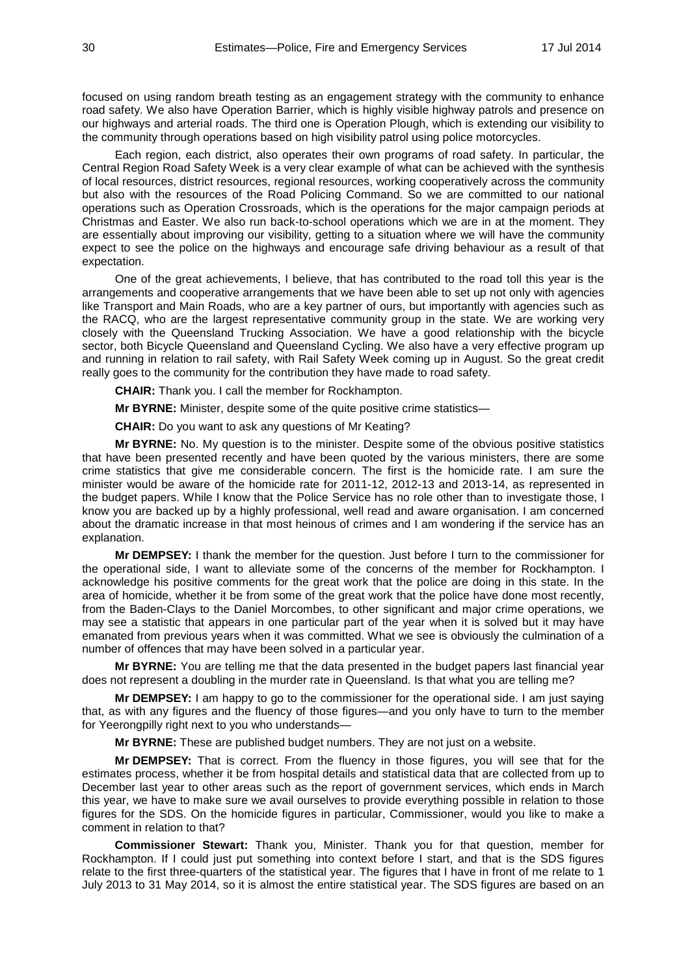focused on using random breath testing as an engagement strategy with the community to enhance road safety. We also have Operation Barrier, which is highly visible highway patrols and presence on our highways and arterial roads. The third one is Operation Plough, which is extending our visibility to the community through operations based on high visibility patrol using police motorcycles.

Each region, each district, also operates their own programs of road safety. In particular, the Central Region Road Safety Week is a very clear example of what can be achieved with the synthesis of local resources, district resources, regional resources, working cooperatively across the community but also with the resources of the Road Policing Command. So we are committed to our national operations such as Operation Crossroads, which is the operations for the major campaign periods at Christmas and Easter. We also run back-to-school operations which we are in at the moment. They are essentially about improving our visibility, getting to a situation where we will have the community expect to see the police on the highways and encourage safe driving behaviour as a result of that expectation.

One of the great achievements, I believe, that has contributed to the road toll this year is the arrangements and cooperative arrangements that we have been able to set up not only with agencies like Transport and Main Roads, who are a key partner of ours, but importantly with agencies such as the RACQ, who are the largest representative community group in the state. We are working very closely with the Queensland Trucking Association. We have a good relationship with the bicycle sector, both Bicycle Queensland and Queensland Cycling. We also have a very effective program up and running in relation to rail safety, with Rail Safety Week coming up in August. So the great credit really goes to the community for the contribution they have made to road safety.

**CHAIR:** Thank you. I call the member for Rockhampton.

**Mr BYRNE:** Minister, despite some of the quite positive crime statistics—

**CHAIR:** Do you want to ask any questions of Mr Keating?

**Mr BYRNE:** No. My question is to the minister. Despite some of the obvious positive statistics that have been presented recently and have been quoted by the various ministers, there are some crime statistics that give me considerable concern. The first is the homicide rate. I am sure the minister would be aware of the homicide rate for 2011-12, 2012-13 and 2013-14, as represented in the budget papers. While I know that the Police Service has no role other than to investigate those, I know you are backed up by a highly professional, well read and aware organisation. I am concerned about the dramatic increase in that most heinous of crimes and I am wondering if the service has an explanation.

**Mr DEMPSEY:** I thank the member for the question. Just before I turn to the commissioner for the operational side, I want to alleviate some of the concerns of the member for Rockhampton. I acknowledge his positive comments for the great work that the police are doing in this state. In the area of homicide, whether it be from some of the great work that the police have done most recently, from the Baden-Clays to the Daniel Morcombes, to other significant and major crime operations, we may see a statistic that appears in one particular part of the year when it is solved but it may have emanated from previous years when it was committed. What we see is obviously the culmination of a number of offences that may have been solved in a particular year.

**Mr BYRNE:** You are telling me that the data presented in the budget papers last financial year does not represent a doubling in the murder rate in Queensland. Is that what you are telling me?

**Mr DEMPSEY:** I am happy to go to the commissioner for the operational side. I am just saying that, as with any figures and the fluency of those figures—and you only have to turn to the member for Yeerongpilly right next to you who understands-

**Mr BYRNE:** These are published budget numbers. They are not just on a website.

**Mr DEMPSEY:** That is correct. From the fluency in those figures, you will see that for the estimates process, whether it be from hospital details and statistical data that are collected from up to December last year to other areas such as the report of government services, which ends in March this year, we have to make sure we avail ourselves to provide everything possible in relation to those figures for the SDS. On the homicide figures in particular, Commissioner, would you like to make a comment in relation to that?

**Commissioner Stewart:** Thank you, Minister. Thank you for that question, member for Rockhampton. If I could just put something into context before I start, and that is the SDS figures relate to the first three-quarters of the statistical year. The figures that I have in front of me relate to 1 July 2013 to 31 May 2014, so it is almost the entire statistical year. The SDS figures are based on an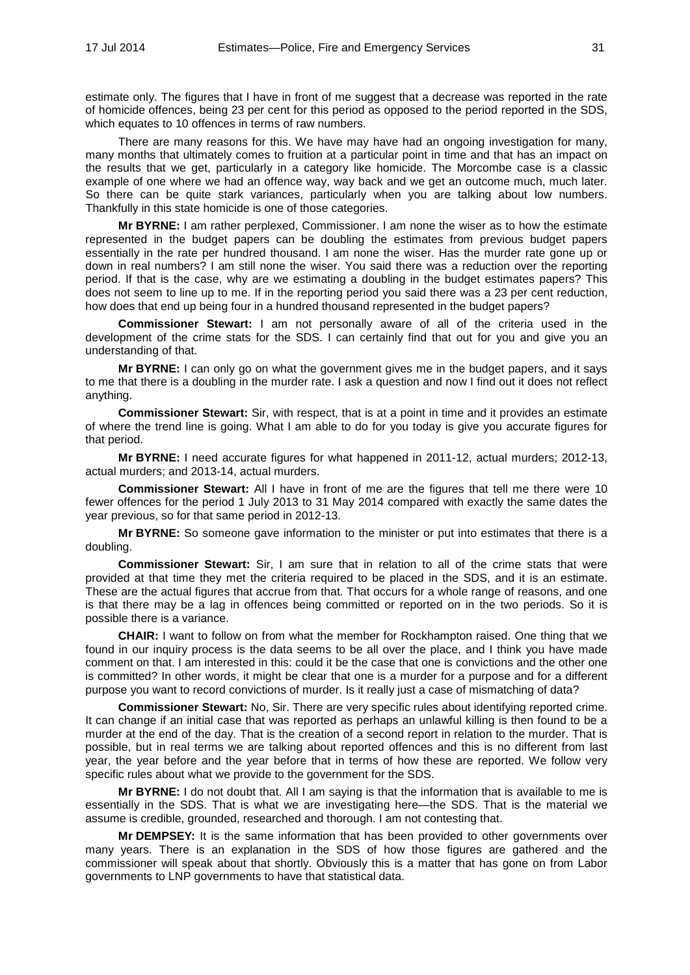estimate only. The figures that I have in front of me suggest that a decrease was reported in the rate of homicide offences, being 23 per cent for this period as opposed to the period reported in the SDS, which equates to 10 offences in terms of raw numbers.

There are many reasons for this. We have may have had an ongoing investigation for many, many months that ultimately comes to fruition at a particular point in time and that has an impact on the results that we get, particularly in a category like homicide. The Morcombe case is a classic example of one where we had an offence way, way back and we get an outcome much, much later. So there can be quite stark variances, particularly when you are talking about low numbers. Thankfully in this state homicide is one of those categories.

**Mr BYRNE:** I am rather perplexed, Commissioner. I am none the wiser as to how the estimate represented in the budget papers can be doubling the estimates from previous budget papers essentially in the rate per hundred thousand. I am none the wiser. Has the murder rate gone up or down in real numbers? I am still none the wiser. You said there was a reduction over the reporting period. If that is the case, why are we estimating a doubling in the budget estimates papers? This does not seem to line up to me. If in the reporting period you said there was a 23 per cent reduction, how does that end up being four in a hundred thousand represented in the budget papers?

**Commissioner Stewart:** I am not personally aware of all of the criteria used in the development of the crime stats for the SDS. I can certainly find that out for you and give you an understanding of that.

**Mr BYRNE:** I can only go on what the government gives me in the budget papers, and it says to me that there is a doubling in the murder rate. I ask a question and now I find out it does not reflect anything.

**Commissioner Stewart:** Sir, with respect, that is at a point in time and it provides an estimate of where the trend line is going. What I am able to do for you today is give you accurate figures for that period.

**Mr BYRNE:** I need accurate figures for what happened in 2011-12, actual murders; 2012-13, actual murders; and 2013-14, actual murders.

**Commissioner Stewart:** All I have in front of me are the figures that tell me there were 10 fewer offences for the period 1 July 2013 to 31 May 2014 compared with exactly the same dates the year previous, so for that same period in 2012-13.

**Mr BYRNE:** So someone gave information to the minister or put into estimates that there is a doubling.

**Commissioner Stewart:** Sir, I am sure that in relation to all of the crime stats that were provided at that time they met the criteria required to be placed in the SDS, and it is an estimate. These are the actual figures that accrue from that. That occurs for a whole range of reasons, and one is that there may be a lag in offences being committed or reported on in the two periods. So it is possible there is a variance.

**CHAIR:** I want to follow on from what the member for Rockhampton raised. One thing that we found in our inquiry process is the data seems to be all over the place, and I think you have made comment on that. I am interested in this: could it be the case that one is convictions and the other one is committed? In other words, it might be clear that one is a murder for a purpose and for a different purpose you want to record convictions of murder. Is it really just a case of mismatching of data?

**Commissioner Stewart:** No, Sir. There are very specific rules about identifying reported crime. It can change if an initial case that was reported as perhaps an unlawful killing is then found to be a murder at the end of the day. That is the creation of a second report in relation to the murder. That is possible, but in real terms we are talking about reported offences and this is no different from last year, the year before and the year before that in terms of how these are reported. We follow very specific rules about what we provide to the government for the SDS.

**Mr BYRNE:** I do not doubt that. All I am saying is that the information that is available to me is essentially in the SDS. That is what we are investigating here—the SDS. That is the material we assume is credible, grounded, researched and thorough. I am not contesting that.

**Mr DEMPSEY:** It is the same information that has been provided to other governments over many years. There is an explanation in the SDS of how those figures are gathered and the commissioner will speak about that shortly. Obviously this is a matter that has gone on from Labor governments to LNP governments to have that statistical data.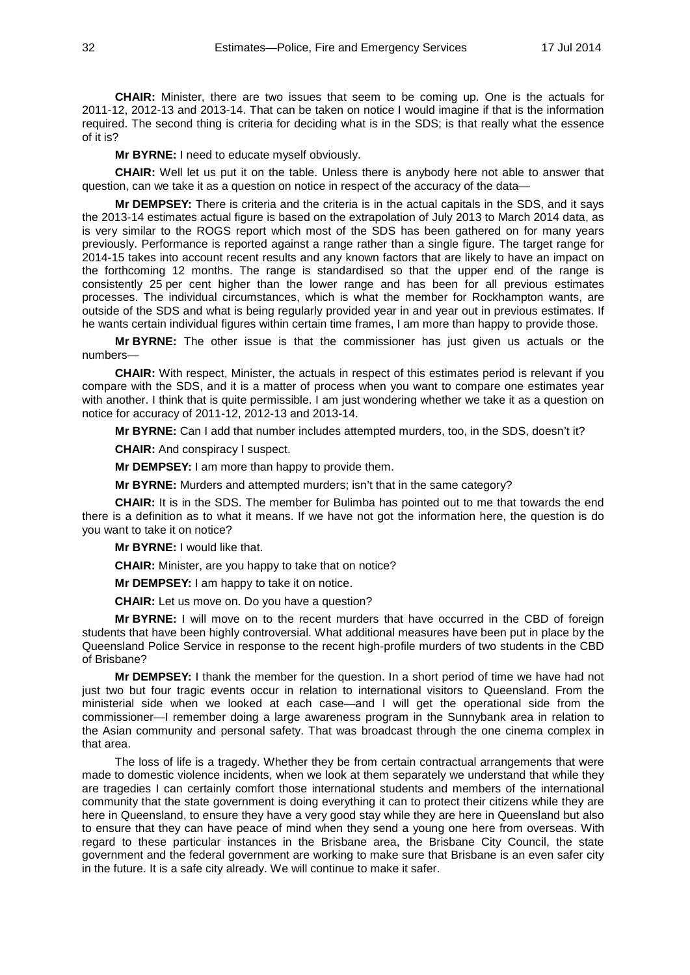**CHAIR:** Minister, there are two issues that seem to be coming up. One is the actuals for 2011-12, 2012-13 and 2013-14. That can be taken on notice I would imagine if that is the information required. The second thing is criteria for deciding what is in the SDS; is that really what the essence of it is?

**Mr BYRNE:** I need to educate myself obviously.

**CHAIR:** Well let us put it on the table. Unless there is anybody here not able to answer that question, can we take it as a question on notice in respect of the accuracy of the data—

**Mr DEMPSEY:** There is criteria and the criteria is in the actual capitals in the SDS, and it says the 2013-14 estimates actual figure is based on the extrapolation of July 2013 to March 2014 data, as is very similar to the ROGS report which most of the SDS has been gathered on for many years previously. Performance is reported against a range rather than a single figure. The target range for 2014-15 takes into account recent results and any known factors that are likely to have an impact on the forthcoming 12 months. The range is standardised so that the upper end of the range is consistently 25 per cent higher than the lower range and has been for all previous estimates processes. The individual circumstances, which is what the member for Rockhampton wants, are outside of the SDS and what is being regularly provided year in and year out in previous estimates. If he wants certain individual figures within certain time frames, I am more than happy to provide those.

**Mr BYRNE:** The other issue is that the commissioner has just given us actuals or the numbers—

**CHAIR:** With respect, Minister, the actuals in respect of this estimates period is relevant if you compare with the SDS, and it is a matter of process when you want to compare one estimates year with another. I think that is quite permissible. I am just wondering whether we take it as a question on notice for accuracy of 2011-12, 2012-13 and 2013-14.

**Mr BYRNE:** Can I add that number includes attempted murders, too, in the SDS, doesn't it?

**CHAIR:** And conspiracy I suspect.

**Mr DEMPSEY:** I am more than happy to provide them.

**Mr BYRNE:** Murders and attempted murders; isn't that in the same category?

**CHAIR:** It is in the SDS. The member for Bulimba has pointed out to me that towards the end there is a definition as to what it means. If we have not got the information here, the question is do you want to take it on notice?

**Mr BYRNE:** I would like that.

**CHAIR:** Minister, are you happy to take that on notice?

**Mr DEMPSEY:** I am happy to take it on notice.

**CHAIR:** Let us move on. Do you have a question?

**Mr BYRNE:** I will move on to the recent murders that have occurred in the CBD of foreign students that have been highly controversial. What additional measures have been put in place by the Queensland Police Service in response to the recent high-profile murders of two students in the CBD of Brisbane?

**Mr DEMPSEY:** I thank the member for the question. In a short period of time we have had not just two but four tragic events occur in relation to international visitors to Queensland. From the ministerial side when we looked at each case—and I will get the operational side from the commissioner—I remember doing a large awareness program in the Sunnybank area in relation to the Asian community and personal safety. That was broadcast through the one cinema complex in that area.

The loss of life is a tragedy. Whether they be from certain contractual arrangements that were made to domestic violence incidents, when we look at them separately we understand that while they are tragedies I can certainly comfort those international students and members of the international community that the state government is doing everything it can to protect their citizens while they are here in Queensland, to ensure they have a very good stay while they are here in Queensland but also to ensure that they can have peace of mind when they send a young one here from overseas. With regard to these particular instances in the Brisbane area, the Brisbane City Council, the state government and the federal government are working to make sure that Brisbane is an even safer city in the future. It is a safe city already. We will continue to make it safer.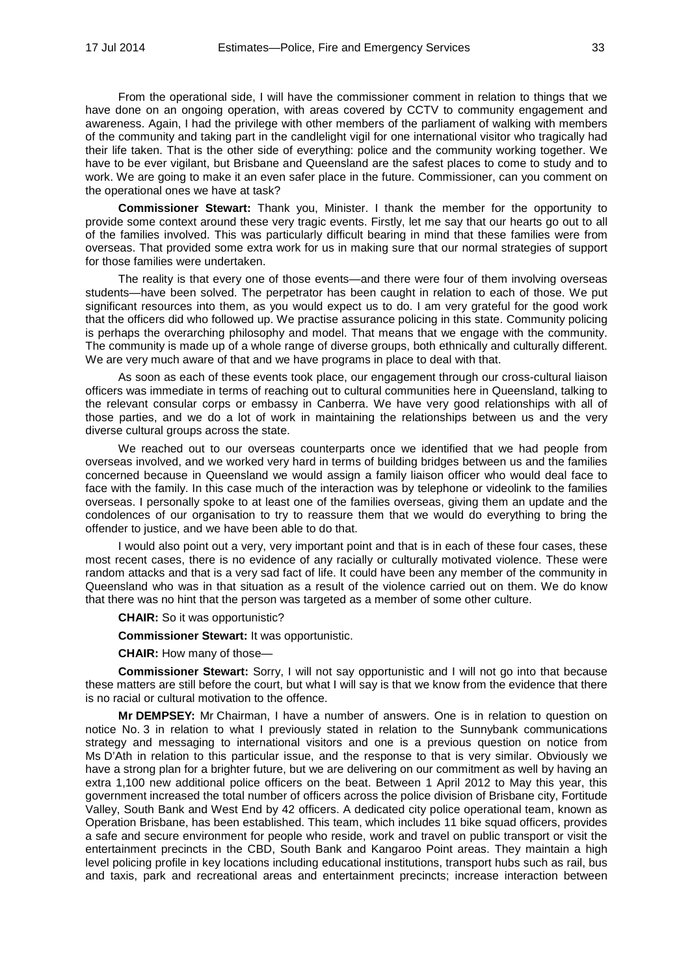From the operational side, I will have the commissioner comment in relation to things that we have done on an ongoing operation, with areas covered by CCTV to community engagement and awareness. Again, I had the privilege with other members of the parliament of walking with members of the community and taking part in the candlelight vigil for one international visitor who tragically had their life taken. That is the other side of everything: police and the community working together. We have to be ever vigilant, but Brisbane and Queensland are the safest places to come to study and to work. We are going to make it an even safer place in the future. Commissioner, can you comment on the operational ones we have at task?

**Commissioner Stewart:** Thank you, Minister. I thank the member for the opportunity to provide some context around these very tragic events. Firstly, let me say that our hearts go out to all of the families involved. This was particularly difficult bearing in mind that these families were from overseas. That provided some extra work for us in making sure that our normal strategies of support for those families were undertaken.

The reality is that every one of those events—and there were four of them involving overseas students—have been solved. The perpetrator has been caught in relation to each of those. We put significant resources into them, as you would expect us to do. I am very grateful for the good work that the officers did who followed up. We practise assurance policing in this state. Community policing is perhaps the overarching philosophy and model. That means that we engage with the community. The community is made up of a whole range of diverse groups, both ethnically and culturally different. We are very much aware of that and we have programs in place to deal with that.

As soon as each of these events took place, our engagement through our cross-cultural liaison officers was immediate in terms of reaching out to cultural communities here in Queensland, talking to the relevant consular corps or embassy in Canberra. We have very good relationships with all of those parties, and we do a lot of work in maintaining the relationships between us and the very diverse cultural groups across the state.

We reached out to our overseas counterparts once we identified that we had people from overseas involved, and we worked very hard in terms of building bridges between us and the families concerned because in Queensland we would assign a family liaison officer who would deal face to face with the family. In this case much of the interaction was by telephone or videolink to the families overseas. I personally spoke to at least one of the families overseas, giving them an update and the condolences of our organisation to try to reassure them that we would do everything to bring the offender to justice, and we have been able to do that.

I would also point out a very, very important point and that is in each of these four cases, these most recent cases, there is no evidence of any racially or culturally motivated violence. These were random attacks and that is a very sad fact of life. It could have been any member of the community in Queensland who was in that situation as a result of the violence carried out on them. We do know that there was no hint that the person was targeted as a member of some other culture.

**CHAIR:** So it was opportunistic?

**Commissioner Stewart:** It was opportunistic.

**CHAIR:** How many of those—

**Commissioner Stewart:** Sorry, I will not say opportunistic and I will not go into that because these matters are still before the court, but what I will say is that we know from the evidence that there is no racial or cultural motivation to the offence.

**Mr DEMPSEY:** Mr Chairman, I have a number of answers. One is in relation to question on notice No. 3 in relation to what I previously stated in relation to the Sunnybank communications strategy and messaging to international visitors and one is a previous question on notice from Ms D'Ath in relation to this particular issue, and the response to that is very similar. Obviously we have a strong plan for a brighter future, but we are delivering on our commitment as well by having an extra 1,100 new additional police officers on the beat. Between 1 April 2012 to May this year, this government increased the total number of officers across the police division of Brisbane city, Fortitude Valley, South Bank and West End by 42 officers. A dedicated city police operational team, known as Operation Brisbane, has been established. This team, which includes 11 bike squad officers, provides a safe and secure environment for people who reside, work and travel on public transport or visit the entertainment precincts in the CBD, South Bank and Kangaroo Point areas. They maintain a high level policing profile in key locations including educational institutions, transport hubs such as rail, bus and taxis, park and recreational areas and entertainment precincts; increase interaction between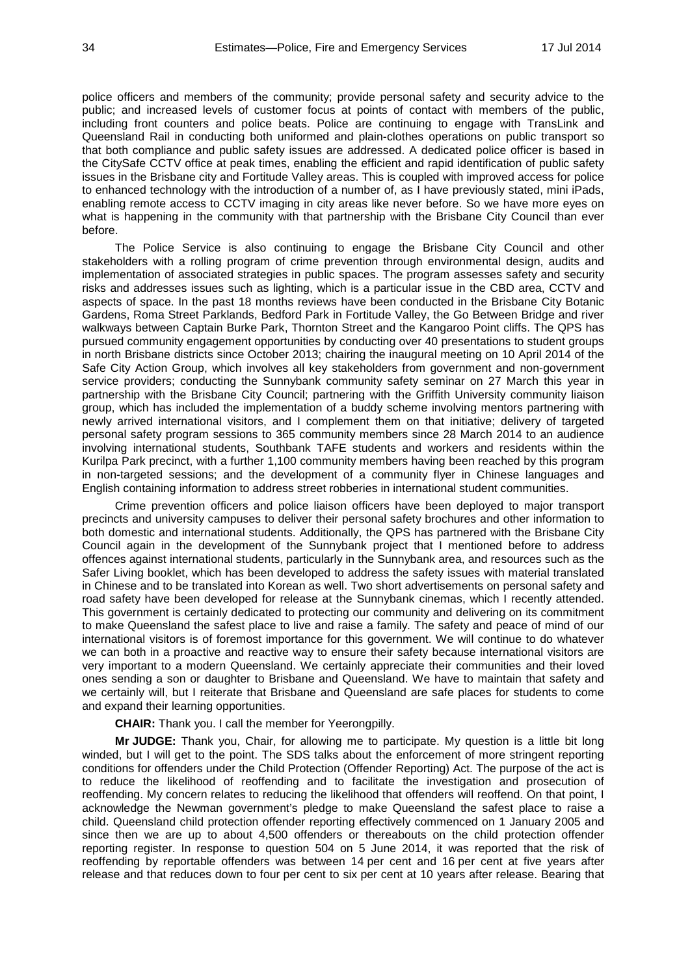police officers and members of the community; provide personal safety and security advice to the public; and increased levels of customer focus at points of contact with members of the public, including front counters and police beats. Police are continuing to engage with TransLink and Queensland Rail in conducting both uniformed and plain-clothes operations on public transport so that both compliance and public safety issues are addressed. A dedicated police officer is based in the CitySafe CCTV office at peak times, enabling the efficient and rapid identification of public safety issues in the Brisbane city and Fortitude Valley areas. This is coupled with improved access for police to enhanced technology with the introduction of a number of, as I have previously stated, mini iPads, enabling remote access to CCTV imaging in city areas like never before. So we have more eyes on what is happening in the community with that partnership with the Brisbane City Council than ever before.

The Police Service is also continuing to engage the Brisbane City Council and other stakeholders with a rolling program of crime prevention through environmental design, audits and implementation of associated strategies in public spaces. The program assesses safety and security risks and addresses issues such as lighting, which is a particular issue in the CBD area, CCTV and aspects of space. In the past 18 months reviews have been conducted in the Brisbane City Botanic Gardens, Roma Street Parklands, Bedford Park in Fortitude Valley, the Go Between Bridge and river walkways between Captain Burke Park, Thornton Street and the Kangaroo Point cliffs. The QPS has pursued community engagement opportunities by conducting over 40 presentations to student groups in north Brisbane districts since October 2013; chairing the inaugural meeting on 10 April 2014 of the Safe City Action Group, which involves all key stakeholders from government and non-government service providers; conducting the Sunnybank community safety seminar on 27 March this year in partnership with the Brisbane City Council; partnering with the Griffith University community liaison group, which has included the implementation of a buddy scheme involving mentors partnering with newly arrived international visitors, and I complement them on that initiative; delivery of targeted personal safety program sessions to 365 community members since 28 March 2014 to an audience involving international students, Southbank TAFE students and workers and residents within the Kurilpa Park precinct, with a further 1,100 community members having been reached by this program in non-targeted sessions; and the development of a community flyer in Chinese languages and English containing information to address street robberies in international student communities.

Crime prevention officers and police liaison officers have been deployed to major transport precincts and university campuses to deliver their personal safety brochures and other information to both domestic and international students. Additionally, the QPS has partnered with the Brisbane City Council again in the development of the Sunnybank project that I mentioned before to address offences against international students, particularly in the Sunnybank area, and resources such as the Safer Living booklet, which has been developed to address the safety issues with material translated in Chinese and to be translated into Korean as well. Two short advertisements on personal safety and road safety have been developed for release at the Sunnybank cinemas, which I recently attended. This government is certainly dedicated to protecting our community and delivering on its commitment to make Queensland the safest place to live and raise a family. The safety and peace of mind of our international visitors is of foremost importance for this government. We will continue to do whatever we can both in a proactive and reactive way to ensure their safety because international visitors are very important to a modern Queensland. We certainly appreciate their communities and their loved ones sending a son or daughter to Brisbane and Queensland. We have to maintain that safety and we certainly will, but I reiterate that Brisbane and Queensland are safe places for students to come and expand their learning opportunities.

**CHAIR:** Thank you. I call the member for Yeerongpilly.

**Mr JUDGE:** Thank you, Chair, for allowing me to participate. My question is a little bit long winded, but I will get to the point. The SDS talks about the enforcement of more stringent reporting conditions for offenders under the Child Protection (Offender Reporting) Act. The purpose of the act is to reduce the likelihood of reoffending and to facilitate the investigation and prosecution of reoffending. My concern relates to reducing the likelihood that offenders will reoffend. On that point, I acknowledge the Newman government's pledge to make Queensland the safest place to raise a child. Queensland child protection offender reporting effectively commenced on 1 January 2005 and since then we are up to about 4,500 offenders or thereabouts on the child protection offender reporting register. In response to question 504 on 5 June 2014, it was reported that the risk of reoffending by reportable offenders was between 14 per cent and 16 per cent at five years after release and that reduces down to four per cent to six per cent at 10 years after release. Bearing that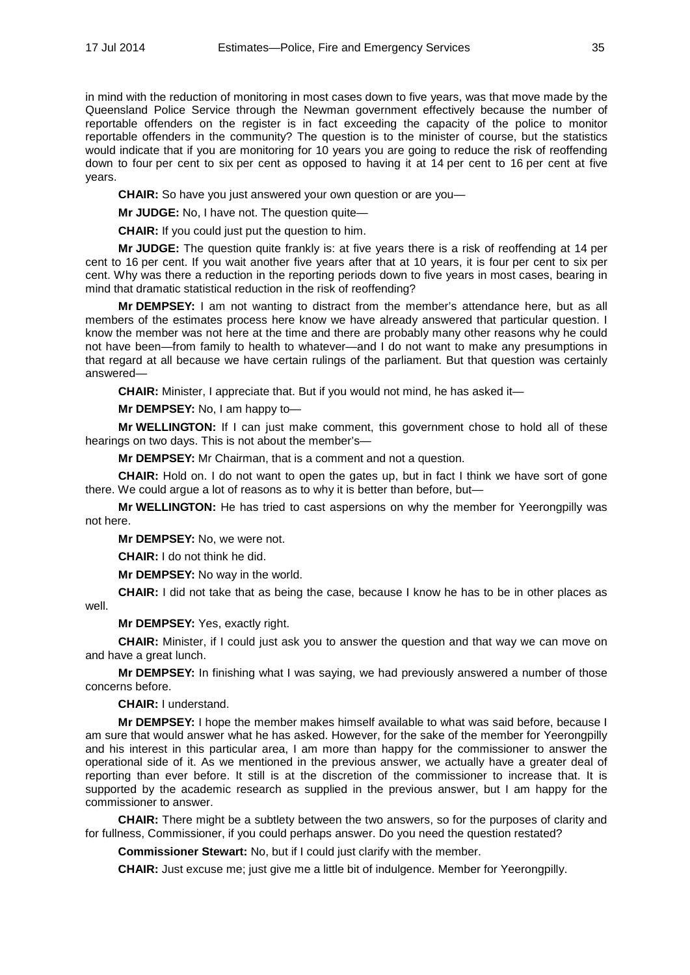in mind with the reduction of monitoring in most cases down to five years, was that move made by the Queensland Police Service through the Newman government effectively because the number of reportable offenders on the register is in fact exceeding the capacity of the police to monitor reportable offenders in the community? The question is to the minister of course, but the statistics would indicate that if you are monitoring for 10 years you are going to reduce the risk of reoffending down to four per cent to six per cent as opposed to having it at 14 per cent to 16 per cent at five years.

**CHAIR:** So have you just answered your own question or are you—

**Mr JUDGE:** No, I have not. The question quite—

**CHAIR:** If you could just put the question to him.

**Mr JUDGE:** The question quite frankly is: at five years there is a risk of reoffending at 14 per cent to 16 per cent. If you wait another five years after that at 10 years, it is four per cent to six per cent. Why was there a reduction in the reporting periods down to five years in most cases, bearing in mind that dramatic statistical reduction in the risk of reoffending?

**Mr DEMPSEY:** I am not wanting to distract from the member's attendance here, but as all members of the estimates process here know we have already answered that particular question. I know the member was not here at the time and there are probably many other reasons why he could not have been—from family to health to whatever—and I do not want to make any presumptions in that regard at all because we have certain rulings of the parliament. But that question was certainly answered—

**CHAIR:** Minister, I appreciate that. But if you would not mind, he has asked it—

**Mr DEMPSEY:** No, I am happy to—

**Mr WELLINGTON:** If I can just make comment, this government chose to hold all of these hearings on two days. This is not about the member's—

**Mr DEMPSEY:** Mr Chairman, that is a comment and not a question.

**CHAIR:** Hold on. I do not want to open the gates up, but in fact I think we have sort of gone there. We could argue a lot of reasons as to why it is better than before, but—

**Mr WELLINGTON:** He has tried to cast aspersions on why the member for Yeerongpilly was not here.

**Mr DEMPSEY:** No, we were not.

**CHAIR:** I do not think he did.

**Mr DEMPSEY:** No way in the world.

**CHAIR:** I did not take that as being the case, because I know he has to be in other places as well.

**Mr DEMPSEY:** Yes, exactly right.

**CHAIR:** Minister, if I could just ask you to answer the question and that way we can move on and have a great lunch.

**Mr DEMPSEY:** In finishing what I was saying, we had previously answered a number of those concerns before.

**CHAIR:** I understand.

**Mr DEMPSEY:** I hope the member makes himself available to what was said before, because I am sure that would answer what he has asked. However, for the sake of the member for Yeerongpilly and his interest in this particular area, I am more than happy for the commissioner to answer the operational side of it. As we mentioned in the previous answer, we actually have a greater deal of reporting than ever before. It still is at the discretion of the commissioner to increase that. It is supported by the academic research as supplied in the previous answer, but I am happy for the commissioner to answer.

**CHAIR:** There might be a subtlety between the two answers, so for the purposes of clarity and for fullness, Commissioner, if you could perhaps answer. Do you need the question restated?

**Commissioner Stewart:** No, but if I could just clarify with the member.

**CHAIR:** Just excuse me; just give me a little bit of indulgence. Member for Yeerongpilly.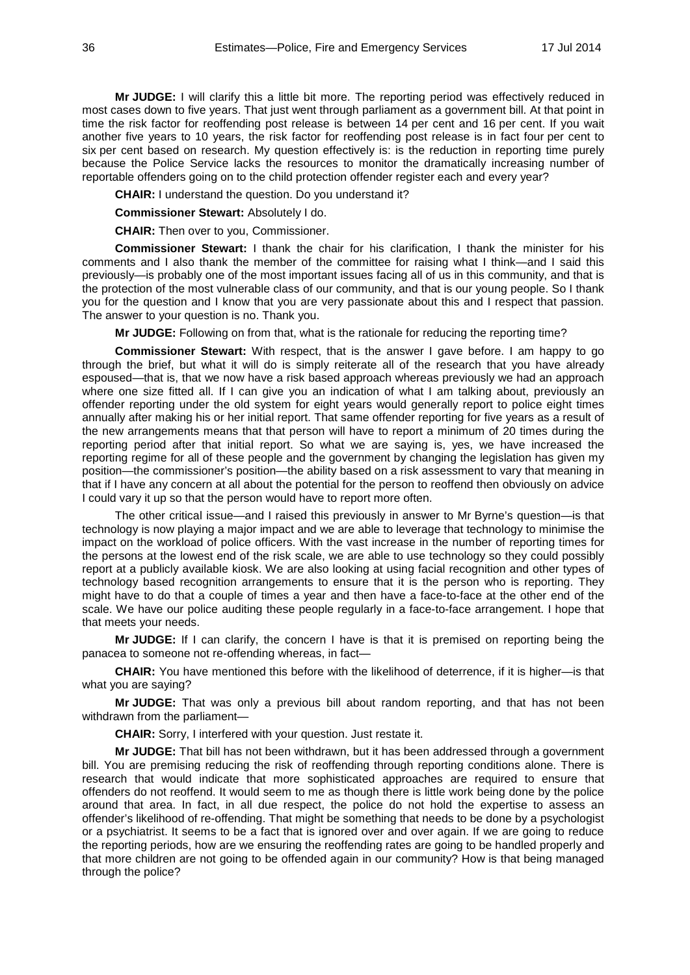**Mr JUDGE:** I will clarify this a little bit more. The reporting period was effectively reduced in most cases down to five years. That just went through parliament as a government bill. At that point in time the risk factor for reoffending post release is between 14 per cent and 16 per cent. If you wait another five years to 10 years, the risk factor for reoffending post release is in fact four per cent to six per cent based on research. My question effectively is: is the reduction in reporting time purely because the Police Service lacks the resources to monitor the dramatically increasing number of reportable offenders going on to the child protection offender register each and every year?

**CHAIR:** I understand the question. Do you understand it?

**Commissioner Stewart:** Absolutely I do.

**CHAIR:** Then over to you, Commissioner.

**Commissioner Stewart:** I thank the chair for his clarification, I thank the minister for his comments and I also thank the member of the committee for raising what I think—and I said this previously—is probably one of the most important issues facing all of us in this community, and that is the protection of the most vulnerable class of our community, and that is our young people. So I thank you for the question and I know that you are very passionate about this and I respect that passion. The answer to your question is no. Thank you.

**Mr JUDGE:** Following on from that, what is the rationale for reducing the reporting time?

**Commissioner Stewart:** With respect, that is the answer I gave before. I am happy to go through the brief, but what it will do is simply reiterate all of the research that you have already espoused—that is, that we now have a risk based approach whereas previously we had an approach where one size fitted all. If I can give you an indication of what I am talking about, previously an offender reporting under the old system for eight years would generally report to police eight times annually after making his or her initial report. That same offender reporting for five years as a result of the new arrangements means that that person will have to report a minimum of 20 times during the reporting period after that initial report. So what we are saying is, yes, we have increased the reporting regime for all of these people and the government by changing the legislation has given my position—the commissioner's position—the ability based on a risk assessment to vary that meaning in that if I have any concern at all about the potential for the person to reoffend then obviously on advice I could vary it up so that the person would have to report more often.

The other critical issue—and I raised this previously in answer to Mr Byrne's question—is that technology is now playing a major impact and we are able to leverage that technology to minimise the impact on the workload of police officers. With the vast increase in the number of reporting times for the persons at the lowest end of the risk scale, we are able to use technology so they could possibly report at a publicly available kiosk. We are also looking at using facial recognition and other types of technology based recognition arrangements to ensure that it is the person who is reporting. They might have to do that a couple of times a year and then have a face-to-face at the other end of the scale. We have our police auditing these people regularly in a face-to-face arrangement. I hope that that meets your needs.

**Mr JUDGE:** If I can clarify, the concern I have is that it is premised on reporting being the panacea to someone not re-offending whereas, in fact—

**CHAIR:** You have mentioned this before with the likelihood of deterrence, if it is higher—is that what you are saying?

**Mr JUDGE:** That was only a previous bill about random reporting, and that has not been withdrawn from the parliament—

**CHAIR:** Sorry, I interfered with your question. Just restate it.

**Mr JUDGE:** That bill has not been withdrawn, but it has been addressed through a government bill. You are premising reducing the risk of reoffending through reporting conditions alone. There is research that would indicate that more sophisticated approaches are required to ensure that offenders do not reoffend. It would seem to me as though there is little work being done by the police around that area. In fact, in all due respect, the police do not hold the expertise to assess an offender's likelihood of re-offending. That might be something that needs to be done by a psychologist or a psychiatrist. It seems to be a fact that is ignored over and over again. If we are going to reduce the reporting periods, how are we ensuring the reoffending rates are going to be handled properly and that more children are not going to be offended again in our community? How is that being managed through the police?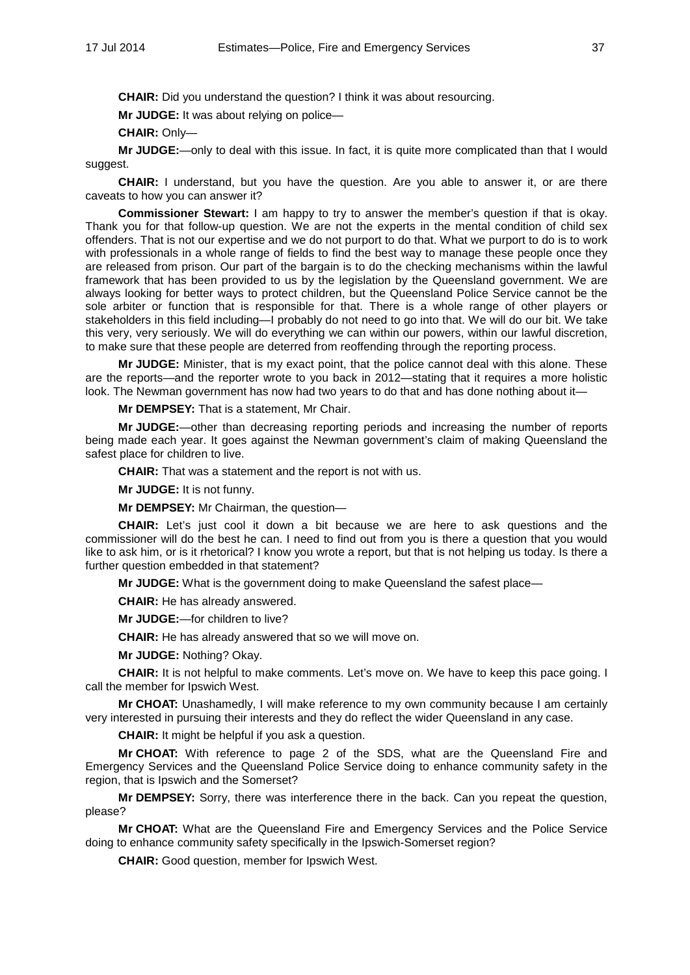**CHAIR:** Did you understand the question? I think it was about resourcing.

**Mr JUDGE:** It was about relying on police—

**CHAIR:** Only—

**Mr JUDGE:**—only to deal with this issue. In fact, it is quite more complicated than that I would suggest.

**CHAIR:** I understand, but you have the question. Are you able to answer it, or are there caveats to how you can answer it?

**Commissioner Stewart:** I am happy to try to answer the member's question if that is okay. Thank you for that follow-up question. We are not the experts in the mental condition of child sex offenders. That is not our expertise and we do not purport to do that. What we purport to do is to work with professionals in a whole range of fields to find the best way to manage these people once they are released from prison. Our part of the bargain is to do the checking mechanisms within the lawful framework that has been provided to us by the legislation by the Queensland government. We are always looking for better ways to protect children, but the Queensland Police Service cannot be the sole arbiter or function that is responsible for that. There is a whole range of other players or stakeholders in this field including—I probably do not need to go into that. We will do our bit. We take this very, very seriously. We will do everything we can within our powers, within our lawful discretion, to make sure that these people are deterred from reoffending through the reporting process.

**Mr JUDGE:** Minister, that is my exact point, that the police cannot deal with this alone. These are the reports—and the reporter wrote to you back in 2012—stating that it requires a more holistic look. The Newman government has now had two years to do that and has done nothing about it—

**Mr DEMPSEY:** That is a statement, Mr Chair.

**Mr JUDGE:**—other than decreasing reporting periods and increasing the number of reports being made each year. It goes against the Newman government's claim of making Queensland the safest place for children to live.

**CHAIR:** That was a statement and the report is not with us.

**Mr JUDGE:** It is not funny.

**Mr DEMPSEY:** Mr Chairman, the question—

**CHAIR:** Let's just cool it down a bit because we are here to ask questions and the commissioner will do the best he can. I need to find out from you is there a question that you would like to ask him, or is it rhetorical? I know you wrote a report, but that is not helping us today. Is there a further question embedded in that statement?

**Mr JUDGE:** What is the government doing to make Queensland the safest place—

**CHAIR:** He has already answered.

**Mr JUDGE:**—for children to live?

**CHAIR:** He has already answered that so we will move on.

**Mr JUDGE:** Nothing? Okay.

**CHAIR:** It is not helpful to make comments. Let's move on. We have to keep this pace going. I call the member for Ipswich West.

**Mr CHOAT:** Unashamedly, I will make reference to my own community because I am certainly very interested in pursuing their interests and they do reflect the wider Queensland in any case.

**CHAIR:** It might be helpful if you ask a question.

**Mr CHOAT:** With reference to page 2 of the SDS, what are the Queensland Fire and Emergency Services and the Queensland Police Service doing to enhance community safety in the region, that is Ipswich and the Somerset?

**Mr DEMPSEY:** Sorry, there was interference there in the back. Can you repeat the question, please?

**Mr CHOAT:** What are the Queensland Fire and Emergency Services and the Police Service doing to enhance community safety specifically in the Ipswich-Somerset region?

**CHAIR:** Good question, member for Ipswich West.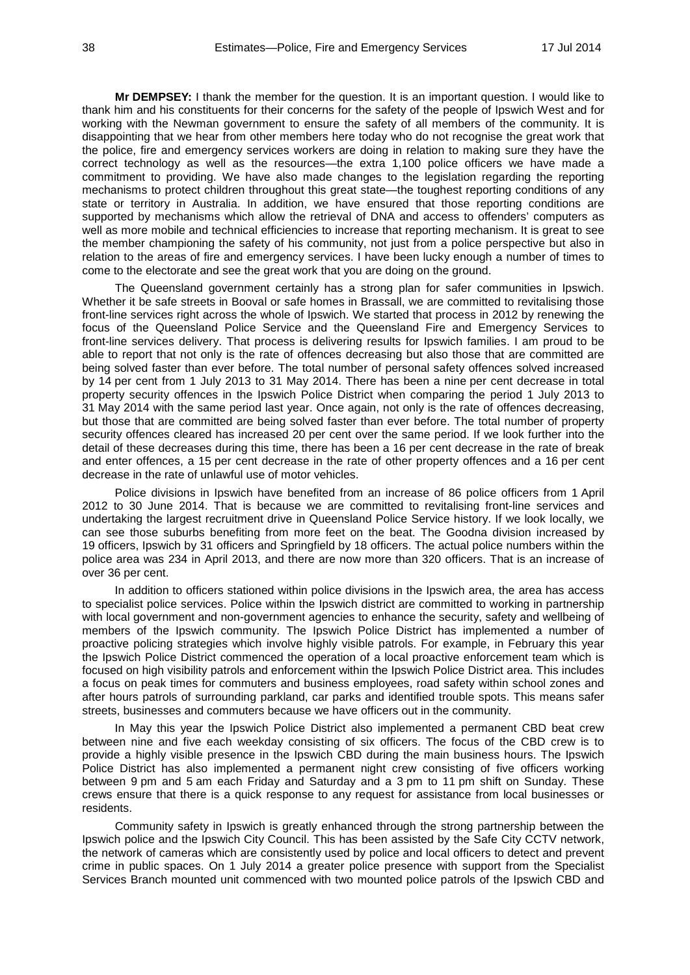**Mr DEMPSEY:** I thank the member for the question. It is an important question. I would like to thank him and his constituents for their concerns for the safety of the people of Ipswich West and for working with the Newman government to ensure the safety of all members of the community. It is disappointing that we hear from other members here today who do not recognise the great work that the police, fire and emergency services workers are doing in relation to making sure they have the correct technology as well as the resources—the extra 1,100 police officers we have made a commitment to providing. We have also made changes to the legislation regarding the reporting mechanisms to protect children throughout this great state—the toughest reporting conditions of any state or territory in Australia. In addition, we have ensured that those reporting conditions are supported by mechanisms which allow the retrieval of DNA and access to offenders' computers as well as more mobile and technical efficiencies to increase that reporting mechanism. It is great to see the member championing the safety of his community, not just from a police perspective but also in relation to the areas of fire and emergency services. I have been lucky enough a number of times to come to the electorate and see the great work that you are doing on the ground.

The Queensland government certainly has a strong plan for safer communities in Ipswich. Whether it be safe streets in Booval or safe homes in Brassall, we are committed to revitalising those front-line services right across the whole of Ipswich. We started that process in 2012 by renewing the focus of the Queensland Police Service and the Queensland Fire and Emergency Services to front-line services delivery. That process is delivering results for Ipswich families. I am proud to be able to report that not only is the rate of offences decreasing but also those that are committed are being solved faster than ever before. The total number of personal safety offences solved increased by 14 per cent from 1 July 2013 to 31 May 2014. There has been a nine per cent decrease in total property security offences in the Ipswich Police District when comparing the period 1 July 2013 to 31 May 2014 with the same period last year. Once again, not only is the rate of offences decreasing, but those that are committed are being solved faster than ever before. The total number of property security offences cleared has increased 20 per cent over the same period. If we look further into the detail of these decreases during this time, there has been a 16 per cent decrease in the rate of break and enter offences, a 15 per cent decrease in the rate of other property offences and a 16 per cent decrease in the rate of unlawful use of motor vehicles.

Police divisions in Ipswich have benefited from an increase of 86 police officers from 1 April 2012 to 30 June 2014. That is because we are committed to revitalising front-line services and undertaking the largest recruitment drive in Queensland Police Service history. If we look locally, we can see those suburbs benefiting from more feet on the beat. The Goodna division increased by 19 officers, Ipswich by 31 officers and Springfield by 18 officers. The actual police numbers within the police area was 234 in April 2013, and there are now more than 320 officers. That is an increase of over 36 per cent.

In addition to officers stationed within police divisions in the Ipswich area, the area has access to specialist police services. Police within the Ipswich district are committed to working in partnership with local government and non-government agencies to enhance the security, safety and wellbeing of members of the Ipswich community. The Ipswich Police District has implemented a number of proactive policing strategies which involve highly visible patrols. For example, in February this year the Ipswich Police District commenced the operation of a local proactive enforcement team which is focused on high visibility patrols and enforcement within the Ipswich Police District area. This includes a focus on peak times for commuters and business employees, road safety within school zones and after hours patrols of surrounding parkland, car parks and identified trouble spots. This means safer streets, businesses and commuters because we have officers out in the community.

In May this year the Ipswich Police District also implemented a permanent CBD beat crew between nine and five each weekday consisting of six officers. The focus of the CBD crew is to provide a highly visible presence in the Ipswich CBD during the main business hours. The Ipswich Police District has also implemented a permanent night crew consisting of five officers working between 9 pm and 5 am each Friday and Saturday and a 3 pm to 11 pm shift on Sunday. These crews ensure that there is a quick response to any request for assistance from local businesses or residents.

Community safety in Ipswich is greatly enhanced through the strong partnership between the Ipswich police and the Ipswich City Council. This has been assisted by the Safe City CCTV network, the network of cameras which are consistently used by police and local officers to detect and prevent crime in public spaces. On 1 July 2014 a greater police presence with support from the Specialist Services Branch mounted unit commenced with two mounted police patrols of the Ipswich CBD and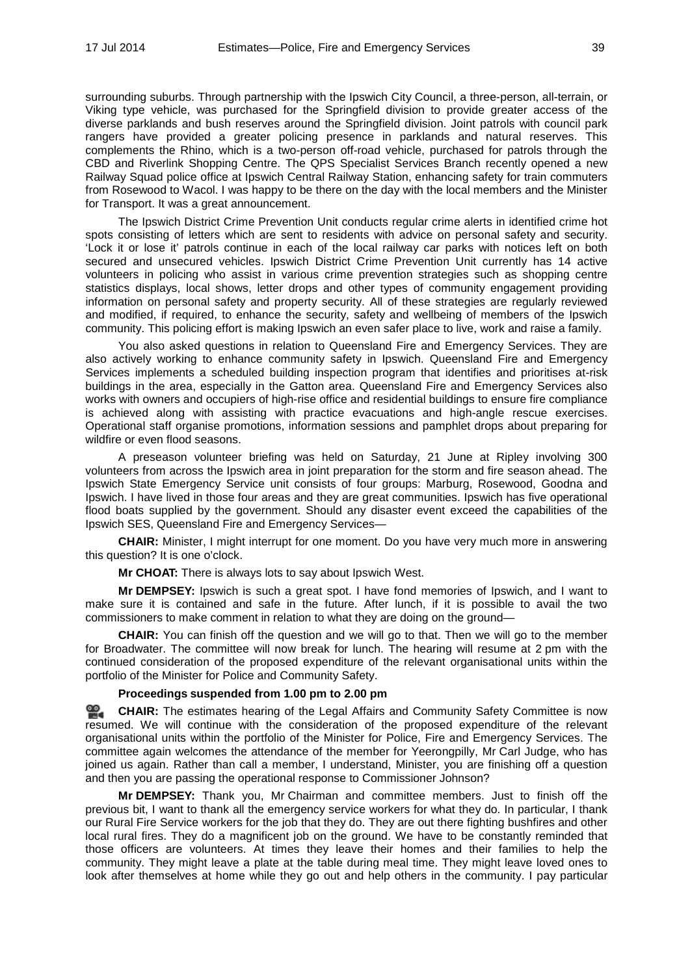surrounding suburbs. Through partnership with the Ipswich City Council, a three-person, all-terrain, or Viking type vehicle, was purchased for the Springfield division to provide greater access of the diverse parklands and bush reserves around the Springfield division. Joint patrols with council park rangers have provided a greater policing presence in parklands and natural reserves. This complements the Rhino, which is a two-person off-road vehicle, purchased for patrols through the CBD and Riverlink Shopping Centre. The QPS Specialist Services Branch recently opened a new Railway Squad police office at Ipswich Central Railway Station, enhancing safety for train commuters from Rosewood to Wacol. I was happy to be there on the day with the local members and the Minister for Transport. It was a great announcement.

The Ipswich District Crime Prevention Unit conducts regular crime alerts in identified crime hot spots consisting of letters which are sent to residents with advice on personal safety and security. 'Lock it or lose it' patrols continue in each of the local railway car parks with notices left on both secured and unsecured vehicles. Ipswich District Crime Prevention Unit currently has 14 active volunteers in policing who assist in various crime prevention strategies such as shopping centre statistics displays, local shows, letter drops and other types of community engagement providing information on personal safety and property security. All of these strategies are regularly reviewed and modified, if required, to enhance the security, safety and wellbeing of members of the Ipswich community. This policing effort is making Ipswich an even safer place to live, work and raise a family.

You also asked questions in relation to Queensland Fire and Emergency Services. They are also actively working to enhance community safety in Ipswich. Queensland Fire and Emergency Services implements a scheduled building inspection program that identifies and prioritises at-risk buildings in the area, especially in the Gatton area. Queensland Fire and Emergency Services also works with owners and occupiers of high-rise office and residential buildings to ensure fire compliance is achieved along with assisting with practice evacuations and high-angle rescue exercises. Operational staff organise promotions, information sessions and pamphlet drops about preparing for wildfire or even flood seasons.

A preseason volunteer briefing was held on Saturday, 21 June at Ripley involving 300 volunteers from across the Ipswich area in joint preparation for the storm and fire season ahead. The Ipswich State Emergency Service unit consists of four groups: Marburg, Rosewood, Goodna and Ipswich. I have lived in those four areas and they are great communities. Ipswich has five operational flood boats supplied by the government. Should any disaster event exceed the capabilities of the Ipswich SES, Queensland Fire and Emergency Services—

**CHAIR:** Minister, I might interrupt for one moment. Do you have very much more in answering this question? It is one o'clock.

**Mr CHOAT:** There is always lots to say about Ipswich West.

**Mr DEMPSEY:** Ipswich is such a great spot. I have fond memories of Ipswich, and I want to make sure it is contained and safe in the future. After lunch, if it is possible to avail the two commissioners to make comment in relation to what they are doing on the ground—

**CHAIR:** You can finish off the question and we will go to that. Then we will go to the member for Broadwater. The committee will now break for lunch. The hearing will resume at 2 pm with the continued consideration of the proposed expenditure of the relevant organisational units within the portfolio of the Minister for Police and Community Safety.

# **Proceedings suspended from 1.00 pm to 2.00 pm**

음. **[CHAIR:](http://www.parliament.qld.gov.au/docs/find.aspx?id=0MbaLACSC20140717_140053)** The estimates hearing of the Legal Affairs and Community Safety Committee is now resumed. We will continue with the consideration of the proposed expenditure of the relevant organisational units within the portfolio of the Minister for Police, Fire and Emergency Services. The committee again welcomes the attendance of the member for Yeerongpilly, Mr Carl Judge, who has joined us again. Rather than call a member, I understand, Minister, you are finishing off a question and then you are passing the operational response to Commissioner Johnson?

**Mr DEMPSEY:** Thank you, Mr Chairman and committee members. Just to finish off the previous bit, I want to thank all the emergency service workers for what they do. In particular, I thank our Rural Fire Service workers for the job that they do. They are out there fighting bushfires and other local rural fires. They do a magnificent job on the ground. We have to be constantly reminded that those officers are volunteers. At times they leave their homes and their families to help the community. They might leave a plate at the table during meal time. They might leave loved ones to look after themselves at home while they go out and help others in the community. I pay particular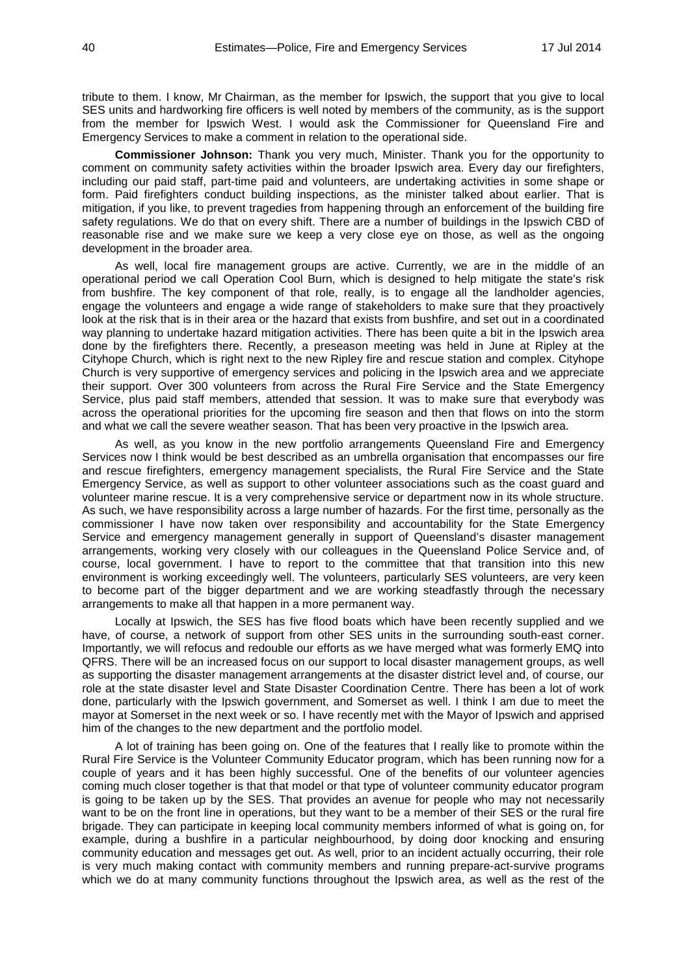tribute to them. I know, Mr Chairman, as the member for Ipswich, the support that you give to local SES units and hardworking fire officers is well noted by members of the community, as is the support from the member for Ipswich West. I would ask the Commissioner for Queensland Fire and Emergency Services to make a comment in relation to the operational side.

**Commissioner Johnson:** Thank you very much, Minister. Thank you for the opportunity to comment on community safety activities within the broader Ipswich area. Every day our firefighters, including our paid staff, part-time paid and volunteers, are undertaking activities in some shape or form. Paid firefighters conduct building inspections, as the minister talked about earlier. That is mitigation, if you like, to prevent tragedies from happening through an enforcement of the building fire safety regulations. We do that on every shift. There are a number of buildings in the Ipswich CBD of reasonable rise and we make sure we keep a very close eye on those, as well as the ongoing development in the broader area.

As well, local fire management groups are active. Currently, we are in the middle of an operational period we call Operation Cool Burn, which is designed to help mitigate the state's risk from bushfire. The key component of that role, really, is to engage all the landholder agencies, engage the volunteers and engage a wide range of stakeholders to make sure that they proactively look at the risk that is in their area or the hazard that exists from bushfire, and set out in a coordinated way planning to undertake hazard mitigation activities. There has been quite a bit in the Ipswich area done by the firefighters there. Recently, a preseason meeting was held in June at Ripley at the Cityhope Church, which is right next to the new Ripley fire and rescue station and complex. Cityhope Church is very supportive of emergency services and policing in the Ipswich area and we appreciate their support. Over 300 volunteers from across the Rural Fire Service and the State Emergency Service, plus paid staff members, attended that session. It was to make sure that everybody was across the operational priorities for the upcoming fire season and then that flows on into the storm and what we call the severe weather season. That has been very proactive in the Ipswich area.

As well, as you know in the new portfolio arrangements Queensland Fire and Emergency Services now I think would be best described as an umbrella organisation that encompasses our fire and rescue firefighters, emergency management specialists, the Rural Fire Service and the State Emergency Service, as well as support to other volunteer associations such as the coast guard and volunteer marine rescue. It is a very comprehensive service or department now in its whole structure. As such, we have responsibility across a large number of hazards. For the first time, personally as the commissioner I have now taken over responsibility and accountability for the State Emergency Service and emergency management generally in support of Queensland's disaster management arrangements, working very closely with our colleagues in the Queensland Police Service and, of course, local government. I have to report to the committee that that transition into this new environment is working exceedingly well. The volunteers, particularly SES volunteers, are very keen to become part of the bigger department and we are working steadfastly through the necessary arrangements to make all that happen in a more permanent way.

Locally at Ipswich, the SES has five flood boats which have been recently supplied and we have, of course, a network of support from other SES units in the surrounding south-east corner. Importantly, we will refocus and redouble our efforts as we have merged what was formerly EMQ into QFRS. There will be an increased focus on our support to local disaster management groups, as well as supporting the disaster management arrangements at the disaster district level and, of course, our role at the state disaster level and State Disaster Coordination Centre. There has been a lot of work done, particularly with the Ipswich government, and Somerset as well. I think I am due to meet the mayor at Somerset in the next week or so. I have recently met with the Mayor of Ipswich and apprised him of the changes to the new department and the portfolio model.

A lot of training has been going on. One of the features that I really like to promote within the Rural Fire Service is the Volunteer Community Educator program, which has been running now for a couple of years and it has been highly successful. One of the benefits of our volunteer agencies coming much closer together is that that model or that type of volunteer community educator program is going to be taken up by the SES. That provides an avenue for people who may not necessarily want to be on the front line in operations, but they want to be a member of their SES or the rural fire brigade. They can participate in keeping local community members informed of what is going on, for example, during a bushfire in a particular neighbourhood, by doing door knocking and ensuring community education and messages get out. As well, prior to an incident actually occurring, their role is very much making contact with community members and running prepare-act-survive programs which we do at many community functions throughout the Ipswich area, as well as the rest of the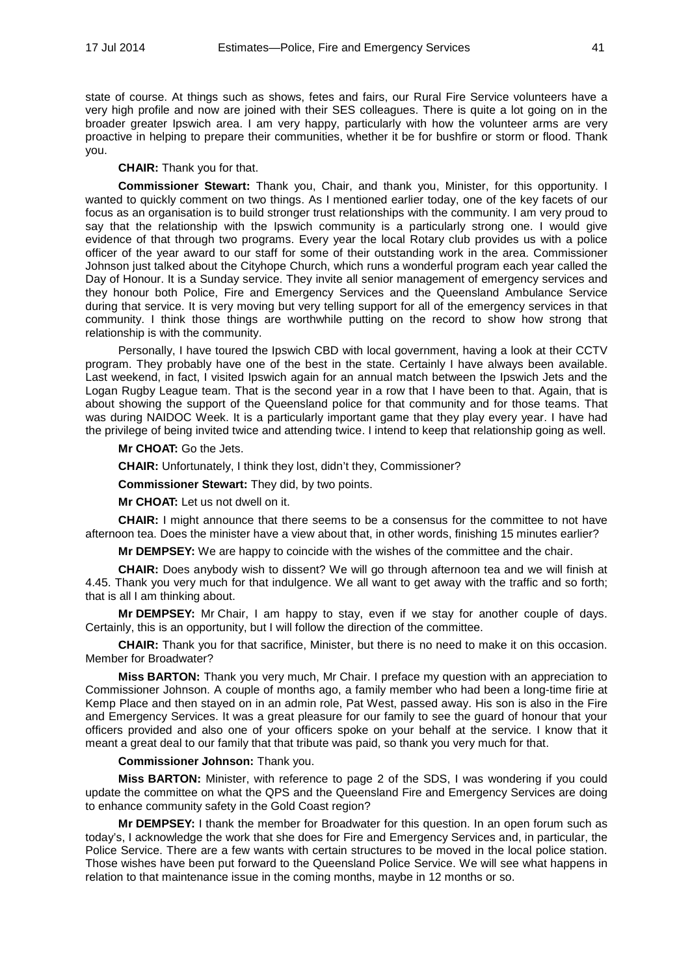state of course. At things such as shows, fetes and fairs, our Rural Fire Service volunteers have a very high profile and now are joined with their SES colleagues. There is quite a lot going on in the broader greater Ipswich area. I am very happy, particularly with how the volunteer arms are very proactive in helping to prepare their communities, whether it be for bushfire or storm or flood. Thank you.

**CHAIR:** Thank you for that.

**Commissioner Stewart:** Thank you, Chair, and thank you, Minister, for this opportunity. I wanted to quickly comment on two things. As I mentioned earlier today, one of the key facets of our focus as an organisation is to build stronger trust relationships with the community. I am very proud to say that the relationship with the Ipswich community is a particularly strong one. I would give evidence of that through two programs. Every year the local Rotary club provides us with a police officer of the year award to our staff for some of their outstanding work in the area. Commissioner Johnson just talked about the Cityhope Church, which runs a wonderful program each year called the Day of Honour. It is a Sunday service. They invite all senior management of emergency services and they honour both Police, Fire and Emergency Services and the Queensland Ambulance Service during that service. It is very moving but very telling support for all of the emergency services in that community. I think those things are worthwhile putting on the record to show how strong that relationship is with the community.

Personally, I have toured the Ipswich CBD with local government, having a look at their CCTV program. They probably have one of the best in the state. Certainly I have always been available. Last weekend, in fact, I visited Ipswich again for an annual match between the Ipswich Jets and the Logan Rugby League team. That is the second year in a row that I have been to that. Again, that is about showing the support of the Queensland police for that community and for those teams. That was during NAIDOC Week. It is a particularly important game that they play every year. I have had the privilege of being invited twice and attending twice. I intend to keep that relationship going as well.

**Mr CHOAT:** Go the Jets.

**CHAIR:** Unfortunately, I think they lost, didn't they, Commissioner?

**Commissioner Stewart:** They did, by two points.

**Mr CHOAT:** Let us not dwell on it.

**CHAIR:** I might announce that there seems to be a consensus for the committee to not have afternoon tea. Does the minister have a view about that, in other words, finishing 15 minutes earlier?

**Mr DEMPSEY:** We are happy to coincide with the wishes of the committee and the chair.

**CHAIR:** Does anybody wish to dissent? We will go through afternoon tea and we will finish at 4.45. Thank you very much for that indulgence. We all want to get away with the traffic and so forth; that is all I am thinking about.

**Mr DEMPSEY:** Mr Chair, I am happy to stay, even if we stay for another couple of days. Certainly, this is an opportunity, but I will follow the direction of the committee.

**CHAIR:** Thank you for that sacrifice, Minister, but there is no need to make it on this occasion. Member for Broadwater?

**Miss BARTON:** Thank you very much, Mr Chair. I preface my question with an appreciation to Commissioner Johnson. A couple of months ago, a family member who had been a long-time firie at Kemp Place and then stayed on in an admin role, Pat West, passed away. His son is also in the Fire and Emergency Services. It was a great pleasure for our family to see the guard of honour that your officers provided and also one of your officers spoke on your behalf at the service. I know that it meant a great deal to our family that that tribute was paid, so thank you very much for that.

**Commissioner Johnson:** Thank you.

**Miss BARTON:** Minister, with reference to page 2 of the SDS, I was wondering if you could update the committee on what the QPS and the Queensland Fire and Emergency Services are doing to enhance community safety in the Gold Coast region?

**Mr DEMPSEY:** I thank the member for Broadwater for this question. In an open forum such as today's, I acknowledge the work that she does for Fire and Emergency Services and, in particular, the Police Service. There are a few wants with certain structures to be moved in the local police station. Those wishes have been put forward to the Queensland Police Service. We will see what happens in relation to that maintenance issue in the coming months, maybe in 12 months or so.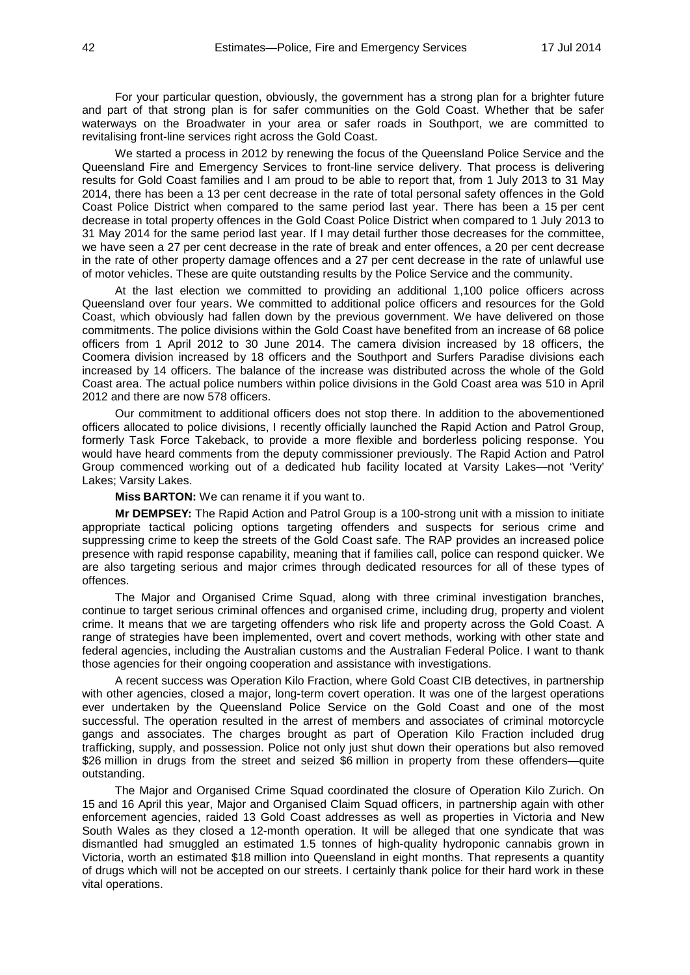For your particular question, obviously, the government has a strong plan for a brighter future and part of that strong plan is for safer communities on the Gold Coast. Whether that be safer waterways on the Broadwater in your area or safer roads in Southport, we are committed to revitalising front-line services right across the Gold Coast.

We started a process in 2012 by renewing the focus of the Queensland Police Service and the Queensland Fire and Emergency Services to front-line service delivery. That process is delivering results for Gold Coast families and I am proud to be able to report that, from 1 July 2013 to 31 May 2014, there has been a 13 per cent decrease in the rate of total personal safety offences in the Gold Coast Police District when compared to the same period last year. There has been a 15 per cent decrease in total property offences in the Gold Coast Police District when compared to 1 July 2013 to 31 May 2014 for the same period last year. If I may detail further those decreases for the committee, we have seen a 27 per cent decrease in the rate of break and enter offences, a 20 per cent decrease in the rate of other property damage offences and a 27 per cent decrease in the rate of unlawful use of motor vehicles. These are quite outstanding results by the Police Service and the community.

At the last election we committed to providing an additional 1,100 police officers across Queensland over four years. We committed to additional police officers and resources for the Gold Coast, which obviously had fallen down by the previous government. We have delivered on those commitments. The police divisions within the Gold Coast have benefited from an increase of 68 police officers from 1 April 2012 to 30 June 2014. The camera division increased by 18 officers, the Coomera division increased by 18 officers and the Southport and Surfers Paradise divisions each increased by 14 officers. The balance of the increase was distributed across the whole of the Gold Coast area. The actual police numbers within police divisions in the Gold Coast area was 510 in April 2012 and there are now 578 officers.

Our commitment to additional officers does not stop there. In addition to the abovementioned officers allocated to police divisions, I recently officially launched the Rapid Action and Patrol Group, formerly Task Force Takeback, to provide a more flexible and borderless policing response. You would have heard comments from the deputy commissioner previously. The Rapid Action and Patrol Group commenced working out of a dedicated hub facility located at Varsity Lakes—not 'Verity' Lakes; Varsity Lakes.

**Miss BARTON:** We can rename it if you want to.

**Mr DEMPSEY:** The Rapid Action and Patrol Group is a 100-strong unit with a mission to initiate appropriate tactical policing options targeting offenders and suspects for serious crime and suppressing crime to keep the streets of the Gold Coast safe. The RAP provides an increased police presence with rapid response capability, meaning that if families call, police can respond quicker. We are also targeting serious and major crimes through dedicated resources for all of these types of offences.

The Major and Organised Crime Squad, along with three criminal investigation branches, continue to target serious criminal offences and organised crime, including drug, property and violent crime. It means that we are targeting offenders who risk life and property across the Gold Coast. A range of strategies have been implemented, overt and covert methods, working with other state and federal agencies, including the Australian customs and the Australian Federal Police. I want to thank those agencies for their ongoing cooperation and assistance with investigations.

A recent success was Operation Kilo Fraction, where Gold Coast CIB detectives, in partnership with other agencies, closed a major, long-term covert operation. It was one of the largest operations ever undertaken by the Queensland Police Service on the Gold Coast and one of the most successful. The operation resulted in the arrest of members and associates of criminal motorcycle gangs and associates. The charges brought as part of Operation Kilo Fraction included drug trafficking, supply, and possession. Police not only just shut down their operations but also removed \$26 million in drugs from the street and seized \$6 million in property from these offenders—quite outstanding.

The Major and Organised Crime Squad coordinated the closure of Operation Kilo Zurich. On 15 and 16 April this year, Major and Organised Claim Squad officers, in partnership again with other enforcement agencies, raided 13 Gold Coast addresses as well as properties in Victoria and New South Wales as they closed a 12-month operation. It will be alleged that one syndicate that was dismantled had smuggled an estimated 1.5 tonnes of high-quality hydroponic cannabis grown in Victoria, worth an estimated \$18 million into Queensland in eight months. That represents a quantity of drugs which will not be accepted on our streets. I certainly thank police for their hard work in these vital operations.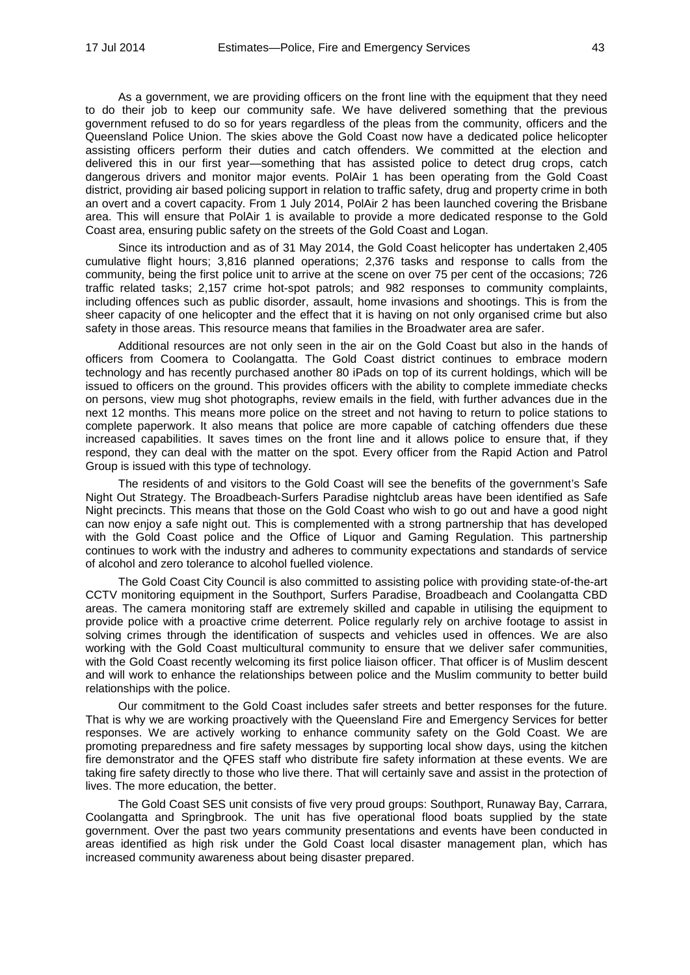As a government, we are providing officers on the front line with the equipment that they need to do their job to keep our community safe. We have delivered something that the previous government refused to do so for years regardless of the pleas from the community, officers and the Queensland Police Union. The skies above the Gold Coast now have a dedicated police helicopter assisting officers perform their duties and catch offenders. We committed at the election and delivered this in our first year—something that has assisted police to detect drug crops, catch dangerous drivers and monitor major events. PolAir 1 has been operating from the Gold Coast district, providing air based policing support in relation to traffic safety, drug and property crime in both an overt and a covert capacity. From 1 July 2014, PolAir 2 has been launched covering the Brisbane area. This will ensure that PolAir 1 is available to provide a more dedicated response to the Gold Coast area, ensuring public safety on the streets of the Gold Coast and Logan.

Since its introduction and as of 31 May 2014, the Gold Coast helicopter has undertaken 2,405 cumulative flight hours; 3,816 planned operations; 2,376 tasks and response to calls from the community, being the first police unit to arrive at the scene on over 75 per cent of the occasions; 726 traffic related tasks; 2,157 crime hot-spot patrols; and 982 responses to community complaints, including offences such as public disorder, assault, home invasions and shootings. This is from the sheer capacity of one helicopter and the effect that it is having on not only organised crime but also safety in those areas. This resource means that families in the Broadwater area are safer.

Additional resources are not only seen in the air on the Gold Coast but also in the hands of officers from Coomera to Coolangatta. The Gold Coast district continues to embrace modern technology and has recently purchased another 80 iPads on top of its current holdings, which will be issued to officers on the ground. This provides officers with the ability to complete immediate checks on persons, view mug shot photographs, review emails in the field, with further advances due in the next 12 months. This means more police on the street and not having to return to police stations to complete paperwork. It also means that police are more capable of catching offenders due these increased capabilities. It saves times on the front line and it allows police to ensure that, if they respond, they can deal with the matter on the spot. Every officer from the Rapid Action and Patrol Group is issued with this type of technology.

The residents of and visitors to the Gold Coast will see the benefits of the government's Safe Night Out Strategy. The Broadbeach-Surfers Paradise nightclub areas have been identified as Safe Night precincts. This means that those on the Gold Coast who wish to go out and have a good night can now enjoy a safe night out. This is complemented with a strong partnership that has developed with the Gold Coast police and the Office of Liquor and Gaming Regulation. This partnership continues to work with the industry and adheres to community expectations and standards of service of alcohol and zero tolerance to alcohol fuelled violence.

The Gold Coast City Council is also committed to assisting police with providing state-of-the-art CCTV monitoring equipment in the Southport, Surfers Paradise, Broadbeach and Coolangatta CBD areas. The camera monitoring staff are extremely skilled and capable in utilising the equipment to provide police with a proactive crime deterrent. Police regularly rely on archive footage to assist in solving crimes through the identification of suspects and vehicles used in offences. We are also working with the Gold Coast multicultural community to ensure that we deliver safer communities, with the Gold Coast recently welcoming its first police liaison officer. That officer is of Muslim descent and will work to enhance the relationships between police and the Muslim community to better build relationships with the police.

Our commitment to the Gold Coast includes safer streets and better responses for the future. That is why we are working proactively with the Queensland Fire and Emergency Services for better responses. We are actively working to enhance community safety on the Gold Coast. We are promoting preparedness and fire safety messages by supporting local show days, using the kitchen fire demonstrator and the QFES staff who distribute fire safety information at these events. We are taking fire safety directly to those who live there. That will certainly save and assist in the protection of lives. The more education, the better.

The Gold Coast SES unit consists of five very proud groups: Southport, Runaway Bay, Carrara, Coolangatta and Springbrook. The unit has five operational flood boats supplied by the state government. Over the past two years community presentations and events have been conducted in areas identified as high risk under the Gold Coast local disaster management plan, which has increased community awareness about being disaster prepared.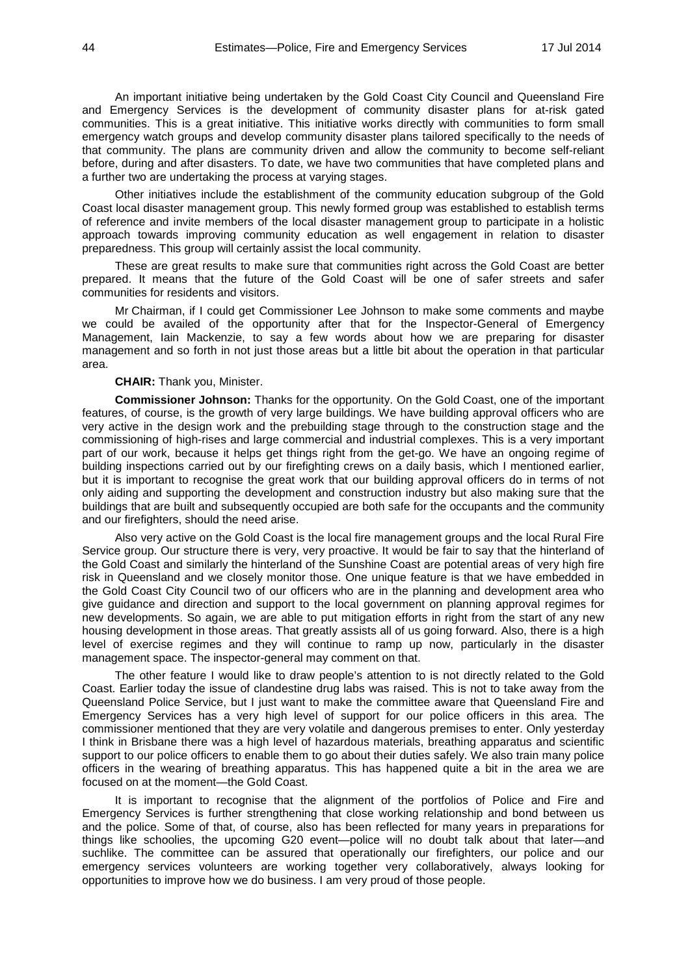An important initiative being undertaken by the Gold Coast City Council and Queensland Fire and Emergency Services is the development of community disaster plans for at-risk gated communities. This is a great initiative. This initiative works directly with communities to form small emergency watch groups and develop community disaster plans tailored specifically to the needs of that community. The plans are community driven and allow the community to become self-reliant before, during and after disasters. To date, we have two communities that have completed plans and a further two are undertaking the process at varying stages.

Other initiatives include the establishment of the community education subgroup of the Gold Coast local disaster management group. This newly formed group was established to establish terms of reference and invite members of the local disaster management group to participate in a holistic approach towards improving community education as well engagement in relation to disaster preparedness. This group will certainly assist the local community.

These are great results to make sure that communities right across the Gold Coast are better prepared. It means that the future of the Gold Coast will be one of safer streets and safer communities for residents and visitors.

Mr Chairman, if I could get Commissioner Lee Johnson to make some comments and maybe we could be availed of the opportunity after that for the Inspector-General of Emergency Management, Iain Mackenzie, to say a few words about how we are preparing for disaster management and so forth in not just those areas but a little bit about the operation in that particular area.

#### **CHAIR:** Thank you, Minister.

**Commissioner Johnson:** Thanks for the opportunity. On the Gold Coast, one of the important features, of course, is the growth of very large buildings. We have building approval officers who are very active in the design work and the prebuilding stage through to the construction stage and the commissioning of high-rises and large commercial and industrial complexes. This is a very important part of our work, because it helps get things right from the get-go. We have an ongoing regime of building inspections carried out by our firefighting crews on a daily basis, which I mentioned earlier, but it is important to recognise the great work that our building approval officers do in terms of not only aiding and supporting the development and construction industry but also making sure that the buildings that are built and subsequently occupied are both safe for the occupants and the community and our firefighters, should the need arise.

Also very active on the Gold Coast is the local fire management groups and the local Rural Fire Service group. Our structure there is very, very proactive. It would be fair to say that the hinterland of the Gold Coast and similarly the hinterland of the Sunshine Coast are potential areas of very high fire risk in Queensland and we closely monitor those. One unique feature is that we have embedded in the Gold Coast City Council two of our officers who are in the planning and development area who give guidance and direction and support to the local government on planning approval regimes for new developments. So again, we are able to put mitigation efforts in right from the start of any new housing development in those areas. That greatly assists all of us going forward. Also, there is a high level of exercise regimes and they will continue to ramp up now, particularly in the disaster management space. The inspector-general may comment on that.

The other feature I would like to draw people's attention to is not directly related to the Gold Coast. Earlier today the issue of clandestine drug labs was raised. This is not to take away from the Queensland Police Service, but I just want to make the committee aware that Queensland Fire and Emergency Services has a very high level of support for our police officers in this area. The commissioner mentioned that they are very volatile and dangerous premises to enter. Only yesterday I think in Brisbane there was a high level of hazardous materials, breathing apparatus and scientific support to our police officers to enable them to go about their duties safely. We also train many police officers in the wearing of breathing apparatus. This has happened quite a bit in the area we are focused on at the moment—the Gold Coast.

It is important to recognise that the alignment of the portfolios of Police and Fire and Emergency Services is further strengthening that close working relationship and bond between us and the police. Some of that, of course, also has been reflected for many years in preparations for things like schoolies, the upcoming G20 event—police will no doubt talk about that later—and suchlike. The committee can be assured that operationally our firefighters, our police and our emergency services volunteers are working together very collaboratively, always looking for opportunities to improve how we do business. I am very proud of those people.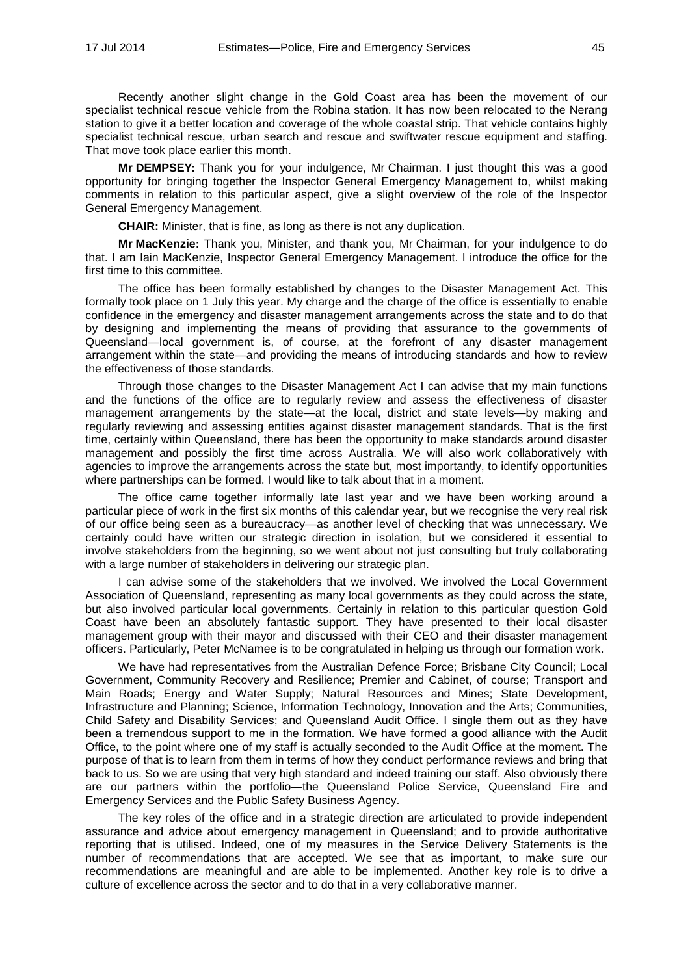Recently another slight change in the Gold Coast area has been the movement of our specialist technical rescue vehicle from the Robina station. It has now been relocated to the Nerang station to give it a better location and coverage of the whole coastal strip. That vehicle contains highly specialist technical rescue, urban search and rescue and swiftwater rescue equipment and staffing. That move took place earlier this month.

**Mr DEMPSEY:** Thank you for your indulgence, Mr Chairman. I just thought this was a good opportunity for bringing together the Inspector General Emergency Management to, whilst making comments in relation to this particular aspect, give a slight overview of the role of the Inspector General Emergency Management.

**CHAIR:** Minister, that is fine, as long as there is not any duplication.

**Mr MacKenzie:** Thank you, Minister, and thank you, Mr Chairman, for your indulgence to do that. I am Iain MacKenzie, Inspector General Emergency Management. I introduce the office for the first time to this committee.

The office has been formally established by changes to the Disaster Management Act. This formally took place on 1 July this year. My charge and the charge of the office is essentially to enable confidence in the emergency and disaster management arrangements across the state and to do that by designing and implementing the means of providing that assurance to the governments of Queensland—local government is, of course, at the forefront of any disaster management arrangement within the state—and providing the means of introducing standards and how to review the effectiveness of those standards.

Through those changes to the Disaster Management Act I can advise that my main functions and the functions of the office are to regularly review and assess the effectiveness of disaster management arrangements by the state—at the local, district and state levels—by making and regularly reviewing and assessing entities against disaster management standards. That is the first time, certainly within Queensland, there has been the opportunity to make standards around disaster management and possibly the first time across Australia. We will also work collaboratively with agencies to improve the arrangements across the state but, most importantly, to identify opportunities where partnerships can be formed. I would like to talk about that in a moment.

The office came together informally late last year and we have been working around a particular piece of work in the first six months of this calendar year, but we recognise the very real risk of our office being seen as a bureaucracy—as another level of checking that was unnecessary. We certainly could have written our strategic direction in isolation, but we considered it essential to involve stakeholders from the beginning, so we went about not just consulting but truly collaborating with a large number of stakeholders in delivering our strategic plan.

I can advise some of the stakeholders that we involved. We involved the Local Government Association of Queensland, representing as many local governments as they could across the state, but also involved particular local governments. Certainly in relation to this particular question Gold Coast have been an absolutely fantastic support. They have presented to their local disaster management group with their mayor and discussed with their CEO and their disaster management officers. Particularly, Peter McNamee is to be congratulated in helping us through our formation work.

We have had representatives from the Australian Defence Force; Brisbane City Council; Local Government, Community Recovery and Resilience; Premier and Cabinet, of course; Transport and Main Roads; Energy and Water Supply; Natural Resources and Mines; State Development, Infrastructure and Planning; Science, Information Technology, Innovation and the Arts; Communities, Child Safety and Disability Services; and Queensland Audit Office. I single them out as they have been a tremendous support to me in the formation. We have formed a good alliance with the Audit Office, to the point where one of my staff is actually seconded to the Audit Office at the moment. The purpose of that is to learn from them in terms of how they conduct performance reviews and bring that back to us. So we are using that very high standard and indeed training our staff. Also obviously there are our partners within the portfolio—the Queensland Police Service, Queensland Fire and Emergency Services and the Public Safety Business Agency.

The key roles of the office and in a strategic direction are articulated to provide independent assurance and advice about emergency management in Queensland; and to provide authoritative reporting that is utilised. Indeed, one of my measures in the Service Delivery Statements is the number of recommendations that are accepted. We see that as important, to make sure our recommendations are meaningful and are able to be implemented. Another key role is to drive a culture of excellence across the sector and to do that in a very collaborative manner.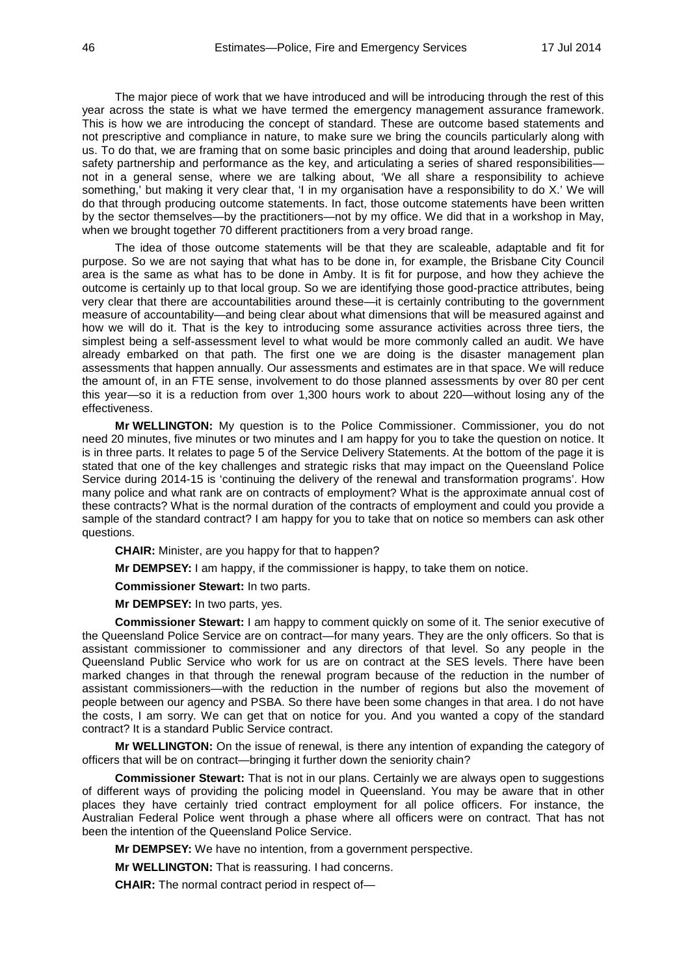The major piece of work that we have introduced and will be introducing through the rest of this year across the state is what we have termed the emergency management assurance framework. This is how we are introducing the concept of standard. These are outcome based statements and not prescriptive and compliance in nature, to make sure we bring the councils particularly along with us. To do that, we are framing that on some basic principles and doing that around leadership, public safety partnership and performance as the key, and articulating a series of shared responsibilitiesnot in a general sense, where we are talking about, 'We all share a responsibility to achieve something,' but making it very clear that, 'I in my organisation have a responsibility to do X.' We will do that through producing outcome statements. In fact, those outcome statements have been written by the sector themselves—by the practitioners—not by my office. We did that in a workshop in May, when we brought together 70 different practitioners from a very broad range.

The idea of those outcome statements will be that they are scaleable, adaptable and fit for purpose. So we are not saying that what has to be done in, for example, the Brisbane City Council area is the same as what has to be done in Amby. It is fit for purpose, and how they achieve the outcome is certainly up to that local group. So we are identifying those good-practice attributes, being very clear that there are accountabilities around these—it is certainly contributing to the government measure of accountability—and being clear about what dimensions that will be measured against and how we will do it. That is the key to introducing some assurance activities across three tiers, the simplest being a self-assessment level to what would be more commonly called an audit. We have already embarked on that path. The first one we are doing is the disaster management plan assessments that happen annually. Our assessments and estimates are in that space. We will reduce the amount of, in an FTE sense, involvement to do those planned assessments by over 80 per cent this year—so it is a reduction from over 1,300 hours work to about 220—without losing any of the effectiveness.

**Mr WELLINGTON:** My question is to the Police Commissioner. Commissioner, you do not need 20 minutes, five minutes or two minutes and I am happy for you to take the question on notice. It is in three parts. It relates to page 5 of the Service Delivery Statements. At the bottom of the page it is stated that one of the key challenges and strategic risks that may impact on the Queensland Police Service during 2014-15 is 'continuing the delivery of the renewal and transformation programs'. How many police and what rank are on contracts of employment? What is the approximate annual cost of these contracts? What is the normal duration of the contracts of employment and could you provide a sample of the standard contract? I am happy for you to take that on notice so members can ask other questions.

**CHAIR:** Minister, are you happy for that to happen?

**Mr DEMPSEY:** I am happy, if the commissioner is happy, to take them on notice.

**Commissioner Stewart:** In two parts.

**Mr DEMPSEY:** In two parts, yes.

**Commissioner Stewart:** I am happy to comment quickly on some of it. The senior executive of the Queensland Police Service are on contract—for many years. They are the only officers. So that is assistant commissioner to commissioner and any directors of that level. So any people in the Queensland Public Service who work for us are on contract at the SES levels. There have been marked changes in that through the renewal program because of the reduction in the number of assistant commissioners—with the reduction in the number of regions but also the movement of people between our agency and PSBA. So there have been some changes in that area. I do not have the costs, I am sorry. We can get that on notice for you. And you wanted a copy of the standard contract? It is a standard Public Service contract.

**Mr WELLINGTON:** On the issue of renewal, is there any intention of expanding the category of officers that will be on contract—bringing it further down the seniority chain?

**Commissioner Stewart:** That is not in our plans. Certainly we are always open to suggestions of different ways of providing the policing model in Queensland. You may be aware that in other places they have certainly tried contract employment for all police officers. For instance, the Australian Federal Police went through a phase where all officers were on contract. That has not been the intention of the Queensland Police Service.

**Mr DEMPSEY:** We have no intention, from a government perspective.

**Mr WELLINGTON:** That is reassuring. I had concerns.

**CHAIR:** The normal contract period in respect of—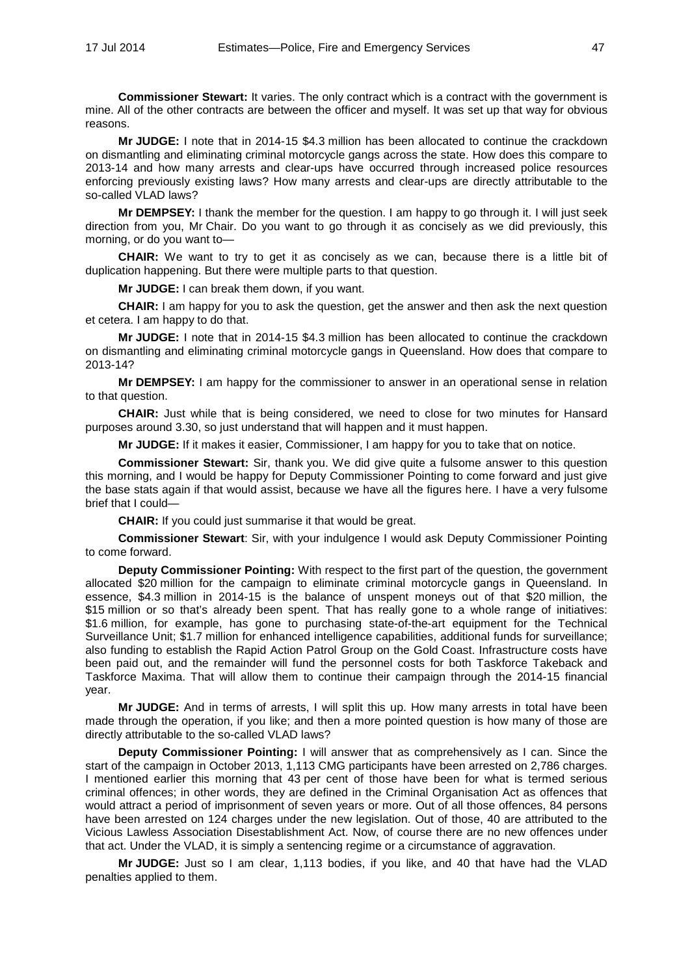**Commissioner Stewart:** It varies. The only contract which is a contract with the government is mine. All of the other contracts are between the officer and myself. It was set up that way for obvious reasons.

**Mr JUDGE:** I note that in 2014-15 \$4.3 million has been allocated to continue the crackdown on dismantling and eliminating criminal motorcycle gangs across the state. How does this compare to 2013-14 and how many arrests and clear-ups have occurred through increased police resources enforcing previously existing laws? How many arrests and clear-ups are directly attributable to the so-called VLAD laws?

**Mr DEMPSEY:** I thank the member for the question. I am happy to go through it. I will just seek direction from you, Mr Chair. Do you want to go through it as concisely as we did previously, this morning, or do you want to—

**CHAIR:** We want to try to get it as concisely as we can, because there is a little bit of duplication happening. But there were multiple parts to that question.

**Mr JUDGE:** I can break them down, if you want.

**CHAIR:** I am happy for you to ask the question, get the answer and then ask the next question et cetera. I am happy to do that.

**Mr JUDGE:** I note that in 2014-15 \$4.3 million has been allocated to continue the crackdown on dismantling and eliminating criminal motorcycle gangs in Queensland. How does that compare to 2013-14?

**Mr DEMPSEY:** I am happy for the commissioner to answer in an operational sense in relation to that question.

**CHAIR:** Just while that is being considered, we need to close for two minutes for Hansard purposes around 3.30, so just understand that will happen and it must happen.

**Mr JUDGE:** If it makes it easier, Commissioner, I am happy for you to take that on notice.

**Commissioner Stewart:** Sir, thank you. We did give quite a fulsome answer to this question this morning, and I would be happy for Deputy Commissioner Pointing to come forward and just give the base stats again if that would assist, because we have all the figures here. I have a very fulsome brief that I could—

**CHAIR:** If you could just summarise it that would be great.

**Commissioner Stewart**: Sir, with your indulgence I would ask Deputy Commissioner Pointing to come forward.

**Deputy Commissioner Pointing:** With respect to the first part of the question, the government allocated \$20 million for the campaign to eliminate criminal motorcycle gangs in Queensland. In essence, \$4.3 million in 2014-15 is the balance of unspent moneys out of that \$20 million, the \$15 million or so that's already been spent. That has really gone to a whole range of initiatives: \$1.6 million, for example, has gone to purchasing state-of-the-art equipment for the Technical Surveillance Unit; \$1.7 million for enhanced intelligence capabilities, additional funds for surveillance; also funding to establish the Rapid Action Patrol Group on the Gold Coast. Infrastructure costs have been paid out, and the remainder will fund the personnel costs for both Taskforce Takeback and Taskforce Maxima. That will allow them to continue their campaign through the 2014-15 financial year.

**Mr JUDGE:** And in terms of arrests, I will split this up. How many arrests in total have been made through the operation, if you like; and then a more pointed question is how many of those are directly attributable to the so-called VLAD laws?

**Deputy Commissioner Pointing:** I will answer that as comprehensively as I can. Since the start of the campaign in October 2013, 1,113 CMG participants have been arrested on 2,786 charges. I mentioned earlier this morning that 43 per cent of those have been for what is termed serious criminal offences; in other words, they are defined in the Criminal Organisation Act as offences that would attract a period of imprisonment of seven years or more. Out of all those offences, 84 persons have been arrested on 124 charges under the new legislation. Out of those, 40 are attributed to the Vicious Lawless Association Disestablishment Act. Now, of course there are no new offences under that act. Under the VLAD, it is simply a sentencing regime or a circumstance of aggravation.

**Mr JUDGE:** Just so I am clear, 1,113 bodies, if you like, and 40 that have had the VLAD penalties applied to them.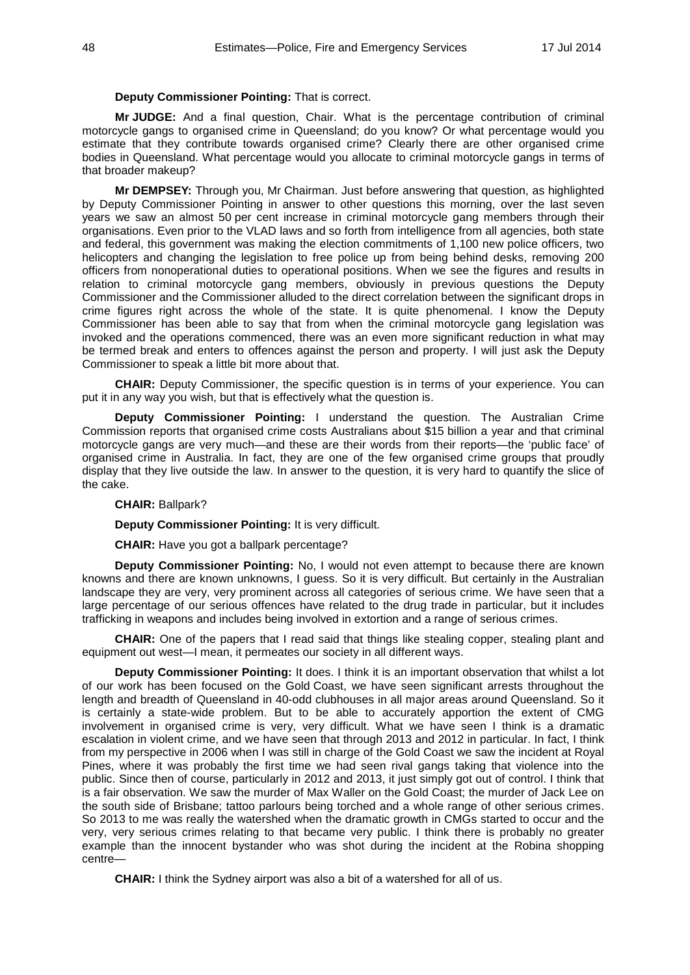### **Deputy Commissioner Pointing:** That is correct.

**Mr JUDGE:** And a final question, Chair. What is the percentage contribution of criminal motorcycle gangs to organised crime in Queensland; do you know? Or what percentage would you estimate that they contribute towards organised crime? Clearly there are other organised crime bodies in Queensland. What percentage would you allocate to criminal motorcycle gangs in terms of that broader makeup?

**Mr DEMPSEY:** Through you, Mr Chairman. Just before answering that question, as highlighted by Deputy Commissioner Pointing in answer to other questions this morning, over the last seven years we saw an almost 50 per cent increase in criminal motorcycle gang members through their organisations. Even prior to the VLAD laws and so forth from intelligence from all agencies, both state and federal, this government was making the election commitments of 1,100 new police officers, two helicopters and changing the legislation to free police up from being behind desks, removing 200 officers from nonoperational duties to operational positions. When we see the figures and results in relation to criminal motorcycle gang members, obviously in previous questions the Deputy Commissioner and the Commissioner alluded to the direct correlation between the significant drops in crime figures right across the whole of the state. It is quite phenomenal. I know the Deputy Commissioner has been able to say that from when the criminal motorcycle gang legislation was invoked and the operations commenced, there was an even more significant reduction in what may be termed break and enters to offences against the person and property. I will just ask the Deputy Commissioner to speak a little bit more about that.

**CHAIR:** Deputy Commissioner, the specific question is in terms of your experience. You can put it in any way you wish, but that is effectively what the question is.

**Deputy Commissioner Pointing:** I understand the question. The Australian Crime Commission reports that organised crime costs Australians about \$15 billion a year and that criminal motorcycle gangs are very much—and these are their words from their reports—the 'public face' of organised crime in Australia. In fact, they are one of the few organised crime groups that proudly display that they live outside the law. In answer to the question, it is very hard to quantify the slice of the cake.

# **CHAIR:** Ballpark?

**Deputy Commissioner Pointing:** It is very difficult.

**CHAIR:** Have you got a ballpark percentage?

**Deputy Commissioner Pointing:** No, I would not even attempt to because there are known knowns and there are known unknowns, I guess. So it is very difficult. But certainly in the Australian landscape they are very, very prominent across all categories of serious crime. We have seen that a large percentage of our serious offences have related to the drug trade in particular, but it includes trafficking in weapons and includes being involved in extortion and a range of serious crimes.

**CHAIR:** One of the papers that I read said that things like stealing copper, stealing plant and equipment out west—I mean, it permeates our society in all different ways.

**Deputy Commissioner Pointing:** It does. I think it is an important observation that whilst a lot of our work has been focused on the Gold Coast, we have seen significant arrests throughout the length and breadth of Queensland in 40-odd clubhouses in all major areas around Queensland. So it is certainly a state-wide problem. But to be able to accurately apportion the extent of CMG involvement in organised crime is very, very difficult. What we have seen I think is a dramatic escalation in violent crime, and we have seen that through 2013 and 2012 in particular. In fact, I think from my perspective in 2006 when I was still in charge of the Gold Coast we saw the incident at Royal Pines, where it was probably the first time we had seen rival gangs taking that violence into the public. Since then of course, particularly in 2012 and 2013, it just simply got out of control. I think that is a fair observation. We saw the murder of Max Waller on the Gold Coast; the murder of Jack Lee on the south side of Brisbane; tattoo parlours being torched and a whole range of other serious crimes. So 2013 to me was really the watershed when the dramatic growth in CMGs started to occur and the very, very serious crimes relating to that became very public. I think there is probably no greater example than the innocent bystander who was shot during the incident at the Robina shopping centre—

**CHAIR:** I think the Sydney airport was also a bit of a watershed for all of us.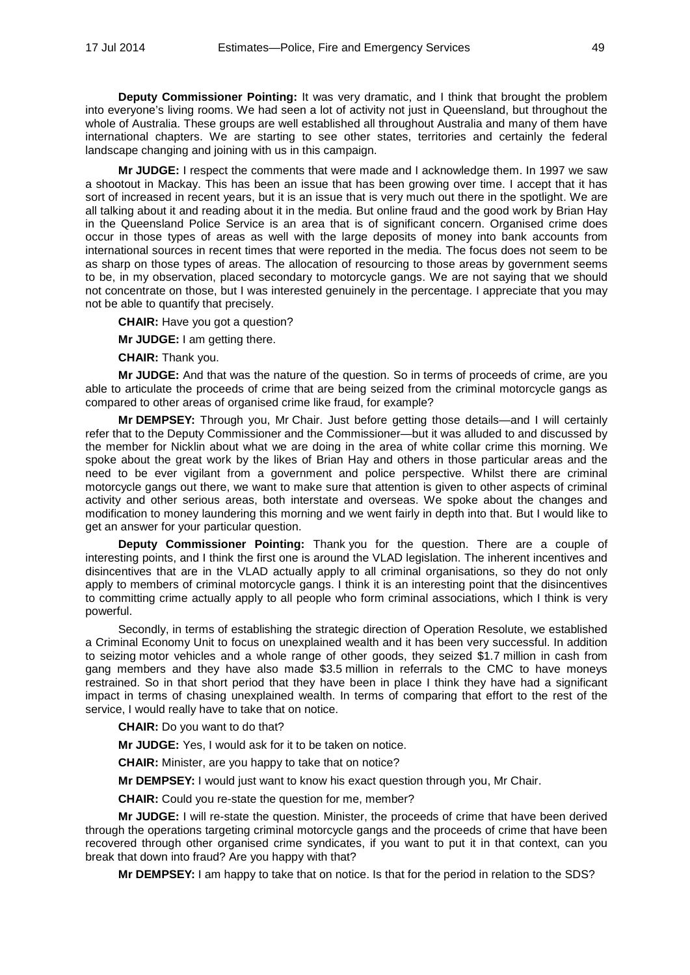**Deputy Commissioner Pointing:** It was very dramatic, and I think that brought the problem into everyone's living rooms. We had seen a lot of activity not just in Queensland, but throughout the whole of Australia. These groups are well established all throughout Australia and many of them have international chapters. We are starting to see other states, territories and certainly the federal landscape changing and joining with us in this campaign.

**Mr JUDGE:** I respect the comments that were made and I acknowledge them. In 1997 we saw a shootout in Mackay. This has been an issue that has been growing over time. I accept that it has sort of increased in recent years, but it is an issue that is very much out there in the spotlight. We are all talking about it and reading about it in the media. But online fraud and the good work by Brian Hay in the Queensland Police Service is an area that is of significant concern. Organised crime does occur in those types of areas as well with the large deposits of money into bank accounts from international sources in recent times that were reported in the media. The focus does not seem to be as sharp on those types of areas. The allocation of resourcing to those areas by government seems to be, in my observation, placed secondary to motorcycle gangs. We are not saying that we should not concentrate on those, but I was interested genuinely in the percentage. I appreciate that you may not be able to quantify that precisely.

**CHAIR:** Have you got a question?

**Mr JUDGE:** I am getting there.

**CHAIR:** Thank you.

**Mr JUDGE:** And that was the nature of the question. So in terms of proceeds of crime, are you able to articulate the proceeds of crime that are being seized from the criminal motorcycle gangs as compared to other areas of organised crime like fraud, for example?

**Mr DEMPSEY:** Through you, Mr Chair. Just before getting those details—and I will certainly refer that to the Deputy Commissioner and the Commissioner—but it was alluded to and discussed by the member for Nicklin about what we are doing in the area of white collar crime this morning. We spoke about the great work by the likes of Brian Hay and others in those particular areas and the need to be ever vigilant from a government and police perspective. Whilst there are criminal motorcycle gangs out there, we want to make sure that attention is given to other aspects of criminal activity and other serious areas, both interstate and overseas. We spoke about the changes and modification to money laundering this morning and we went fairly in depth into that. But I would like to get an answer for your particular question.

**Deputy Commissioner Pointing:** Thank you for the question. There are a couple of interesting points, and I think the first one is around the VLAD legislation. The inherent incentives and disincentives that are in the VLAD actually apply to all criminal organisations, so they do not only apply to members of criminal motorcycle gangs. I think it is an interesting point that the disincentives to committing crime actually apply to all people who form criminal associations, which I think is very powerful.

Secondly, in terms of establishing the strategic direction of Operation Resolute, we established a Criminal Economy Unit to focus on unexplained wealth and it has been very successful. In addition to seizing motor vehicles and a whole range of other goods, they seized \$1.7 million in cash from gang members and they have also made \$3.5 million in referrals to the CMC to have moneys restrained. So in that short period that they have been in place I think they have had a significant impact in terms of chasing unexplained wealth. In terms of comparing that effort to the rest of the service, I would really have to take that on notice.

**CHAIR:** Do you want to do that?

**Mr JUDGE:** Yes, I would ask for it to be taken on notice.

**CHAIR:** Minister, are you happy to take that on notice?

**Mr DEMPSEY:** I would just want to know his exact question through you, Mr Chair.

**CHAIR:** Could you re-state the question for me, member?

**Mr JUDGE:** I will re-state the question. Minister, the proceeds of crime that have been derived through the operations targeting criminal motorcycle gangs and the proceeds of crime that have been recovered through other organised crime syndicates, if you want to put it in that context, can you break that down into fraud? Are you happy with that?

**Mr DEMPSEY:** I am happy to take that on notice. Is that for the period in relation to the SDS?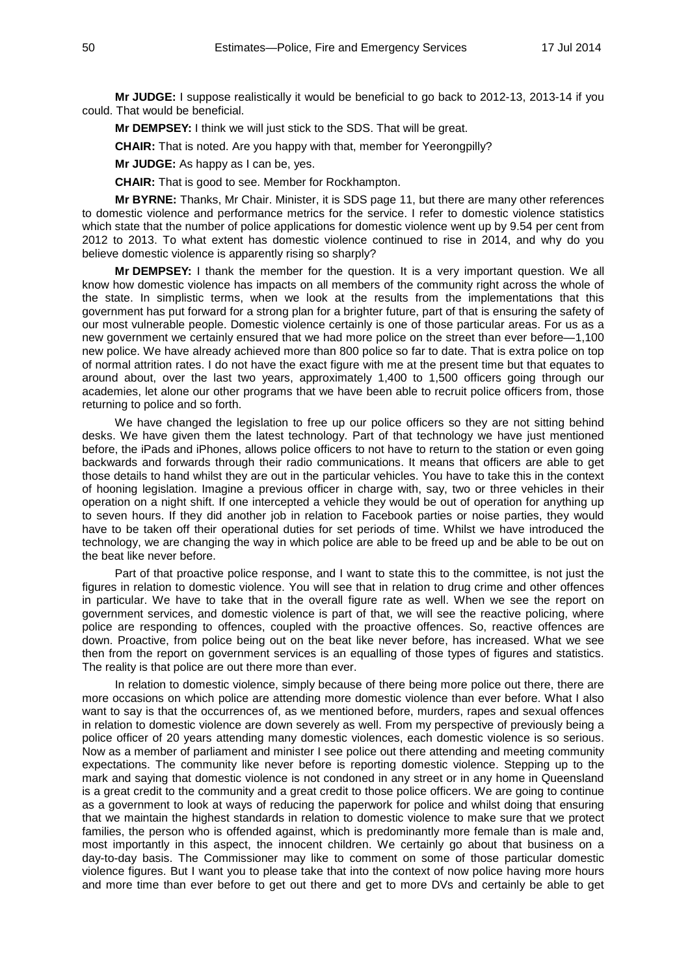**Mr JUDGE:** I suppose realistically it would be beneficial to go back to 2012-13, 2013-14 if you could. That would be beneficial.

**Mr DEMPSEY:** I think we will just stick to the SDS. That will be great.

**CHAIR:** That is noted. Are you happy with that, member for Yeerongpilly?

**Mr JUDGE:** As happy as I can be, yes.

**CHAIR:** That is good to see. Member for Rockhampton.

**Mr BYRNE:** Thanks, Mr Chair. Minister, it is SDS page 11, but there are many other references to domestic violence and performance metrics for the service. I refer to domestic violence statistics which state that the number of police applications for domestic violence went up by 9.54 per cent from 2012 to 2013. To what extent has domestic violence continued to rise in 2014, and why do you believe domestic violence is apparently rising so sharply?

**Mr DEMPSEY:** I thank the member for the question. It is a very important question. We all know how domestic violence has impacts on all members of the community right across the whole of the state. In simplistic terms, when we look at the results from the implementations that this government has put forward for a strong plan for a brighter future, part of that is ensuring the safety of our most vulnerable people. Domestic violence certainly is one of those particular areas. For us as a new government we certainly ensured that we had more police on the street than ever before—1,100 new police. We have already achieved more than 800 police so far to date. That is extra police on top of normal attrition rates. I do not have the exact figure with me at the present time but that equates to around about, over the last two years, approximately 1,400 to 1,500 officers going through our academies, let alone our other programs that we have been able to recruit police officers from, those returning to police and so forth.

We have changed the legislation to free up our police officers so they are not sitting behind desks. We have given them the latest technology. Part of that technology we have just mentioned before, the iPads and iPhones, allows police officers to not have to return to the station or even going backwards and forwards through their radio communications. It means that officers are able to get those details to hand whilst they are out in the particular vehicles. You have to take this in the context of hooning legislation. Imagine a previous officer in charge with, say, two or three vehicles in their operation on a night shift. If one intercepted a vehicle they would be out of operation for anything up to seven hours. If they did another job in relation to Facebook parties or noise parties, they would have to be taken off their operational duties for set periods of time. Whilst we have introduced the technology, we are changing the way in which police are able to be freed up and be able to be out on the beat like never before.

Part of that proactive police response, and I want to state this to the committee, is not just the figures in relation to domestic violence. You will see that in relation to drug crime and other offences in particular. We have to take that in the overall figure rate as well. When we see the report on government services, and domestic violence is part of that, we will see the reactive policing, where police are responding to offences, coupled with the proactive offences. So, reactive offences are down. Proactive, from police being out on the beat like never before, has increased. What we see then from the report on government services is an equalling of those types of figures and statistics. The reality is that police are out there more than ever.

In relation to domestic violence, simply because of there being more police out there, there are more occasions on which police are attending more domestic violence than ever before. What I also want to say is that the occurrences of, as we mentioned before, murders, rapes and sexual offences in relation to domestic violence are down severely as well. From my perspective of previously being a police officer of 20 years attending many domestic violences, each domestic violence is so serious. Now as a member of parliament and minister I see police out there attending and meeting community expectations. The community like never before is reporting domestic violence. Stepping up to the mark and saying that domestic violence is not condoned in any street or in any home in Queensland is a great credit to the community and a great credit to those police officers. We are going to continue as a government to look at ways of reducing the paperwork for police and whilst doing that ensuring that we maintain the highest standards in relation to domestic violence to make sure that we protect families, the person who is offended against, which is predominantly more female than is male and, most importantly in this aspect, the innocent children. We certainly go about that business on a day-to-day basis. The Commissioner may like to comment on some of those particular domestic violence figures. But I want you to please take that into the context of now police having more hours and more time than ever before to get out there and get to more DVs and certainly be able to get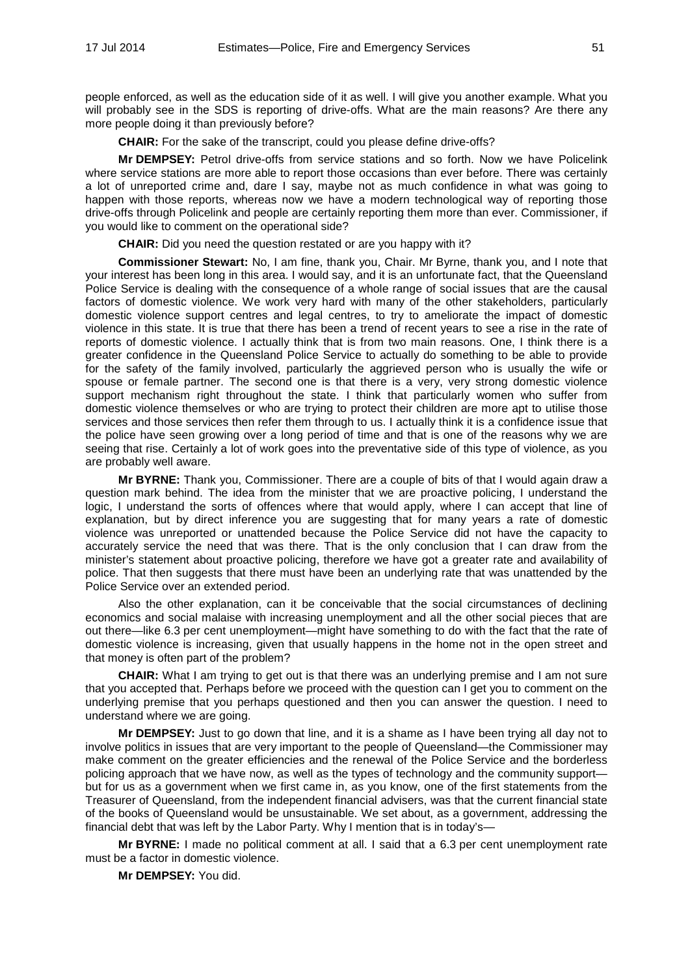people enforced, as well as the education side of it as well. I will give you another example. What you will probably see in the SDS is reporting of drive-offs. What are the main reasons? Are there any more people doing it than previously before?

**CHAIR:** For the sake of the transcript, could you please define drive-offs?

**Mr DEMPSEY:** Petrol drive-offs from service stations and so forth. Now we have Policelink where service stations are more able to report those occasions than ever before. There was certainly a lot of unreported crime and, dare I say, maybe not as much confidence in what was going to happen with those reports, whereas now we have a modern technological way of reporting those drive-offs through Policelink and people are certainly reporting them more than ever. Commissioner, if you would like to comment on the operational side?

**CHAIR:** Did you need the question restated or are you happy with it?

**Commissioner Stewart:** No, I am fine, thank you, Chair. Mr Byrne, thank you, and I note that your interest has been long in this area. I would say, and it is an unfortunate fact, that the Queensland Police Service is dealing with the consequence of a whole range of social issues that are the causal factors of domestic violence. We work very hard with many of the other stakeholders, particularly domestic violence support centres and legal centres, to try to ameliorate the impact of domestic violence in this state. It is true that there has been a trend of recent years to see a rise in the rate of reports of domestic violence. I actually think that is from two main reasons. One, I think there is a greater confidence in the Queensland Police Service to actually do something to be able to provide for the safety of the family involved, particularly the aggrieved person who is usually the wife or spouse or female partner. The second one is that there is a very, very strong domestic violence support mechanism right throughout the state. I think that particularly women who suffer from domestic violence themselves or who are trying to protect their children are more apt to utilise those services and those services then refer them through to us. I actually think it is a confidence issue that the police have seen growing over a long period of time and that is one of the reasons why we are seeing that rise. Certainly a lot of work goes into the preventative side of this type of violence, as you are probably well aware.

**Mr BYRNE:** Thank you, Commissioner. There are a couple of bits of that I would again draw a question mark behind. The idea from the minister that we are proactive policing, I understand the logic, I understand the sorts of offences where that would apply, where I can accept that line of explanation, but by direct inference you are suggesting that for many years a rate of domestic violence was unreported or unattended because the Police Service did not have the capacity to accurately service the need that was there. That is the only conclusion that I can draw from the minister's statement about proactive policing, therefore we have got a greater rate and availability of police. That then suggests that there must have been an underlying rate that was unattended by the Police Service over an extended period.

Also the other explanation, can it be conceivable that the social circumstances of declining economics and social malaise with increasing unemployment and all the other social pieces that are out there—like 6.3 per cent unemployment—might have something to do with the fact that the rate of domestic violence is increasing, given that usually happens in the home not in the open street and that money is often part of the problem?

**CHAIR:** What I am trying to get out is that there was an underlying premise and I am not sure that you accepted that. Perhaps before we proceed with the question can I get you to comment on the underlying premise that you perhaps questioned and then you can answer the question. I need to understand where we are going.

**Mr DEMPSEY:** Just to go down that line, and it is a shame as I have been trying all day not to involve politics in issues that are very important to the people of Queensland—the Commissioner may make comment on the greater efficiencies and the renewal of the Police Service and the borderless policing approach that we have now, as well as the types of technology and the community support but for us as a government when we first came in, as you know, one of the first statements from the Treasurer of Queensland, from the independent financial advisers, was that the current financial state of the books of Queensland would be unsustainable. We set about, as a government, addressing the financial debt that was left by the Labor Party. Why I mention that is in today's—

**Mr BYRNE:** I made no political comment at all. I said that a 6.3 per cent unemployment rate must be a factor in domestic violence.

**Mr DEMPSEY:** You did.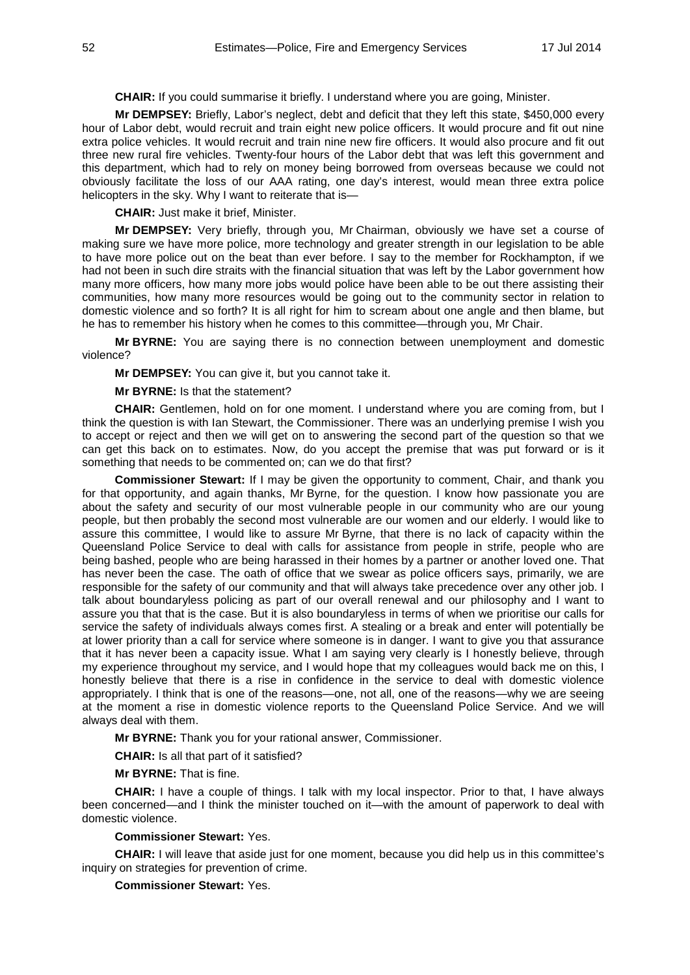**CHAIR:** If you could summarise it briefly. I understand where you are going, Minister.

**Mr DEMPSEY:** Briefly, Labor's neglect, debt and deficit that they left this state, \$450,000 every hour of Labor debt, would recruit and train eight new police officers. It would procure and fit out nine extra police vehicles. It would recruit and train nine new fire officers. It would also procure and fit out three new rural fire vehicles. Twenty-four hours of the Labor debt that was left this government and this department, which had to rely on money being borrowed from overseas because we could not obviously facilitate the loss of our AAA rating, one day's interest, would mean three extra police helicopters in the sky. Why I want to reiterate that is—

**CHAIR:** Just make it brief, Minister.

**Mr DEMPSEY:** Very briefly, through you, Mr Chairman, obviously we have set a course of making sure we have more police, more technology and greater strength in our legislation to be able to have more police out on the beat than ever before. I say to the member for Rockhampton, if we had not been in such dire straits with the financial situation that was left by the Labor government how many more officers, how many more jobs would police have been able to be out there assisting their communities, how many more resources would be going out to the community sector in relation to domestic violence and so forth? It is all right for him to scream about one angle and then blame, but he has to remember his history when he comes to this committee—through you, Mr Chair.

**Mr BYRNE:** You are saying there is no connection between unemployment and domestic violence?

**Mr DEMPSEY:** You can give it, but you cannot take it.

**Mr BYRNE:** Is that the statement?

**CHAIR:** Gentlemen, hold on for one moment. I understand where you are coming from, but I think the question is with Ian Stewart, the Commissioner. There was an underlying premise I wish you to accept or reject and then we will get on to answering the second part of the question so that we can get this back on to estimates. Now, do you accept the premise that was put forward or is it something that needs to be commented on; can we do that first?

**Commissioner Stewart:** If I may be given the opportunity to comment, Chair, and thank you for that opportunity, and again thanks, Mr Byrne, for the question. I know how passionate you are about the safety and security of our most vulnerable people in our community who are our young people, but then probably the second most vulnerable are our women and our elderly. I would like to assure this committee, I would like to assure Mr Byrne, that there is no lack of capacity within the Queensland Police Service to deal with calls for assistance from people in strife, people who are being bashed, people who are being harassed in their homes by a partner or another loved one. That has never been the case. The oath of office that we swear as police officers says, primarily, we are responsible for the safety of our community and that will always take precedence over any other job. I talk about boundaryless policing as part of our overall renewal and our philosophy and I want to assure you that that is the case. But it is also boundaryless in terms of when we prioritise our calls for service the safety of individuals always comes first. A stealing or a break and enter will potentially be at lower priority than a call for service where someone is in danger. I want to give you that assurance that it has never been a capacity issue. What I am saying very clearly is I honestly believe, through my experience throughout my service, and I would hope that my colleagues would back me on this, I honestly believe that there is a rise in confidence in the service to deal with domestic violence appropriately. I think that is one of the reasons—one, not all, one of the reasons—why we are seeing at the moment a rise in domestic violence reports to the Queensland Police Service. And we will always deal with them.

**Mr BYRNE:** Thank you for your rational answer, Commissioner.

**CHAIR:** Is all that part of it satisfied?

**Mr BYRNE:** That is fine.

**CHAIR:** I have a couple of things. I talk with my local inspector. Prior to that, I have always been concerned—and I think the minister touched on it—with the amount of paperwork to deal with domestic violence.

# **Commissioner Stewart:** Yes.

**CHAIR:** I will leave that aside just for one moment, because you did help us in this committee's inquiry on strategies for prevention of crime.

**Commissioner Stewart:** Yes.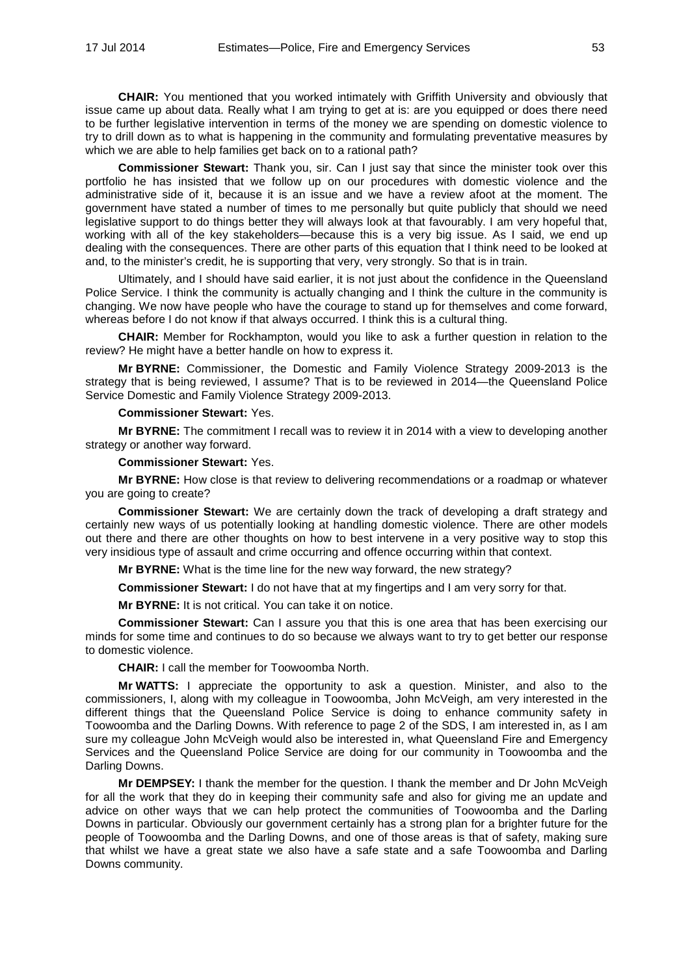**CHAIR:** You mentioned that you worked intimately with Griffith University and obviously that issue came up about data. Really what I am trying to get at is: are you equipped or does there need to be further legislative intervention in terms of the money we are spending on domestic violence to try to drill down as to what is happening in the community and formulating preventative measures by which we are able to help families get back on to a rational path?

**Commissioner Stewart:** Thank you, sir. Can I just say that since the minister took over this portfolio he has insisted that we follow up on our procedures with domestic violence and the administrative side of it, because it is an issue and we have a review afoot at the moment. The government have stated a number of times to me personally but quite publicly that should we need legislative support to do things better they will always look at that favourably. I am very hopeful that, working with all of the key stakeholders—because this is a very big issue. As I said, we end up dealing with the consequences. There are other parts of this equation that I think need to be looked at and, to the minister's credit, he is supporting that very, very strongly. So that is in train.

Ultimately, and I should have said earlier, it is not just about the confidence in the Queensland Police Service. I think the community is actually changing and I think the culture in the community is changing. We now have people who have the courage to stand up for themselves and come forward, whereas before I do not know if that always occurred. I think this is a cultural thing.

**CHAIR:** Member for Rockhampton, would you like to ask a further question in relation to the review? He might have a better handle on how to express it.

**Mr BYRNE:** Commissioner, the Domestic and Family Violence Strategy 2009-2013 is the strategy that is being reviewed, I assume? That is to be reviewed in 2014—the Queensland Police Service Domestic and Family Violence Strategy 2009-2013.

### **Commissioner Stewart:** Yes.

**Mr BYRNE:** The commitment I recall was to review it in 2014 with a view to developing another strategy or another way forward.

# **Commissioner Stewart:** Yes.

**Mr BYRNE:** How close is that review to delivering recommendations or a roadmap or whatever you are going to create?

**Commissioner Stewart:** We are certainly down the track of developing a draft strategy and certainly new ways of us potentially looking at handling domestic violence. There are other models out there and there are other thoughts on how to best intervene in a very positive way to stop this very insidious type of assault and crime occurring and offence occurring within that context.

**Mr BYRNE:** What is the time line for the new way forward, the new strategy?

**Commissioner Stewart:** I do not have that at my fingertips and I am very sorry for that.

**Mr BYRNE:** It is not critical. You can take it on notice.

**Commissioner Stewart:** Can I assure you that this is one area that has been exercising our minds for some time and continues to do so because we always want to try to get better our response to domestic violence.

**CHAIR:** I call the member for Toowoomba North.

**Mr WATTS:** I appreciate the opportunity to ask a question. Minister, and also to the commissioners, I, along with my colleague in Toowoomba, John McVeigh, am very interested in the different things that the Queensland Police Service is doing to enhance community safety in Toowoomba and the Darling Downs. With reference to page 2 of the SDS, I am interested in, as I am sure my colleague John McVeigh would also be interested in, what Queensland Fire and Emergency Services and the Queensland Police Service are doing for our community in Toowoomba and the Darling Downs.

**Mr DEMPSEY:** I thank the member for the question. I thank the member and Dr John McVeigh for all the work that they do in keeping their community safe and also for giving me an update and advice on other ways that we can help protect the communities of Toowoomba and the Darling Downs in particular. Obviously our government certainly has a strong plan for a brighter future for the people of Toowoomba and the Darling Downs, and one of those areas is that of safety, making sure that whilst we have a great state we also have a safe state and a safe Toowoomba and Darling Downs community.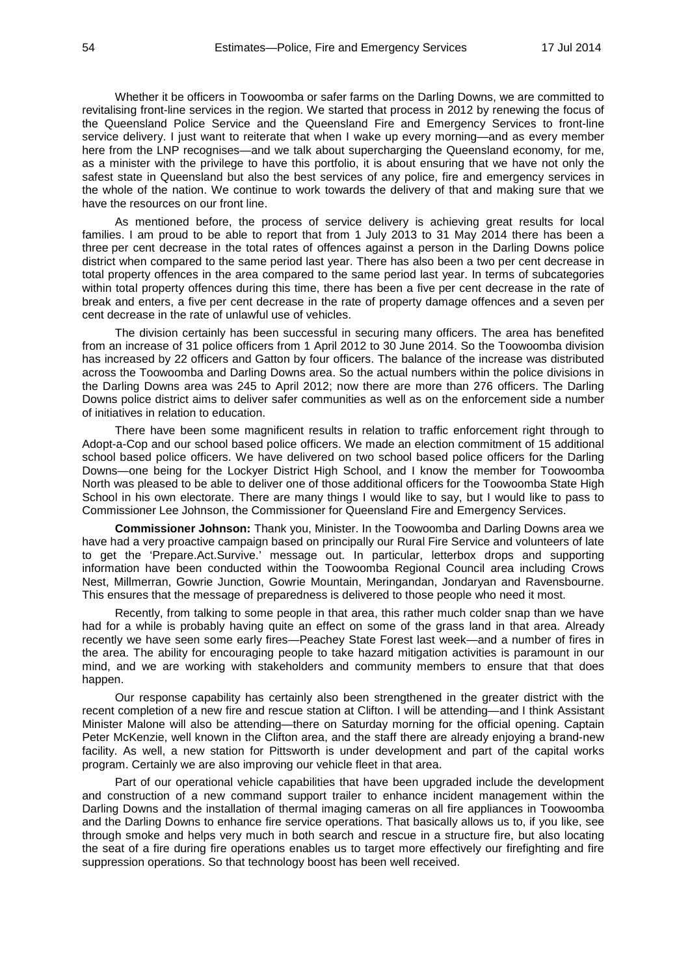Whether it be officers in Toowoomba or safer farms on the Darling Downs, we are committed to revitalising front-line services in the region. We started that process in 2012 by renewing the focus of the Queensland Police Service and the Queensland Fire and Emergency Services to front-line service delivery. I just want to reiterate that when I wake up every morning—and as every member here from the LNP recognises—and we talk about supercharging the Queensland economy, for me, as a minister with the privilege to have this portfolio, it is about ensuring that we have not only the safest state in Queensland but also the best services of any police, fire and emergency services in the whole of the nation. We continue to work towards the delivery of that and making sure that we have the resources on our front line.

As mentioned before, the process of service delivery is achieving great results for local families. I am proud to be able to report that from 1 July 2013 to 31 May 2014 there has been a three per cent decrease in the total rates of offences against a person in the Darling Downs police district when compared to the same period last year. There has also been a two per cent decrease in total property offences in the area compared to the same period last year. In terms of subcategories within total property offences during this time, there has been a five per cent decrease in the rate of break and enters, a five per cent decrease in the rate of property damage offences and a seven per cent decrease in the rate of unlawful use of vehicles.

The division certainly has been successful in securing many officers. The area has benefited from an increase of 31 police officers from 1 April 2012 to 30 June 2014. So the Toowoomba division has increased by 22 officers and Gatton by four officers. The balance of the increase was distributed across the Toowoomba and Darling Downs area. So the actual numbers within the police divisions in the Darling Downs area was 245 to April 2012; now there are more than 276 officers. The Darling Downs police district aims to deliver safer communities as well as on the enforcement side a number of initiatives in relation to education.

There have been some magnificent results in relation to traffic enforcement right through to Adopt-a-Cop and our school based police officers. We made an election commitment of 15 additional school based police officers. We have delivered on two school based police officers for the Darling Downs—one being for the Lockyer District High School, and I know the member for Toowoomba North was pleased to be able to deliver one of those additional officers for the Toowoomba State High School in his own electorate. There are many things I would like to say, but I would like to pass to Commissioner Lee Johnson, the Commissioner for Queensland Fire and Emergency Services.

**Commissioner Johnson:** Thank you, Minister. In the Toowoomba and Darling Downs area we have had a very proactive campaign based on principally our Rural Fire Service and volunteers of late to get the 'Prepare.Act.Survive.' message out. In particular, letterbox drops and supporting information have been conducted within the Toowoomba Regional Council area including Crows Nest, Millmerran, Gowrie Junction, Gowrie Mountain, Meringandan, Jondaryan and Ravensbourne. This ensures that the message of preparedness is delivered to those people who need it most.

Recently, from talking to some people in that area, this rather much colder snap than we have had for a while is probably having quite an effect on some of the grass land in that area. Already recently we have seen some early fires—Peachey State Forest last week—and a number of fires in the area. The ability for encouraging people to take hazard mitigation activities is paramount in our mind, and we are working with stakeholders and community members to ensure that that does happen.

Our response capability has certainly also been strengthened in the greater district with the recent completion of a new fire and rescue station at Clifton. I will be attending—and I think Assistant Minister Malone will also be attending—there on Saturday morning for the official opening. Captain Peter McKenzie, well known in the Clifton area, and the staff there are already enjoying a brand-new facility. As well, a new station for Pittsworth is under development and part of the capital works program. Certainly we are also improving our vehicle fleet in that area.

Part of our operational vehicle capabilities that have been upgraded include the development and construction of a new command support trailer to enhance incident management within the Darling Downs and the installation of thermal imaging cameras on all fire appliances in Toowoomba and the Darling Downs to enhance fire service operations. That basically allows us to, if you like, see through smoke and helps very much in both search and rescue in a structure fire, but also locating the seat of a fire during fire operations enables us to target more effectively our firefighting and fire suppression operations. So that technology boost has been well received.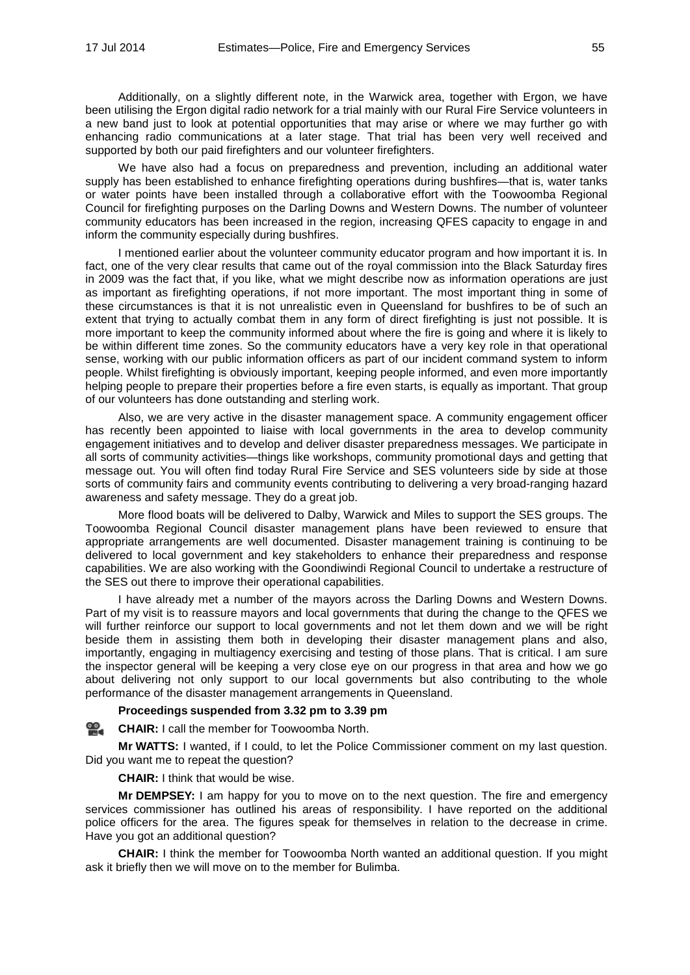Additionally, on a slightly different note, in the Warwick area, together with Ergon, we have been utilising the Ergon digital radio network for a trial mainly with our Rural Fire Service volunteers in a new band just to look at potential opportunities that may arise or where we may further go with enhancing radio communications at a later stage. That trial has been very well received and supported by both our paid firefighters and our volunteer firefighters.

We have also had a focus on preparedness and prevention, including an additional water supply has been established to enhance firefighting operations during bushfires—that is, water tanks or water points have been installed through a collaborative effort with the Toowoomba Regional Council for firefighting purposes on the Darling Downs and Western Downs. The number of volunteer community educators has been increased in the region, increasing QFES capacity to engage in and inform the community especially during bushfires.

I mentioned earlier about the volunteer community educator program and how important it is. In fact, one of the very clear results that came out of the royal commission into the Black Saturday fires in 2009 was the fact that, if you like, what we might describe now as information operations are just as important as firefighting operations, if not more important. The most important thing in some of these circumstances is that it is not unrealistic even in Queensland for bushfires to be of such an extent that trying to actually combat them in any form of direct firefighting is just not possible. It is more important to keep the community informed about where the fire is going and where it is likely to be within different time zones. So the community educators have a very key role in that operational sense, working with our public information officers as part of our incident command system to inform people. Whilst firefighting is obviously important, keeping people informed, and even more importantly helping people to prepare their properties before a fire even starts, is equally as important. That group of our volunteers has done outstanding and sterling work.

Also, we are very active in the disaster management space. A community engagement officer has recently been appointed to liaise with local governments in the area to develop community engagement initiatives and to develop and deliver disaster preparedness messages. We participate in all sorts of community activities—things like workshops, community promotional days and getting that message out. You will often find today Rural Fire Service and SES volunteers side by side at those sorts of community fairs and community events contributing to delivering a very broad-ranging hazard awareness and safety message. They do a great job.

More flood boats will be delivered to Dalby, Warwick and Miles to support the SES groups. The Toowoomba Regional Council disaster management plans have been reviewed to ensure that appropriate arrangements are well documented. Disaster management training is continuing to be delivered to local government and key stakeholders to enhance their preparedness and response capabilities. We are also working with the Goondiwindi Regional Council to undertake a restructure of the SES out there to improve their operational capabilities.

I have already met a number of the mayors across the Darling Downs and Western Downs. Part of my visit is to reassure mayors and local governments that during the change to the QFES we will further reinforce our support to local governments and not let them down and we will be right beside them in assisting them both in developing their disaster management plans and also, importantly, engaging in multiagency exercising and testing of those plans. That is critical. I am sure the inspector general will be keeping a very close eye on our progress in that area and how we go about delivering not only support to our local governments but also contributing to the whole performance of the disaster management arrangements in Queensland.

# **Proceedings suspended from 3.32 pm to 3.39 pm**

#### <u>ഇ</u> **[CHAIR:](http://www.parliament.qld.gov.au/docs/find.aspx?id=0MbaLACSC20140717_153942)** I call the member for Toowoomba North.

**Mr WATTS:** I wanted, if I could, to let the Police Commissioner comment on my last question. Did you want me to repeat the question?

**CHAIR:** I think that would be wise.

**Mr DEMPSEY:** I am happy for you to move on to the next question. The fire and emergency services commissioner has outlined his areas of responsibility. I have reported on the additional police officers for the area. The figures speak for themselves in relation to the decrease in crime. Have you got an additional question?

**CHAIR:** I think the member for Toowoomba North wanted an additional question. If you might ask it briefly then we will move on to the member for Bulimba.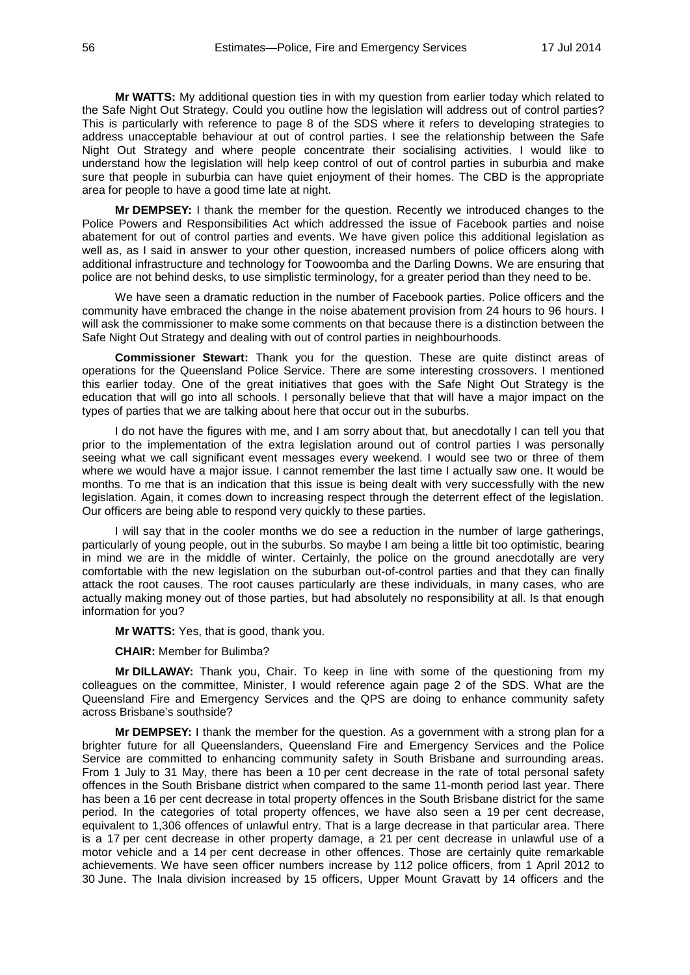**Mr WATTS:** My additional question ties in with my question from earlier today which related to the Safe Night Out Strategy. Could you outline how the legislation will address out of control parties? This is particularly with reference to page 8 of the SDS where it refers to developing strategies to address unacceptable behaviour at out of control parties. I see the relationship between the Safe Night Out Strategy and where people concentrate their socialising activities. I would like to understand how the legislation will help keep control of out of control parties in suburbia and make sure that people in suburbia can have quiet enjoyment of their homes. The CBD is the appropriate area for people to have a good time late at night.

**Mr DEMPSEY:** I thank the member for the question. Recently we introduced changes to the Police Powers and Responsibilities Act which addressed the issue of Facebook parties and noise abatement for out of control parties and events. We have given police this additional legislation as well as, as I said in answer to your other question, increased numbers of police officers along with additional infrastructure and technology for Toowoomba and the Darling Downs. We are ensuring that police are not behind desks, to use simplistic terminology, for a greater period than they need to be.

We have seen a dramatic reduction in the number of Facebook parties. Police officers and the community have embraced the change in the noise abatement provision from 24 hours to 96 hours. I will ask the commissioner to make some comments on that because there is a distinction between the Safe Night Out Strategy and dealing with out of control parties in neighbourhoods.

**Commissioner Stewart:** Thank you for the question. These are quite distinct areas of operations for the Queensland Police Service. There are some interesting crossovers. I mentioned this earlier today. One of the great initiatives that goes with the Safe Night Out Strategy is the education that will go into all schools. I personally believe that that will have a major impact on the types of parties that we are talking about here that occur out in the suburbs.

I do not have the figures with me, and I am sorry about that, but anecdotally I can tell you that prior to the implementation of the extra legislation around out of control parties I was personally seeing what we call significant event messages every weekend. I would see two or three of them where we would have a major issue. I cannot remember the last time I actually saw one. It would be months. To me that is an indication that this issue is being dealt with very successfully with the new legislation. Again, it comes down to increasing respect through the deterrent effect of the legislation. Our officers are being able to respond very quickly to these parties.

I will say that in the cooler months we do see a reduction in the number of large gatherings, particularly of young people, out in the suburbs. So maybe I am being a little bit too optimistic, bearing in mind we are in the middle of winter. Certainly, the police on the ground anecdotally are very comfortable with the new legislation on the suburban out-of-control parties and that they can finally attack the root causes. The root causes particularly are these individuals, in many cases, who are actually making money out of those parties, but had absolutely no responsibility at all. Is that enough information for you?

**Mr WATTS:** Yes, that is good, thank you.

**CHAIR:** Member for Bulimba?

**Mr DILLAWAY:** Thank you, Chair. To keep in line with some of the questioning from my colleagues on the committee, Minister, I would reference again page 2 of the SDS. What are the Queensland Fire and Emergency Services and the QPS are doing to enhance community safety across Brisbane's southside?

**Mr DEMPSEY:** I thank the member for the question. As a government with a strong plan for a brighter future for all Queenslanders, Queensland Fire and Emergency Services and the Police Service are committed to enhancing community safety in South Brisbane and surrounding areas. From 1 July to 31 May, there has been a 10 per cent decrease in the rate of total personal safety offences in the South Brisbane district when compared to the same 11-month period last year. There has been a 16 per cent decrease in total property offences in the South Brisbane district for the same period. In the categories of total property offences, we have also seen a 19 per cent decrease, equivalent to 1,306 offences of unlawful entry. That is a large decrease in that particular area. There is a 17 per cent decrease in other property damage, a 21 per cent decrease in unlawful use of a motor vehicle and a 14 per cent decrease in other offences. Those are certainly quite remarkable achievements. We have seen officer numbers increase by 112 police officers, from 1 April 2012 to 30 June. The Inala division increased by 15 officers, Upper Mount Gravatt by 14 officers and the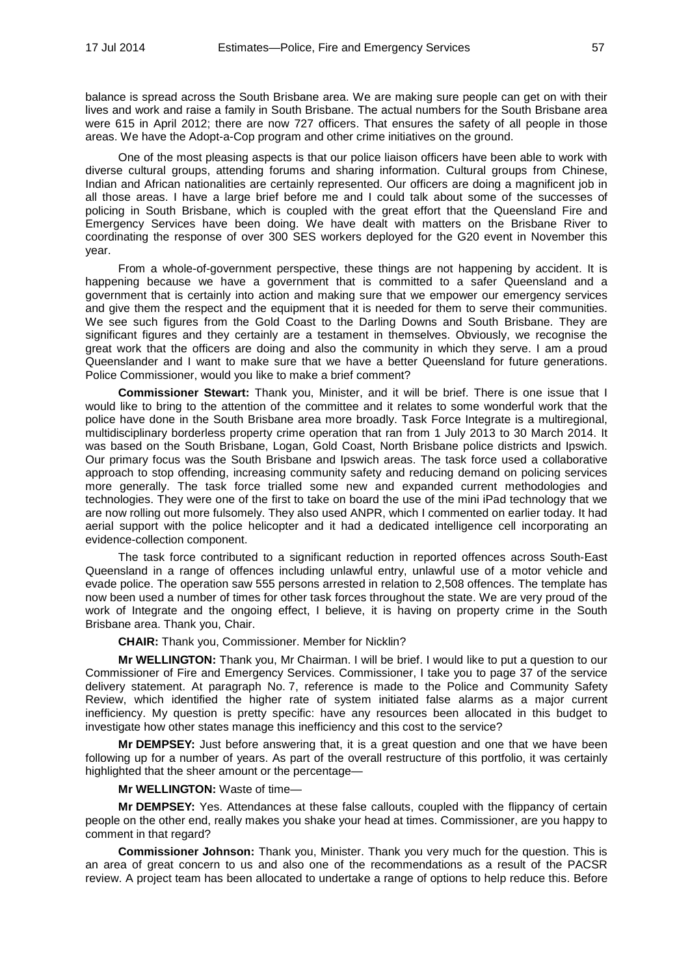balance is spread across the South Brisbane area. We are making sure people can get on with their lives and work and raise a family in South Brisbane. The actual numbers for the South Brisbane area were 615 in April 2012; there are now 727 officers. That ensures the safety of all people in those areas. We have the Adopt-a-Cop program and other crime initiatives on the ground.

One of the most pleasing aspects is that our police liaison officers have been able to work with diverse cultural groups, attending forums and sharing information. Cultural groups from Chinese, Indian and African nationalities are certainly represented. Our officers are doing a magnificent job in all those areas. I have a large brief before me and I could talk about some of the successes of policing in South Brisbane, which is coupled with the great effort that the Queensland Fire and Emergency Services have been doing. We have dealt with matters on the Brisbane River to coordinating the response of over 300 SES workers deployed for the G20 event in November this year.

From a whole-of-government perspective, these things are not happening by accident. It is happening because we have a government that is committed to a safer Queensland and a government that is certainly into action and making sure that we empower our emergency services and give them the respect and the equipment that it is needed for them to serve their communities. We see such figures from the Gold Coast to the Darling Downs and South Brisbane. They are significant figures and they certainly are a testament in themselves. Obviously, we recognise the great work that the officers are doing and also the community in which they serve. I am a proud Queenslander and I want to make sure that we have a better Queensland for future generations. Police Commissioner, would you like to make a brief comment?

**Commissioner Stewart:** Thank you, Minister, and it will be brief. There is one issue that I would like to bring to the attention of the committee and it relates to some wonderful work that the police have done in the South Brisbane area more broadly. Task Force Integrate is a multiregional, multidisciplinary borderless property crime operation that ran from 1 July 2013 to 30 March 2014. It was based on the South Brisbane, Logan, Gold Coast, North Brisbane police districts and Ipswich. Our primary focus was the South Brisbane and Ipswich areas. The task force used a collaborative approach to stop offending, increasing community safety and reducing demand on policing services more generally. The task force trialled some new and expanded current methodologies and technologies. They were one of the first to take on board the use of the mini iPad technology that we are now rolling out more fulsomely. They also used ANPR, which I commented on earlier today. It had aerial support with the police helicopter and it had a dedicated intelligence cell incorporating an evidence-collection component.

The task force contributed to a significant reduction in reported offences across South-East Queensland in a range of offences including unlawful entry, unlawful use of a motor vehicle and evade police. The operation saw 555 persons arrested in relation to 2,508 offences. The template has now been used a number of times for other task forces throughout the state. We are very proud of the work of Integrate and the ongoing effect, I believe, it is having on property crime in the South Brisbane area. Thank you, Chair.

**CHAIR:** Thank you, Commissioner. Member for Nicklin?

**Mr WELLINGTON:** Thank you, Mr Chairman. I will be brief. I would like to put a question to our Commissioner of Fire and Emergency Services. Commissioner, I take you to page 37 of the service delivery statement. At paragraph No. 7, reference is made to the Police and Community Safety Review, which identified the higher rate of system initiated false alarms as a major current inefficiency. My question is pretty specific: have any resources been allocated in this budget to investigate how other states manage this inefficiency and this cost to the service?

**Mr DEMPSEY:** Just before answering that, it is a great question and one that we have been following up for a number of years. As part of the overall restructure of this portfolio, it was certainly highlighted that the sheer amount or the percentage—

**Mr WELLINGTON:** Waste of time—

**Mr DEMPSEY:** Yes. Attendances at these false callouts, coupled with the flippancy of certain people on the other end, really makes you shake your head at times. Commissioner, are you happy to comment in that regard?

**Commissioner Johnson:** Thank you, Minister. Thank you very much for the question. This is an area of great concern to us and also one of the recommendations as a result of the PACSR review. A project team has been allocated to undertake a range of options to help reduce this. Before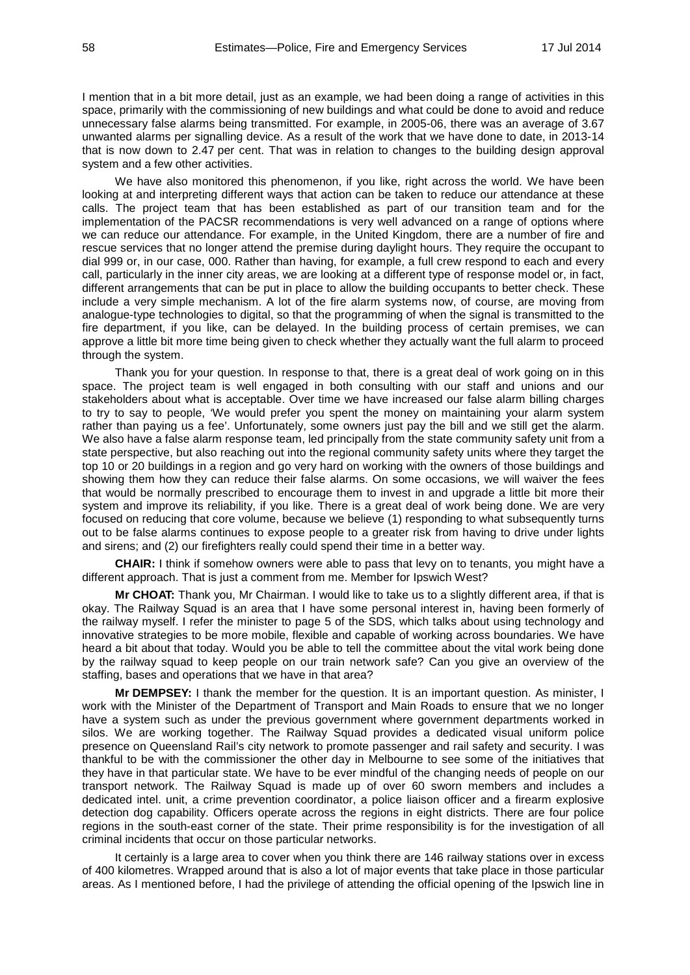I mention that in a bit more detail, just as an example, we had been doing a range of activities in this space, primarily with the commissioning of new buildings and what could be done to avoid and reduce unnecessary false alarms being transmitted. For example, in 2005-06, there was an average of 3.67 unwanted alarms per signalling device. As a result of the work that we have done to date, in 2013-14 that is now down to 2.47 per cent. That was in relation to changes to the building design approval system and a few other activities.

We have also monitored this phenomenon, if you like, right across the world. We have been looking at and interpreting different ways that action can be taken to reduce our attendance at these calls. The project team that has been established as part of our transition team and for the implementation of the PACSR recommendations is very well advanced on a range of options where we can reduce our attendance. For example, in the United Kingdom, there are a number of fire and rescue services that no longer attend the premise during daylight hours. They require the occupant to dial 999 or, in our case, 000. Rather than having, for example, a full crew respond to each and every call, particularly in the inner city areas, we are looking at a different type of response model or, in fact, different arrangements that can be put in place to allow the building occupants to better check. These include a very simple mechanism. A lot of the fire alarm systems now, of course, are moving from analogue-type technologies to digital, so that the programming of when the signal is transmitted to the fire department, if you like, can be delayed. In the building process of certain premises, we can approve a little bit more time being given to check whether they actually want the full alarm to proceed through the system.

Thank you for your question. In response to that, there is a great deal of work going on in this space. The project team is well engaged in both consulting with our staff and unions and our stakeholders about what is acceptable. Over time we have increased our false alarm billing charges to try to say to people, 'We would prefer you spent the money on maintaining your alarm system rather than paying us a fee'. Unfortunately, some owners just pay the bill and we still get the alarm. We also have a false alarm response team, led principally from the state community safety unit from a state perspective, but also reaching out into the regional community safety units where they target the top 10 or 20 buildings in a region and go very hard on working with the owners of those buildings and showing them how they can reduce their false alarms. On some occasions, we will waiver the fees that would be normally prescribed to encourage them to invest in and upgrade a little bit more their system and improve its reliability, if you like. There is a great deal of work being done. We are very focused on reducing that core volume, because we believe (1) responding to what subsequently turns out to be false alarms continues to expose people to a greater risk from having to drive under lights and sirens; and (2) our firefighters really could spend their time in a better way.

**CHAIR:** I think if somehow owners were able to pass that levy on to tenants, you might have a different approach. That is just a comment from me. Member for Ipswich West?

**Mr CHOAT:** Thank you, Mr Chairman. I would like to take us to a slightly different area, if that is okay. The Railway Squad is an area that I have some personal interest in, having been formerly of the railway myself. I refer the minister to page 5 of the SDS, which talks about using technology and innovative strategies to be more mobile, flexible and capable of working across boundaries. We have heard a bit about that today. Would you be able to tell the committee about the vital work being done by the railway squad to keep people on our train network safe? Can you give an overview of the staffing, bases and operations that we have in that area?

**Mr DEMPSEY:** I thank the member for the question. It is an important question. As minister, I work with the Minister of the Department of Transport and Main Roads to ensure that we no longer have a system such as under the previous government where government departments worked in silos. We are working together. The Railway Squad provides a dedicated visual uniform police presence on Queensland Rail's city network to promote passenger and rail safety and security. I was thankful to be with the commissioner the other day in Melbourne to see some of the initiatives that they have in that particular state. We have to be ever mindful of the changing needs of people on our transport network. The Railway Squad is made up of over 60 sworn members and includes a dedicated intel. unit, a crime prevention coordinator, a police liaison officer and a firearm explosive detection dog capability. Officers operate across the regions in eight districts. There are four police regions in the south-east corner of the state. Their prime responsibility is for the investigation of all criminal incidents that occur on those particular networks.

It certainly is a large area to cover when you think there are 146 railway stations over in excess of 400 kilometres. Wrapped around that is also a lot of major events that take place in those particular areas. As I mentioned before, I had the privilege of attending the official opening of the Ipswich line in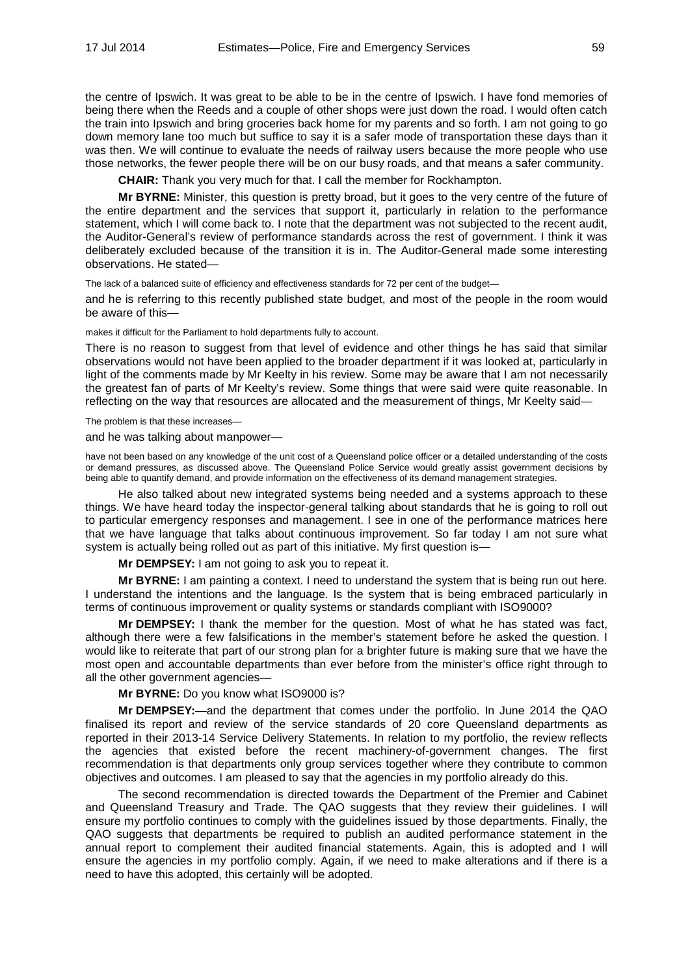the centre of Ipswich. It was great to be able to be in the centre of Ipswich. I have fond memories of being there when the Reeds and a couple of other shops were just down the road. I would often catch the train into Ipswich and bring groceries back home for my parents and so forth. I am not going to go down memory lane too much but suffice to say it is a safer mode of transportation these days than it was then. We will continue to evaluate the needs of railway users because the more people who use those networks, the fewer people there will be on our busy roads, and that means a safer community.

**CHAIR:** Thank you very much for that. I call the member for Rockhampton.

**Mr BYRNE:** Minister, this question is pretty broad, but it goes to the very centre of the future of the entire department and the services that support it, particularly in relation to the performance statement, which I will come back to. I note that the department was not subjected to the recent audit, the Auditor-General's review of performance standards across the rest of government. I think it was deliberately excluded because of the transition it is in. The Auditor-General made some interesting observations. He stated—

The lack of a balanced suite of efficiency and effectiveness standards for 72 per cent of the budget-

and he is referring to this recently published state budget, and most of the people in the room would be aware of this—

makes it difficult for the Parliament to hold departments fully to account.

There is no reason to suggest from that level of evidence and other things he has said that similar observations would not have been applied to the broader department if it was looked at, particularly in light of the comments made by Mr Keelty in his review. Some may be aware that I am not necessarily the greatest fan of parts of Mr Keelty's review. Some things that were said were quite reasonable. In reflecting on the way that resources are allocated and the measurement of things, Mr Keelty said—

The problem is that these increases—

and he was talking about manpower—

have not been based on any knowledge of the unit cost of a Queensland police officer or a detailed understanding of the costs or demand pressures, as discussed above. The Queensland Police Service would greatly assist government decisions by being able to quantify demand, and provide information on the effectiveness of its demand management strategies.

He also talked about new integrated systems being needed and a systems approach to these things. We have heard today the inspector-general talking about standards that he is going to roll out to particular emergency responses and management. I see in one of the performance matrices here that we have language that talks about continuous improvement. So far today I am not sure what system is actually being rolled out as part of this initiative. My first question is—

**Mr DEMPSEY:** I am not going to ask you to repeat it.

**Mr BYRNE:** I am painting a context. I need to understand the system that is being run out here. I understand the intentions and the language. Is the system that is being embraced particularly in terms of continuous improvement or quality systems or standards compliant with ISO9000?

**Mr DEMPSEY:** I thank the member for the question. Most of what he has stated was fact, although there were a few falsifications in the member's statement before he asked the question. I would like to reiterate that part of our strong plan for a brighter future is making sure that we have the most open and accountable departments than ever before from the minister's office right through to all the other government agencies—

**Mr BYRNE:** Do you know what ISO9000 is?

**Mr DEMPSEY:**—and the department that comes under the portfolio. In June 2014 the QAO finalised its report and review of the service standards of 20 core Queensland departments as reported in their 2013-14 Service Delivery Statements. In relation to my portfolio, the review reflects the agencies that existed before the recent machinery-of-government changes. The first recommendation is that departments only group services together where they contribute to common objectives and outcomes. I am pleased to say that the agencies in my portfolio already do this.

The second recommendation is directed towards the Department of the Premier and Cabinet and Queensland Treasury and Trade. The QAO suggests that they review their guidelines. I will ensure my portfolio continues to comply with the guidelines issued by those departments. Finally, the QAO suggests that departments be required to publish an audited performance statement in the annual report to complement their audited financial statements. Again, this is adopted and I will ensure the agencies in my portfolio comply. Again, if we need to make alterations and if there is a need to have this adopted, this certainly will be adopted.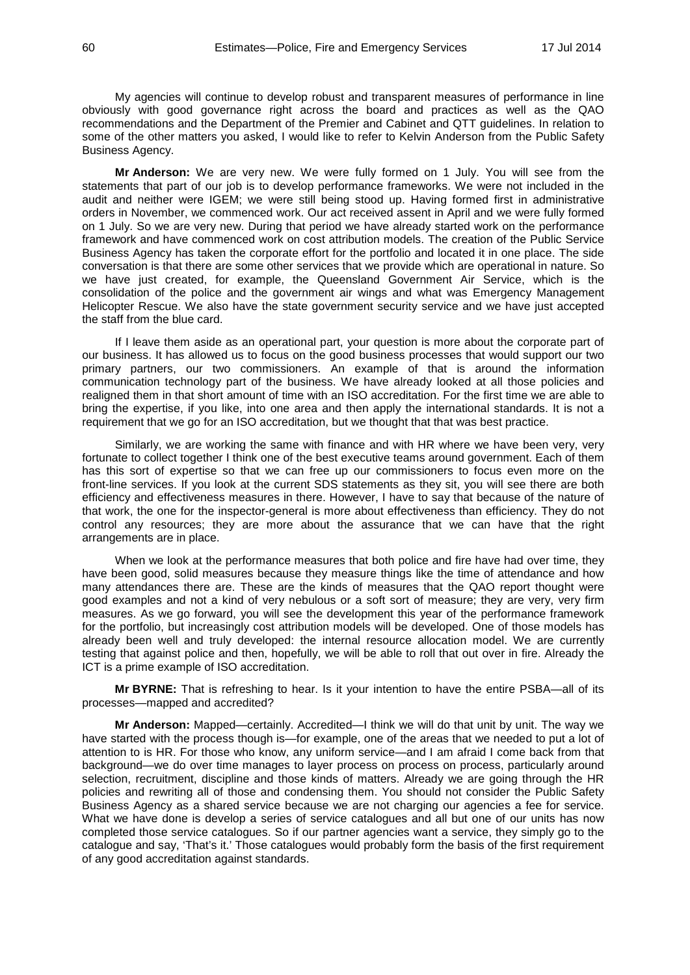My agencies will continue to develop robust and transparent measures of performance in line obviously with good governance right across the board and practices as well as the QAO recommendations and the Department of the Premier and Cabinet and QTT guidelines. In relation to some of the other matters you asked, I would like to refer to Kelvin Anderson from the Public Safety Business Agency.

**Mr Anderson:** We are very new. We were fully formed on 1 July. You will see from the statements that part of our job is to develop performance frameworks. We were not included in the audit and neither were IGEM; we were still being stood up. Having formed first in administrative orders in November, we commenced work. Our act received assent in April and we were fully formed on 1 July. So we are very new. During that period we have already started work on the performance framework and have commenced work on cost attribution models. The creation of the Public Service Business Agency has taken the corporate effort for the portfolio and located it in one place. The side conversation is that there are some other services that we provide which are operational in nature. So we have just created, for example, the Queensland Government Air Service, which is the consolidation of the police and the government air wings and what was Emergency Management Helicopter Rescue. We also have the state government security service and we have just accepted the staff from the blue card.

If I leave them aside as an operational part, your question is more about the corporate part of our business. It has allowed us to focus on the good business processes that would support our two primary partners, our two commissioners. An example of that is around the information communication technology part of the business. We have already looked at all those policies and realigned them in that short amount of time with an ISO accreditation. For the first time we are able to bring the expertise, if you like, into one area and then apply the international standards. It is not a requirement that we go for an ISO accreditation, but we thought that that was best practice.

Similarly, we are working the same with finance and with HR where we have been very, very fortunate to collect together I think one of the best executive teams around government. Each of them has this sort of expertise so that we can free up our commissioners to focus even more on the front-line services. If you look at the current SDS statements as they sit, you will see there are both efficiency and effectiveness measures in there. However, I have to say that because of the nature of that work, the one for the inspector-general is more about effectiveness than efficiency. They do not control any resources; they are more about the assurance that we can have that the right arrangements are in place.

When we look at the performance measures that both police and fire have had over time, they have been good, solid measures because they measure things like the time of attendance and how many attendances there are. These are the kinds of measures that the QAO report thought were good examples and not a kind of very nebulous or a soft sort of measure; they are very, very firm measures. As we go forward, you will see the development this year of the performance framework for the portfolio, but increasingly cost attribution models will be developed. One of those models has already been well and truly developed: the internal resource allocation model. We are currently testing that against police and then, hopefully, we will be able to roll that out over in fire. Already the ICT is a prime example of ISO accreditation.

**Mr BYRNE:** That is refreshing to hear. Is it your intention to have the entire PSBA—all of its processes—mapped and accredited?

**Mr Anderson:** Mapped—certainly. Accredited—I think we will do that unit by unit. The way we have started with the process though is—for example, one of the areas that we needed to put a lot of attention to is HR. For those who know, any uniform service—and I am afraid I come back from that background—we do over time manages to layer process on process on process, particularly around selection, recruitment, discipline and those kinds of matters. Already we are going through the HR policies and rewriting all of those and condensing them. You should not consider the Public Safety Business Agency as a shared service because we are not charging our agencies a fee for service. What we have done is develop a series of service catalogues and all but one of our units has now completed those service catalogues. So if our partner agencies want a service, they simply go to the catalogue and say, 'That's it.' Those catalogues would probably form the basis of the first requirement of any good accreditation against standards.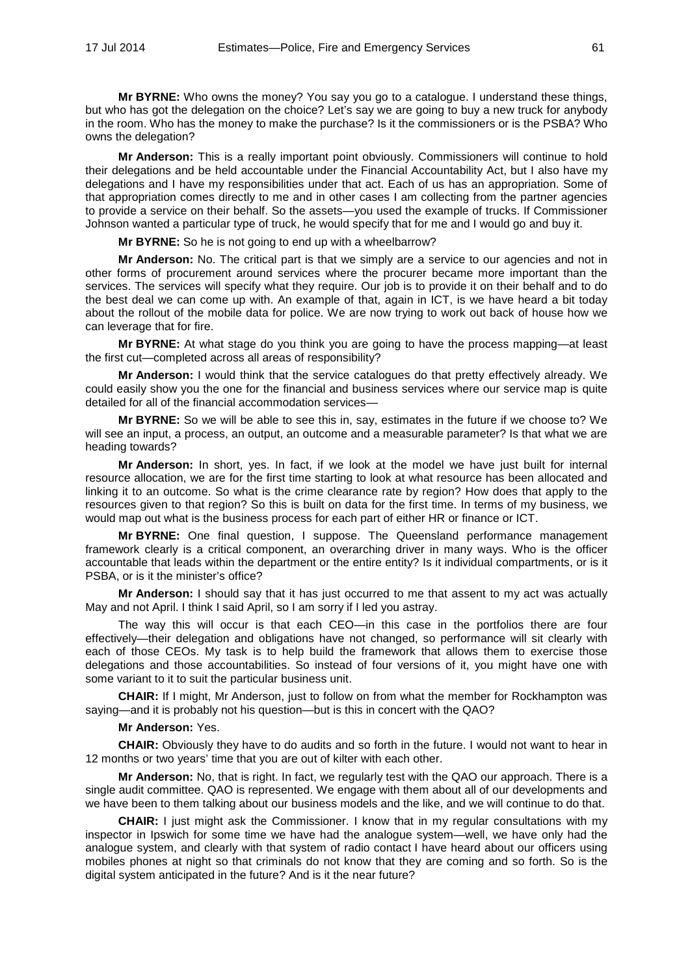**Mr BYRNE:** Who owns the money? You say you go to a catalogue. I understand these things, but who has got the delegation on the choice? Let's say we are going to buy a new truck for anybody in the room. Who has the money to make the purchase? Is it the commissioners or is the PSBA? Who owns the delegation?

**Mr Anderson:** This is a really important point obviously. Commissioners will continue to hold their delegations and be held accountable under the Financial Accountability Act, but I also have my delegations and I have my responsibilities under that act. Each of us has an appropriation. Some of that appropriation comes directly to me and in other cases I am collecting from the partner agencies to provide a service on their behalf. So the assets—you used the example of trucks. If Commissioner Johnson wanted a particular type of truck, he would specify that for me and I would go and buy it.

**Mr BYRNE:** So he is not going to end up with a wheelbarrow?

**Mr Anderson:** No. The critical part is that we simply are a service to our agencies and not in other forms of procurement around services where the procurer became more important than the services. The services will specify what they require. Our job is to provide it on their behalf and to do the best deal we can come up with. An example of that, again in ICT, is we have heard a bit today about the rollout of the mobile data for police. We are now trying to work out back of house how we can leverage that for fire.

**Mr BYRNE:** At what stage do you think you are going to have the process mapping—at least the first cut—completed across all areas of responsibility?

**Mr Anderson:** I would think that the service catalogues do that pretty effectively already. We could easily show you the one for the financial and business services where our service map is quite detailed for all of the financial accommodation services—

**Mr BYRNE:** So we will be able to see this in, say, estimates in the future if we choose to? We will see an input, a process, an output, an outcome and a measurable parameter? Is that what we are heading towards?

**Mr Anderson:** In short, yes. In fact, if we look at the model we have just built for internal resource allocation, we are for the first time starting to look at what resource has been allocated and linking it to an outcome. So what is the crime clearance rate by region? How does that apply to the resources given to that region? So this is built on data for the first time. In terms of my business, we would map out what is the business process for each part of either HR or finance or ICT.

**Mr BYRNE:** One final question, I suppose. The Queensland performance management framework clearly is a critical component, an overarching driver in many ways. Who is the officer accountable that leads within the department or the entire entity? Is it individual compartments, or is it PSBA, or is it the minister's office?

**Mr Anderson:** I should say that it has just occurred to me that assent to my act was actually May and not April. I think I said April, so I am sorry if I led you astray.

The way this will occur is that each CEO—in this case in the portfolios there are four effectively—their delegation and obligations have not changed, so performance will sit clearly with each of those CEOs. My task is to help build the framework that allows them to exercise those delegations and those accountabilities. So instead of four versions of it, you might have one with some variant to it to suit the particular business unit.

**CHAIR:** If I might, Mr Anderson, just to follow on from what the member for Rockhampton was saying—and it is probably not his question—but is this in concert with the QAO?

# **Mr Anderson:** Yes.

**CHAIR:** Obviously they have to do audits and so forth in the future. I would not want to hear in 12 months or two years' time that you are out of kilter with each other.

**Mr Anderson:** No, that is right. In fact, we regularly test with the QAO our approach. There is a single audit committee. QAO is represented. We engage with them about all of our developments and we have been to them talking about our business models and the like, and we will continue to do that.

**CHAIR:** I just might ask the Commissioner. I know that in my regular consultations with my inspector in Ipswich for some time we have had the analogue system—well, we have only had the analogue system, and clearly with that system of radio contact I have heard about our officers using mobiles phones at night so that criminals do not know that they are coming and so forth. So is the digital system anticipated in the future? And is it the near future?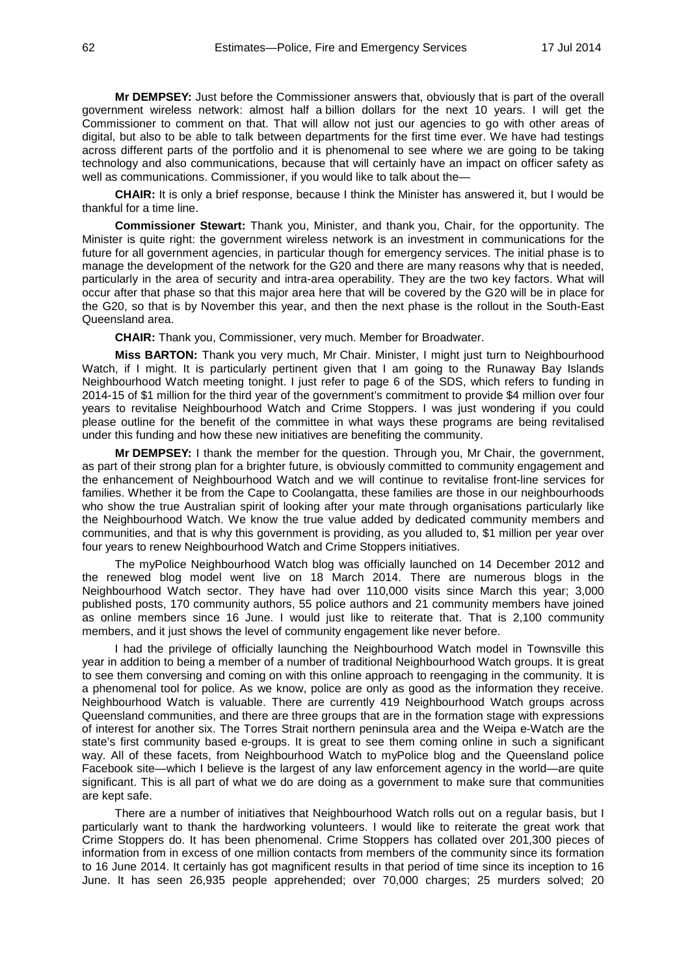**Mr DEMPSEY:** Just before the Commissioner answers that, obviously that is part of the overall government wireless network: almost half a billion dollars for the next 10 years. I will get the Commissioner to comment on that. That will allow not just our agencies to go with other areas of digital, but also to be able to talk between departments for the first time ever. We have had testings across different parts of the portfolio and it is phenomenal to see where we are going to be taking technology and also communications, because that will certainly have an impact on officer safety as well as communications. Commissioner, if you would like to talk about the—

**CHAIR:** It is only a brief response, because I think the Minister has answered it, but I would be thankful for a time line.

**Commissioner Stewart:** Thank you, Minister, and thank you, Chair, for the opportunity. The Minister is quite right: the government wireless network is an investment in communications for the future for all government agencies, in particular though for emergency services. The initial phase is to manage the development of the network for the G20 and there are many reasons why that is needed, particularly in the area of security and intra-area operability. They are the two key factors. What will occur after that phase so that this major area here that will be covered by the G20 will be in place for the G20, so that is by November this year, and then the next phase is the rollout in the South-East Queensland area.

**CHAIR:** Thank you, Commissioner, very much. Member for Broadwater.

**Miss BARTON:** Thank you very much, Mr Chair. Minister, I might just turn to Neighbourhood Watch, if I might. It is particularly pertinent given that I am going to the Runaway Bay Islands Neighbourhood Watch meeting tonight. I just refer to page 6 of the SDS, which refers to funding in 2014-15 of \$1 million for the third year of the government's commitment to provide \$4 million over four years to revitalise Neighbourhood Watch and Crime Stoppers. I was just wondering if you could please outline for the benefit of the committee in what ways these programs are being revitalised under this funding and how these new initiatives are benefiting the community.

**Mr DEMPSEY:** I thank the member for the question. Through you, Mr Chair, the government, as part of their strong plan for a brighter future, is obviously committed to community engagement and the enhancement of Neighbourhood Watch and we will continue to revitalise front-line services for families. Whether it be from the Cape to Coolangatta, these families are those in our neighbourhoods who show the true Australian spirit of looking after your mate through organisations particularly like the Neighbourhood Watch. We know the true value added by dedicated community members and communities, and that is why this government is providing, as you alluded to, \$1 million per year over four years to renew Neighbourhood Watch and Crime Stoppers initiatives.

The myPolice Neighbourhood Watch blog was officially launched on 14 December 2012 and the renewed blog model went live on 18 March 2014. There are numerous blogs in the Neighbourhood Watch sector. They have had over 110,000 visits since March this year; 3,000 published posts, 170 community authors, 55 police authors and 21 community members have joined as online members since 16 June. I would just like to reiterate that. That is 2,100 community members, and it just shows the level of community engagement like never before.

I had the privilege of officially launching the Neighbourhood Watch model in Townsville this year in addition to being a member of a number of traditional Neighbourhood Watch groups. It is great to see them conversing and coming on with this online approach to reengaging in the community. It is a phenomenal tool for police. As we know, police are only as good as the information they receive. Neighbourhood Watch is valuable. There are currently 419 Neighbourhood Watch groups across Queensland communities, and there are three groups that are in the formation stage with expressions of interest for another six. The Torres Strait northern peninsula area and the Weipa e-Watch are the state's first community based e-groups. It is great to see them coming online in such a significant way. All of these facets, from Neighbourhood Watch to myPolice blog and the Queensland police Facebook site—which I believe is the largest of any law enforcement agency in the world—are quite significant. This is all part of what we do are doing as a government to make sure that communities are kept safe.

There are a number of initiatives that Neighbourhood Watch rolls out on a regular basis, but I particularly want to thank the hardworking volunteers. I would like to reiterate the great work that Crime Stoppers do. It has been phenomenal. Crime Stoppers has collated over 201,300 pieces of information from in excess of one million contacts from members of the community since its formation to 16 June 2014. It certainly has got magnificent results in that period of time since its inception to 16 June. It has seen 26,935 people apprehended; over 70,000 charges; 25 murders solved; 20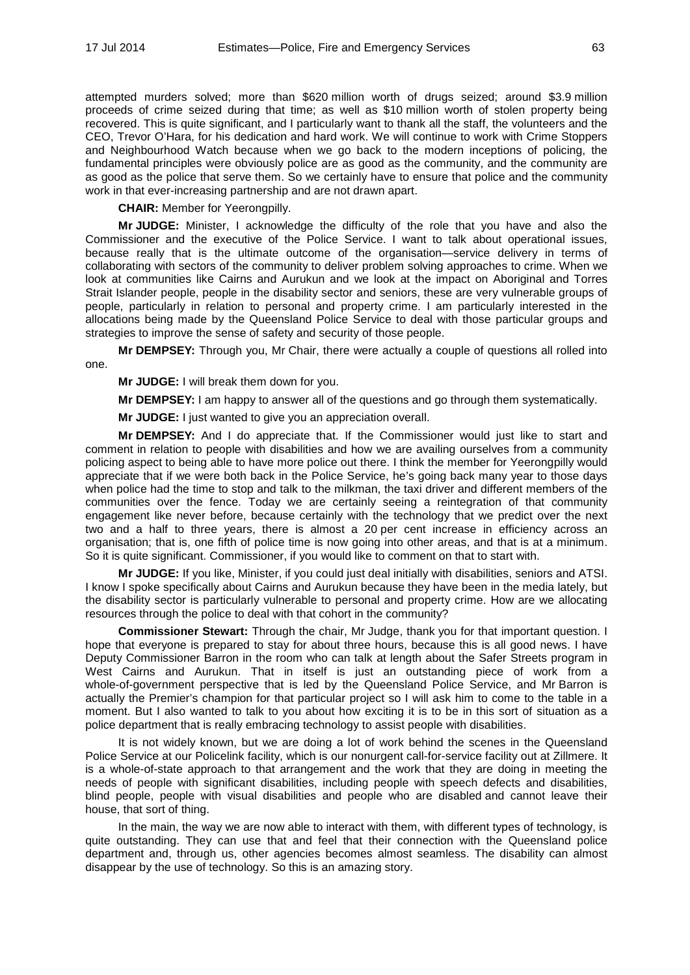attempted murders solved; more than \$620 million worth of drugs seized; around \$3.9 million proceeds of crime seized during that time; as well as \$10 million worth of stolen property being recovered. This is quite significant, and I particularly want to thank all the staff, the volunteers and the CEO, Trevor O'Hara, for his dedication and hard work. We will continue to work with Crime Stoppers and Neighbourhood Watch because when we go back to the modern inceptions of policing, the fundamental principles were obviously police are as good as the community, and the community are as good as the police that serve them. So we certainly have to ensure that police and the community work in that ever-increasing partnership and are not drawn apart.

**CHAIR:** Member for Yeerongpilly.

**Mr JUDGE:** Minister, I acknowledge the difficulty of the role that you have and also the Commissioner and the executive of the Police Service. I want to talk about operational issues, because really that is the ultimate outcome of the organisation—service delivery in terms of collaborating with sectors of the community to deliver problem solving approaches to crime. When we look at communities like Cairns and Aurukun and we look at the impact on Aboriginal and Torres Strait Islander people, people in the disability sector and seniors, these are very vulnerable groups of people, particularly in relation to personal and property crime. I am particularly interested in the allocations being made by the Queensland Police Service to deal with those particular groups and strategies to improve the sense of safety and security of those people.

**Mr DEMPSEY:** Through you, Mr Chair, there were actually a couple of questions all rolled into one.

**Mr JUDGE:** I will break them down for you.

**Mr DEMPSEY:** I am happy to answer all of the questions and go through them systematically.

**Mr JUDGE:** I just wanted to give you an appreciation overall.

**Mr DEMPSEY:** And I do appreciate that. If the Commissioner would just like to start and comment in relation to people with disabilities and how we are availing ourselves from a community policing aspect to being able to have more police out there. I think the member for Yeerongpilly would appreciate that if we were both back in the Police Service, he's going back many year to those days when police had the time to stop and talk to the milkman, the taxi driver and different members of the communities over the fence. Today we are certainly seeing a reintegration of that community engagement like never before, because certainly with the technology that we predict over the next two and a half to three years, there is almost a 20 per cent increase in efficiency across an organisation; that is, one fifth of police time is now going into other areas, and that is at a minimum. So it is quite significant. Commissioner, if you would like to comment on that to start with.

**Mr JUDGE:** If you like, Minister, if you could just deal initially with disabilities, seniors and ATSI. I know I spoke specifically about Cairns and Aurukun because they have been in the media lately, but the disability sector is particularly vulnerable to personal and property crime. How are we allocating resources through the police to deal with that cohort in the community?

**Commissioner Stewart:** Through the chair, Mr Judge, thank you for that important question. I hope that everyone is prepared to stay for about three hours, because this is all good news. I have Deputy Commissioner Barron in the room who can talk at length about the Safer Streets program in West Cairns and Aurukun. That in itself is just an outstanding piece of work from a whole-of-government perspective that is led by the Queensland Police Service, and Mr Barron is actually the Premier's champion for that particular project so I will ask him to come to the table in a moment. But I also wanted to talk to you about how exciting it is to be in this sort of situation as a police department that is really embracing technology to assist people with disabilities.

It is not widely known, but we are doing a lot of work behind the scenes in the Queensland Police Service at our Policelink facility, which is our nonurgent call-for-service facility out at Zillmere. It is a whole-of-state approach to that arrangement and the work that they are doing in meeting the needs of people with significant disabilities, including people with speech defects and disabilities, blind people, people with visual disabilities and people who are disabled and cannot leave their house, that sort of thing.

In the main, the way we are now able to interact with them, with different types of technology, is quite outstanding. They can use that and feel that their connection with the Queensland police department and, through us, other agencies becomes almost seamless. The disability can almost disappear by the use of technology. So this is an amazing story.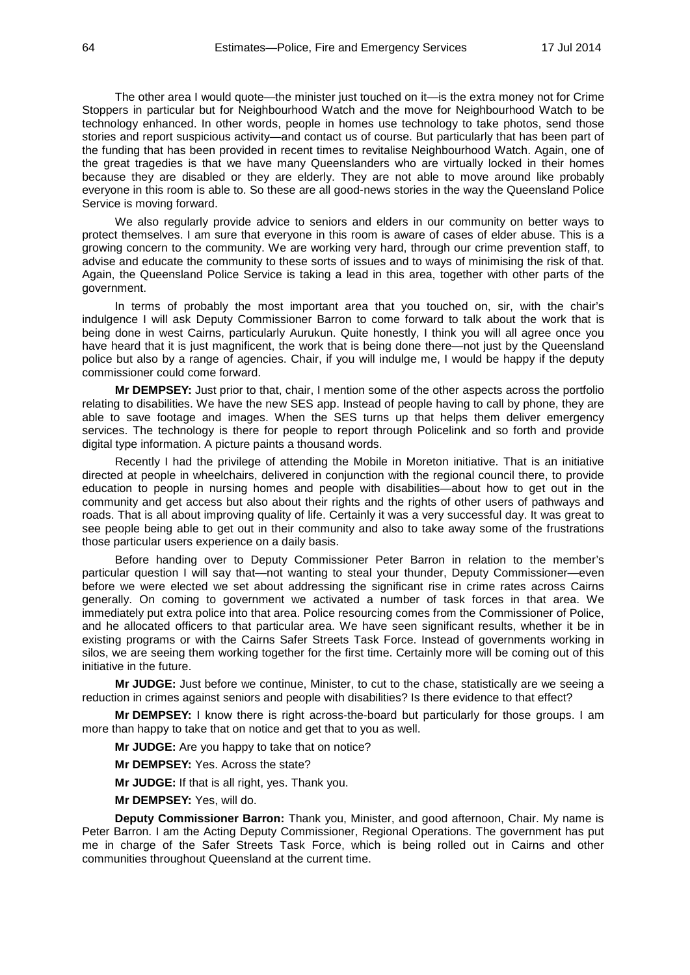The other area I would quote—the minister just touched on it—is the extra money not for Crime Stoppers in particular but for Neighbourhood Watch and the move for Neighbourhood Watch to be technology enhanced. In other words, people in homes use technology to take photos, send those stories and report suspicious activity—and contact us of course. But particularly that has been part of the funding that has been provided in recent times to revitalise Neighbourhood Watch. Again, one of the great tragedies is that we have many Queenslanders who are virtually locked in their homes because they are disabled or they are elderly. They are not able to move around like probably everyone in this room is able to. So these are all good-news stories in the way the Queensland Police Service is moving forward.

We also regularly provide advice to seniors and elders in our community on better ways to protect themselves. I am sure that everyone in this room is aware of cases of elder abuse. This is a growing concern to the community. We are working very hard, through our crime prevention staff, to advise and educate the community to these sorts of issues and to ways of minimising the risk of that. Again, the Queensland Police Service is taking a lead in this area, together with other parts of the government.

In terms of probably the most important area that you touched on, sir, with the chair's indulgence I will ask Deputy Commissioner Barron to come forward to talk about the work that is being done in west Cairns, particularly Aurukun. Quite honestly, I think you will all agree once you have heard that it is just magnificent, the work that is being done there—not just by the Queensland police but also by a range of agencies. Chair, if you will indulge me, I would be happy if the deputy commissioner could come forward.

**Mr DEMPSEY:** Just prior to that, chair, I mention some of the other aspects across the portfolio relating to disabilities. We have the new SES app. Instead of people having to call by phone, they are able to save footage and images. When the SES turns up that helps them deliver emergency services. The technology is there for people to report through Policelink and so forth and provide digital type information. A picture paints a thousand words.

Recently I had the privilege of attending the Mobile in Moreton initiative. That is an initiative directed at people in wheelchairs, delivered in conjunction with the regional council there, to provide education to people in nursing homes and people with disabilities—about how to get out in the community and get access but also about their rights and the rights of other users of pathways and roads. That is all about improving quality of life. Certainly it was a very successful day. It was great to see people being able to get out in their community and also to take away some of the frustrations those particular users experience on a daily basis.

Before handing over to Deputy Commissioner Peter Barron in relation to the member's particular question I will say that—not wanting to steal your thunder, Deputy Commissioner—even before we were elected we set about addressing the significant rise in crime rates across Cairns generally. On coming to government we activated a number of task forces in that area. We immediately put extra police into that area. Police resourcing comes from the Commissioner of Police, and he allocated officers to that particular area. We have seen significant results, whether it be in existing programs or with the Cairns Safer Streets Task Force. Instead of governments working in silos, we are seeing them working together for the first time. Certainly more will be coming out of this initiative in the future.

**Mr JUDGE:** Just before we continue, Minister, to cut to the chase, statistically are we seeing a reduction in crimes against seniors and people with disabilities? Is there evidence to that effect?

**Mr DEMPSEY:** I know there is right across-the-board but particularly for those groups. I am more than happy to take that on notice and get that to you as well.

**Mr JUDGE:** Are you happy to take that on notice?

**Mr DEMPSEY:** Yes. Across the state?

**Mr JUDGE:** If that is all right, yes. Thank you.

**Mr DEMPSEY:** Yes, will do.

**Deputy Commissioner Barron:** Thank you, Minister, and good afternoon, Chair. My name is Peter Barron. I am the Acting Deputy Commissioner, Regional Operations. The government has put me in charge of the Safer Streets Task Force, which is being rolled out in Cairns and other communities throughout Queensland at the current time.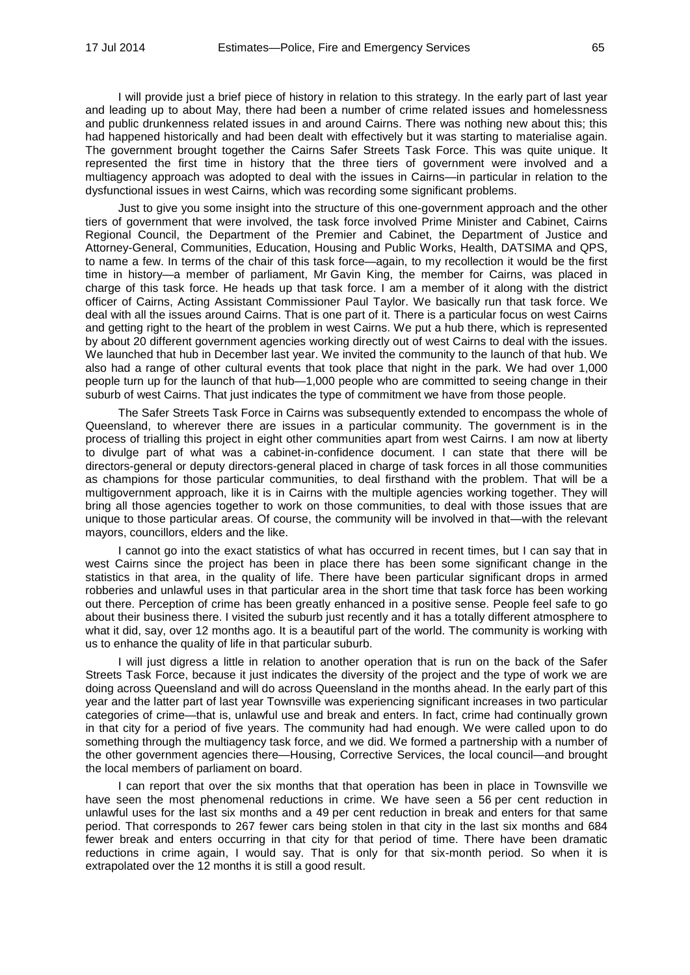I will provide just a brief piece of history in relation to this strategy. In the early part of last year and leading up to about May, there had been a number of crime related issues and homelessness and public drunkenness related issues in and around Cairns. There was nothing new about this; this had happened historically and had been dealt with effectively but it was starting to materialise again. The government brought together the Cairns Safer Streets Task Force. This was quite unique. It represented the first time in history that the three tiers of government were involved and a multiagency approach was adopted to deal with the issues in Cairns—in particular in relation to the dysfunctional issues in west Cairns, which was recording some significant problems.

Just to give you some insight into the structure of this one-government approach and the other tiers of government that were involved, the task force involved Prime Minister and Cabinet, Cairns Regional Council, the Department of the Premier and Cabinet, the Department of Justice and Attorney-General, Communities, Education, Housing and Public Works, Health, DATSIMA and QPS, to name a few. In terms of the chair of this task force—again, to my recollection it would be the first time in history—a member of parliament, Mr Gavin King, the member for Cairns, was placed in charge of this task force. He heads up that task force. I am a member of it along with the district officer of Cairns, Acting Assistant Commissioner Paul Taylor. We basically run that task force. We deal with all the issues around Cairns. That is one part of it. There is a particular focus on west Cairns and getting right to the heart of the problem in west Cairns. We put a hub there, which is represented by about 20 different government agencies working directly out of west Cairns to deal with the issues. We launched that hub in December last year. We invited the community to the launch of that hub. We also had a range of other cultural events that took place that night in the park. We had over 1,000 people turn up for the launch of that hub—1,000 people who are committed to seeing change in their suburb of west Cairns. That just indicates the type of commitment we have from those people.

The Safer Streets Task Force in Cairns was subsequently extended to encompass the whole of Queensland, to wherever there are issues in a particular community. The government is in the process of trialling this project in eight other communities apart from west Cairns. I am now at liberty to divulge part of what was a cabinet-in-confidence document. I can state that there will be directors-general or deputy directors-general placed in charge of task forces in all those communities as champions for those particular communities, to deal firsthand with the problem. That will be a multigovernment approach, like it is in Cairns with the multiple agencies working together. They will bring all those agencies together to work on those communities, to deal with those issues that are unique to those particular areas. Of course, the community will be involved in that—with the relevant mayors, councillors, elders and the like.

I cannot go into the exact statistics of what has occurred in recent times, but I can say that in west Cairns since the project has been in place there has been some significant change in the statistics in that area, in the quality of life. There have been particular significant drops in armed robberies and unlawful uses in that particular area in the short time that task force has been working out there. Perception of crime has been greatly enhanced in a positive sense. People feel safe to go about their business there. I visited the suburb just recently and it has a totally different atmosphere to what it did, say, over 12 months ago. It is a beautiful part of the world. The community is working with us to enhance the quality of life in that particular suburb.

I will just digress a little in relation to another operation that is run on the back of the Safer Streets Task Force, because it just indicates the diversity of the project and the type of work we are doing across Queensland and will do across Queensland in the months ahead. In the early part of this year and the latter part of last year Townsville was experiencing significant increases in two particular categories of crime—that is, unlawful use and break and enters. In fact, crime had continually grown in that city for a period of five years. The community had had enough. We were called upon to do something through the multiagency task force, and we did. We formed a partnership with a number of the other government agencies there—Housing, Corrective Services, the local council—and brought the local members of parliament on board.

I can report that over the six months that that operation has been in place in Townsville we have seen the most phenomenal reductions in crime. We have seen a 56 per cent reduction in unlawful uses for the last six months and a 49 per cent reduction in break and enters for that same period. That corresponds to 267 fewer cars being stolen in that city in the last six months and 684 fewer break and enters occurring in that city for that period of time. There have been dramatic reductions in crime again, I would say. That is only for that six-month period. So when it is extrapolated over the 12 months it is still a good result.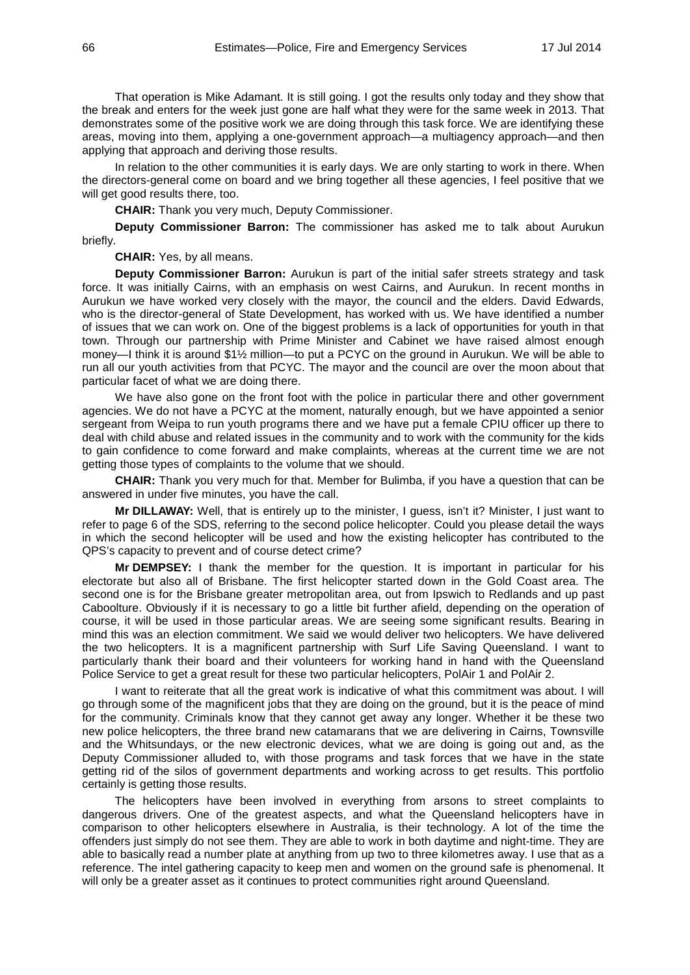That operation is Mike Adamant. It is still going. I got the results only today and they show that the break and enters for the week just gone are half what they were for the same week in 2013. That demonstrates some of the positive work we are doing through this task force. We are identifying these areas, moving into them, applying a one-government approach—a multiagency approach—and then applying that approach and deriving those results.

In relation to the other communities it is early days. We are only starting to work in there. When the directors-general come on board and we bring together all these agencies, I feel positive that we will get good results there, too.

**CHAIR:** Thank you very much, Deputy Commissioner.

**Deputy Commissioner Barron:** The commissioner has asked me to talk about Aurukun briefly.

**CHAIR:** Yes, by all means.

**Deputy Commissioner Barron:** Aurukun is part of the initial safer streets strategy and task force. It was initially Cairns, with an emphasis on west Cairns, and Aurukun. In recent months in Aurukun we have worked very closely with the mayor, the council and the elders. David Edwards, who is the director-general of State Development, has worked with us. We have identified a number of issues that we can work on. One of the biggest problems is a lack of opportunities for youth in that town. Through our partnership with Prime Minister and Cabinet we have raised almost enough money—I think it is around \$1½ million—to put a PCYC on the ground in Aurukun. We will be able to run all our youth activities from that PCYC. The mayor and the council are over the moon about that particular facet of what we are doing there.

We have also gone on the front foot with the police in particular there and other government agencies. We do not have a PCYC at the moment, naturally enough, but we have appointed a senior sergeant from Weipa to run youth programs there and we have put a female CPIU officer up there to deal with child abuse and related issues in the community and to work with the community for the kids to gain confidence to come forward and make complaints, whereas at the current time we are not getting those types of complaints to the volume that we should.

**CHAIR:** Thank you very much for that. Member for Bulimba, if you have a question that can be answered in under five minutes, you have the call.

**Mr DILLAWAY:** Well, that is entirely up to the minister, I guess, isn't it? Minister, I just want to refer to page 6 of the SDS, referring to the second police helicopter. Could you please detail the ways in which the second helicopter will be used and how the existing helicopter has contributed to the QPS's capacity to prevent and of course detect crime?

**Mr DEMPSEY:** I thank the member for the question. It is important in particular for his electorate but also all of Brisbane. The first helicopter started down in the Gold Coast area. The second one is for the Brisbane greater metropolitan area, out from Ipswich to Redlands and up past Caboolture. Obviously if it is necessary to go a little bit further afield, depending on the operation of course, it will be used in those particular areas. We are seeing some significant results. Bearing in mind this was an election commitment. We said we would deliver two helicopters. We have delivered the two helicopters. It is a magnificent partnership with Surf Life Saving Queensland. I want to particularly thank their board and their volunteers for working hand in hand with the Queensland Police Service to get a great result for these two particular helicopters, PolAir 1 and PolAir 2.

I want to reiterate that all the great work is indicative of what this commitment was about. I will go through some of the magnificent jobs that they are doing on the ground, but it is the peace of mind for the community. Criminals know that they cannot get away any longer. Whether it be these two new police helicopters, the three brand new catamarans that we are delivering in Cairns, Townsville and the Whitsundays, or the new electronic devices, what we are doing is going out and, as the Deputy Commissioner alluded to, with those programs and task forces that we have in the state getting rid of the silos of government departments and working across to get results. This portfolio certainly is getting those results.

The helicopters have been involved in everything from arsons to street complaints to dangerous drivers. One of the greatest aspects, and what the Queensland helicopters have in comparison to other helicopters elsewhere in Australia, is their technology. A lot of the time the offenders just simply do not see them. They are able to work in both daytime and night-time. They are able to basically read a number plate at anything from up two to three kilometres away. I use that as a reference. The intel gathering capacity to keep men and women on the ground safe is phenomenal. It will only be a greater asset as it continues to protect communities right around Queensland.